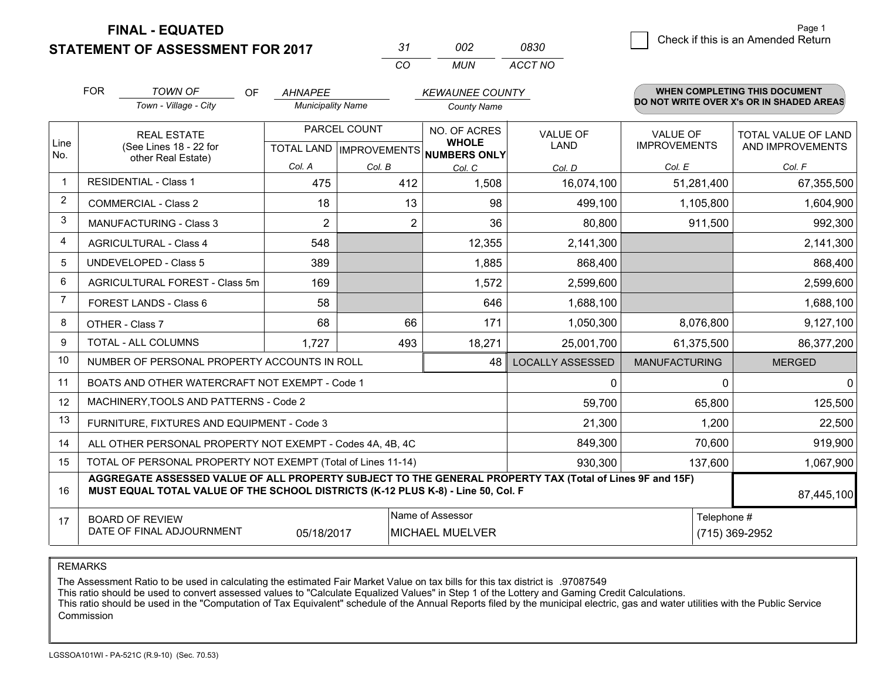**STATEMENT OF ASSESSMENT FOR 2017** 

| -31 | nnə  | 0830    |
|-----|------|---------|
| CO. | MUN. | ACCT NO |

|                | <b>FOR</b><br><b>TOWN OF</b><br><b>OF</b><br><b>AHNAPEE</b><br><b>Municipality Name</b>                                                                                                      |                                                           |                |                           |                              | <b>KEWAUNEE COUNTY</b>  |                      | <b>WHEN COMPLETING THIS DOCUMENT</b><br>DO NOT WRITE OVER X's OR IN SHADED AREAS |  |
|----------------|----------------------------------------------------------------------------------------------------------------------------------------------------------------------------------------------|-----------------------------------------------------------|----------------|---------------------------|------------------------------|-------------------------|----------------------|----------------------------------------------------------------------------------|--|
|                |                                                                                                                                                                                              | Town - Village - City                                     |                |                           | <b>County Name</b>           |                         |                      |                                                                                  |  |
|                | <b>REAL ESTATE</b>                                                                                                                                                                           |                                                           |                | PARCEL COUNT              | NO. OF ACRES                 | <b>VALUE OF</b>         | <b>VALUE OF</b>      | <b>TOTAL VALUE OF LAND</b>                                                       |  |
| Line<br>No.    |                                                                                                                                                                                              | (See Lines 18 - 22 for<br>other Real Estate)              |                | TOTAL LAND   IMPROVEMENTS | <b>WHOLE</b><br>NUMBERS ONLY | LAND                    | <b>IMPROVEMENTS</b>  | AND IMPROVEMENTS                                                                 |  |
|                |                                                                                                                                                                                              |                                                           | Col. A         | Col. B                    | Col. C                       | Col. D                  | Col. E               | Col. F                                                                           |  |
| $\mathbf{1}$   |                                                                                                                                                                                              | <b>RESIDENTIAL - Class 1</b>                              | 475            | 412                       | 1,508                        | 16,074,100              | 51,281,400           | 67,355,500                                                                       |  |
| $\overline{2}$ |                                                                                                                                                                                              | <b>COMMERCIAL - Class 2</b>                               | 18             | 13                        | 98                           | 499,100                 | 1,105,800            | 1,604,900                                                                        |  |
| 3              |                                                                                                                                                                                              | <b>MANUFACTURING - Class 3</b>                            | $\overline{2}$ | $\overline{2}$            | 36                           | 80,800                  | 911,500              | 992,300                                                                          |  |
| 4              |                                                                                                                                                                                              | <b>AGRICULTURAL - Class 4</b>                             | 548            |                           | 12,355                       | 2,141,300               |                      | 2,141,300                                                                        |  |
| 5              |                                                                                                                                                                                              | <b>UNDEVELOPED - Class 5</b>                              | 389            |                           | 1,885                        | 868,400                 |                      | 868,400                                                                          |  |
| 6              |                                                                                                                                                                                              | AGRICULTURAL FOREST - Class 5m                            | 169            |                           | 1,572                        | 2,599,600               |                      | 2,599,600                                                                        |  |
| $\overline{7}$ | FOREST LANDS - Class 6                                                                                                                                                                       |                                                           | 58             |                           | 646                          | 1,688,100               |                      | 1,688,100                                                                        |  |
| 8              |                                                                                                                                                                                              | OTHER - Class 7                                           | 68             | 66                        | 171                          | 1,050,300               | 8,076,800            | 9,127,100                                                                        |  |
| 9              |                                                                                                                                                                                              | TOTAL - ALL COLUMNS                                       | 1,727          | 493                       | 18,271                       | 25,001,700              | 61,375,500           | 86,377,200                                                                       |  |
| 10             |                                                                                                                                                                                              | NUMBER OF PERSONAL PROPERTY ACCOUNTS IN ROLL              |                |                           | 48                           | <b>LOCALLY ASSESSED</b> | <b>MANUFACTURING</b> | <b>MERGED</b>                                                                    |  |
| 11             |                                                                                                                                                                                              | BOATS AND OTHER WATERCRAFT NOT EXEMPT - Code 1            |                |                           |                              | 0                       | 0                    | $\mathbf{0}$                                                                     |  |
| 12             |                                                                                                                                                                                              | MACHINERY, TOOLS AND PATTERNS - Code 2                    |                |                           |                              | 59,700                  | 65,800               | 125,500                                                                          |  |
| 13             |                                                                                                                                                                                              | FURNITURE, FIXTURES AND EQUIPMENT - Code 3                |                |                           |                              | 21,300                  | 1,200                | 22,500                                                                           |  |
| 14             |                                                                                                                                                                                              | ALL OTHER PERSONAL PROPERTY NOT EXEMPT - Codes 4A, 4B, 4C |                |                           |                              | 849,300                 | 70,600               | 919,900                                                                          |  |
| 15             | TOTAL OF PERSONAL PROPERTY NOT EXEMPT (Total of Lines 11-14)<br>930,300                                                                                                                      |                                                           |                |                           |                              |                         | 137,600              | 1,067,900                                                                        |  |
| 16             | AGGREGATE ASSESSED VALUE OF ALL PROPERTY SUBJECT TO THE GENERAL PROPERTY TAX (Total of Lines 9F and 15F)<br>MUST EQUAL TOTAL VALUE OF THE SCHOOL DISTRICTS (K-12 PLUS K-8) - Line 50, Col. F |                                                           |                |                           |                              |                         | 87,445,100           |                                                                                  |  |
| 17             |                                                                                                                                                                                              | <b>BOARD OF REVIEW</b>                                    |                |                           | Name of Assessor             |                         | Telephone #          |                                                                                  |  |
|                | DATE OF FINAL ADJOURNMENT<br>05/18/2017<br><b>MICHAEL MUELVER</b>                                                                                                                            |                                                           |                |                           |                              |                         |                      | (715) 369-2952                                                                   |  |

REMARKS

The Assessment Ratio to be used in calculating the estimated Fair Market Value on tax bills for this tax district is .97087549

This ratio should be used to convert assessed values to "Calculate Equalized Values" in Step 1 of the Lottery and Gaming Credit Calculations.<br>This ratio should be used in the "Computation of Tax Equivalent" schedule of the Commission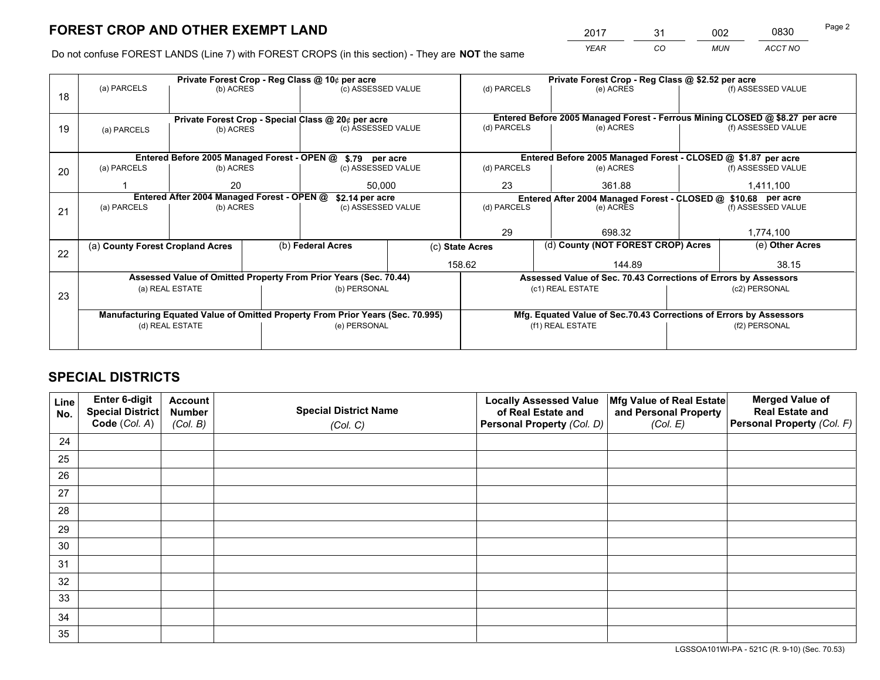*YEAR CO MUN ACCT NO* <sup>2017</sup> <sup>31</sup> <sup>002</sup> <sup>0830</sup>

Do not confuse FOREST LANDS (Line 7) with FOREST CROPS (in this section) - They are **NOT** the same

|    |                                                               |                 |              | Private Forest Crop - Reg Class @ 10¢ per acre                                 |                                                                              | Private Forest Crop - Reg Class @ \$2.52 per acre     |                                                                    |               |                    |  |
|----|---------------------------------------------------------------|-----------------|--------------|--------------------------------------------------------------------------------|------------------------------------------------------------------------------|-------------------------------------------------------|--------------------------------------------------------------------|---------------|--------------------|--|
| 18 | (a) PARCELS                                                   | (b) ACRES       |              |                                                                                | (c) ASSESSED VALUE<br>(d) PARCELS                                            |                                                       | (e) ACRES                                                          |               | (f) ASSESSED VALUE |  |
|    |                                                               |                 |              |                                                                                |                                                                              |                                                       |                                                                    |               |                    |  |
|    | Private Forest Crop - Special Class @ 20¢ per acre            |                 |              |                                                                                | Entered Before 2005 Managed Forest - Ferrous Mining CLOSED @ \$8.27 per acre |                                                       |                                                                    |               |                    |  |
| 19 | (a) PARCELS                                                   | (b) ACRES       |              | (c) ASSESSED VALUE                                                             |                                                                              | (d) PARCELS                                           | (e) ACRES                                                          |               | (f) ASSESSED VALUE |  |
|    |                                                               |                 |              |                                                                                |                                                                              |                                                       |                                                                    |               |                    |  |
|    |                                                               |                 |              | Entered Before 2005 Managed Forest - OPEN @ \$.79 per acre                     |                                                                              |                                                       | Entered Before 2005 Managed Forest - CLOSED @ \$1.87 per acre      |               |                    |  |
| 20 | (a) PARCELS                                                   | (b) ACRES       |              | (c) ASSESSED VALUE                                                             |                                                                              | (d) PARCELS                                           | (e) ACRES                                                          |               | (f) ASSESSED VALUE |  |
|    |                                                               | 20<br>50.000    |              |                                                                                | 23<br>361.88                                                                 |                                                       |                                                                    | 1,411,100     |                    |  |
|    | Entered After 2004 Managed Forest - OPEN @<br>\$2.14 per acre |                 |              |                                                                                |                                                                              |                                                       | Entered After 2004 Managed Forest - CLOSED @ \$10.68 per acre      |               |                    |  |
| 21 | (a) PARCELS                                                   | (b) ACRES       |              | (c) ASSESSED VALUE                                                             |                                                                              | (d) PARCELS<br>(e) ACRES                              |                                                                    |               | (f) ASSESSED VALUE |  |
|    |                                                               |                 |              |                                                                                |                                                                              |                                                       |                                                                    |               |                    |  |
|    |                                                               |                 |              |                                                                                |                                                                              | 29                                                    | 698.32                                                             |               | 1,774,100          |  |
| 22 | (a) County Forest Cropland Acres                              |                 |              | (b) Federal Acres                                                              |                                                                              | (d) County (NOT FOREST CROP) Acres<br>(c) State Acres |                                                                    |               | (e) Other Acres    |  |
|    |                                                               |                 |              |                                                                                | 158.62                                                                       |                                                       | 144.89                                                             |               | 38.15              |  |
|    |                                                               |                 |              | Assessed Value of Omitted Property From Prior Years (Sec. 70.44)               |                                                                              |                                                       | Assessed Value of Sec. 70.43 Corrections of Errors by Assessors    |               |                    |  |
| 23 |                                                               | (a) REAL ESTATE |              | (b) PERSONAL                                                                   |                                                                              |                                                       | (c1) REAL ESTATE                                                   |               | (c2) PERSONAL      |  |
|    |                                                               |                 |              |                                                                                |                                                                              |                                                       |                                                                    |               |                    |  |
|    |                                                               |                 |              | Manufacturing Equated Value of Omitted Property From Prior Years (Sec. 70.995) |                                                                              |                                                       | Mfg. Equated Value of Sec.70.43 Corrections of Errors by Assessors |               |                    |  |
|    | (d) REAL ESTATE                                               |                 | (e) PERSONAL |                                                                                |                                                                              | (f1) REAL ESTATE                                      |                                                                    | (f2) PERSONAL |                    |  |
|    |                                                               |                 |              |                                                                                |                                                                              |                                                       |                                                                    |               |                    |  |

## **SPECIAL DISTRICTS**

| Line<br>No. | Enter 6-digit<br><b>Special District</b> | <b>Account</b><br><b>Number</b> | <b>Special District Name</b> | <b>Locally Assessed Value</b><br>of Real Estate and | Mfg Value of Real Estate<br>and Personal Property | <b>Merged Value of</b><br><b>Real Estate and</b> |
|-------------|------------------------------------------|---------------------------------|------------------------------|-----------------------------------------------------|---------------------------------------------------|--------------------------------------------------|
|             | Code (Col. A)                            | (Col. B)                        | (Col. C)                     | Personal Property (Col. D)                          | (Col. E)                                          | Personal Property (Col. F)                       |
| 24          |                                          |                                 |                              |                                                     |                                                   |                                                  |
| 25          |                                          |                                 |                              |                                                     |                                                   |                                                  |
| 26          |                                          |                                 |                              |                                                     |                                                   |                                                  |
| 27          |                                          |                                 |                              |                                                     |                                                   |                                                  |
| 28          |                                          |                                 |                              |                                                     |                                                   |                                                  |
| 29          |                                          |                                 |                              |                                                     |                                                   |                                                  |
| 30          |                                          |                                 |                              |                                                     |                                                   |                                                  |
| 31          |                                          |                                 |                              |                                                     |                                                   |                                                  |
| 32          |                                          |                                 |                              |                                                     |                                                   |                                                  |
| 33          |                                          |                                 |                              |                                                     |                                                   |                                                  |
| 34          |                                          |                                 |                              |                                                     |                                                   |                                                  |
| 35          |                                          |                                 |                              |                                                     |                                                   |                                                  |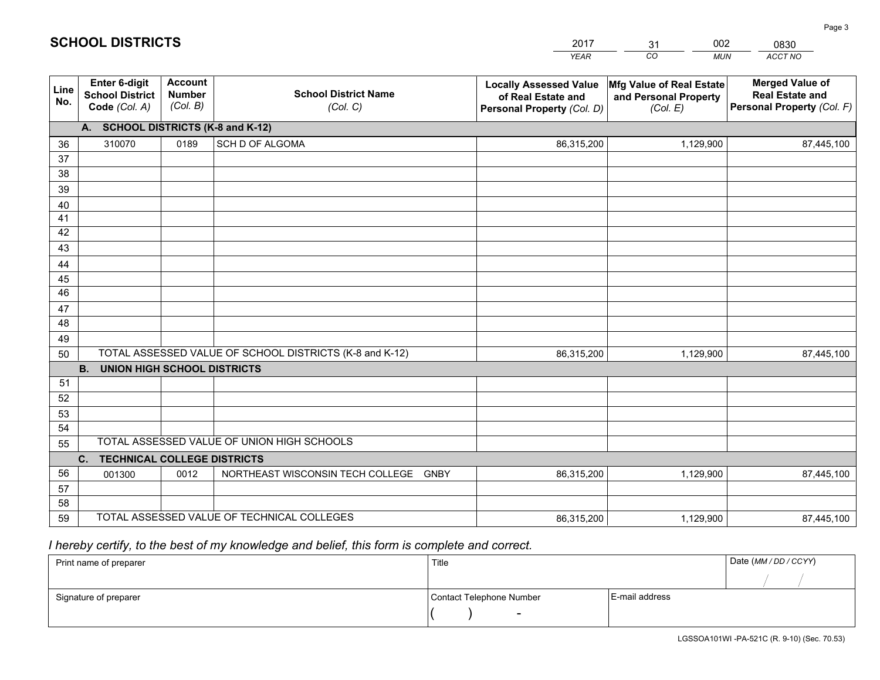|             |                                                                 |                                             |                                                         | <b>YEAR</b>                                                                       | CO<br><b>MUN</b>                                              | ACCT NO                                                                        |
|-------------|-----------------------------------------------------------------|---------------------------------------------|---------------------------------------------------------|-----------------------------------------------------------------------------------|---------------------------------------------------------------|--------------------------------------------------------------------------------|
| Line<br>No. | <b>Enter 6-digit</b><br><b>School District</b><br>Code (Col. A) | <b>Account</b><br><b>Number</b><br>(Col. B) | <b>School District Name</b><br>(Col. C)                 | <b>Locally Assessed Value</b><br>of Real Estate and<br>Personal Property (Col. D) | Mfg Value of Real Estate<br>and Personal Property<br>(Col. E) | <b>Merged Value of</b><br><b>Real Estate and</b><br>Personal Property (Col. F) |
|             | A. SCHOOL DISTRICTS (K-8 and K-12)                              |                                             |                                                         |                                                                                   |                                                               |                                                                                |
| 36          | 310070                                                          | 0189                                        | SCH D OF ALGOMA                                         | 86,315,200                                                                        | 1,129,900                                                     | 87,445,100                                                                     |
| 37          |                                                                 |                                             |                                                         |                                                                                   |                                                               |                                                                                |
| 38          |                                                                 |                                             |                                                         |                                                                                   |                                                               |                                                                                |
| 39          |                                                                 |                                             |                                                         |                                                                                   |                                                               |                                                                                |
| 40          |                                                                 |                                             |                                                         |                                                                                   |                                                               |                                                                                |
| 41<br>42    |                                                                 |                                             |                                                         |                                                                                   |                                                               |                                                                                |
| 43          |                                                                 |                                             |                                                         |                                                                                   |                                                               |                                                                                |
|             |                                                                 |                                             |                                                         |                                                                                   |                                                               |                                                                                |
| 44<br>45    |                                                                 |                                             |                                                         |                                                                                   |                                                               |                                                                                |
| 46          |                                                                 |                                             |                                                         |                                                                                   |                                                               |                                                                                |
| 47          |                                                                 |                                             |                                                         |                                                                                   |                                                               |                                                                                |
| 48          |                                                                 |                                             |                                                         |                                                                                   |                                                               |                                                                                |
| 49          |                                                                 |                                             |                                                         |                                                                                   |                                                               |                                                                                |
| 50          |                                                                 |                                             | TOTAL ASSESSED VALUE OF SCHOOL DISTRICTS (K-8 and K-12) | 86,315,200                                                                        | 1,129,900                                                     | 87,445,100                                                                     |
|             | <b>B.</b><br>UNION HIGH SCHOOL DISTRICTS                        |                                             |                                                         |                                                                                   |                                                               |                                                                                |
| 51          |                                                                 |                                             |                                                         |                                                                                   |                                                               |                                                                                |
| 52          |                                                                 |                                             |                                                         |                                                                                   |                                                               |                                                                                |
| 53          |                                                                 |                                             |                                                         |                                                                                   |                                                               |                                                                                |
| 54          |                                                                 |                                             |                                                         |                                                                                   |                                                               |                                                                                |
| 55          |                                                                 |                                             | TOTAL ASSESSED VALUE OF UNION HIGH SCHOOLS              |                                                                                   |                                                               |                                                                                |
|             | C.<br><b>TECHNICAL COLLEGE DISTRICTS</b>                        |                                             |                                                         |                                                                                   |                                                               |                                                                                |
| 56          | 001300                                                          | 0012                                        | NORTHEAST WISCONSIN TECH COLLEGE<br><b>GNBY</b>         | 86,315,200                                                                        | 1,129,900                                                     | 87,445,100                                                                     |
| 57<br>58    |                                                                 |                                             |                                                         |                                                                                   |                                                               |                                                                                |
| 59          |                                                                 |                                             | TOTAL ASSESSED VALUE OF TECHNICAL COLLEGES              | 86,315,200                                                                        | 1,129,900                                                     | 87,445,100                                                                     |
|             |                                                                 |                                             |                                                         |                                                                                   |                                                               |                                                                                |

31

002

 *I hereby certify, to the best of my knowledge and belief, this form is complete and correct.*

**SCHOOL DISTRICTS**

| Print name of preparer | Title                    |                | Date (MM / DD / CCYY) |
|------------------------|--------------------------|----------------|-----------------------|
|                        |                          |                |                       |
| Signature of preparer  | Contact Telephone Number | E-mail address |                       |
|                        | $\overline{\phantom{0}}$ |                |                       |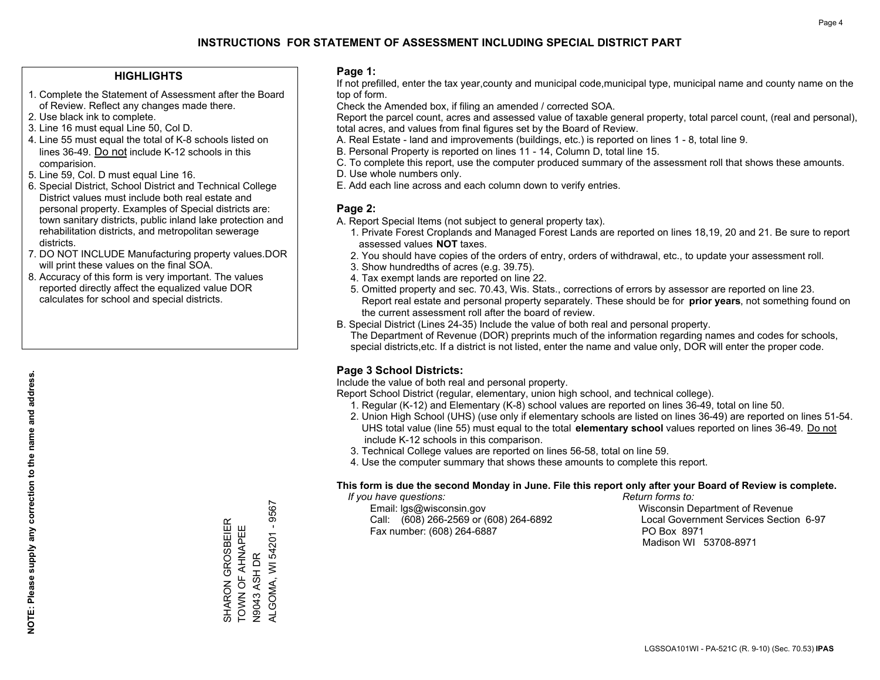### **HIGHLIGHTS**

- 1. Complete the Statement of Assessment after the Board of Review. Reflect any changes made there.
- 2. Use black ink to complete.
- 3. Line 16 must equal Line 50, Col D.
- 4. Line 55 must equal the total of K-8 schools listed on lines 36-49. Do not include K-12 schools in this comparision.
- 5. Line 59, Col. D must equal Line 16.
- 6. Special District, School District and Technical College District values must include both real estate and personal property. Examples of Special districts are: town sanitary districts, public inland lake protection and rehabilitation districts, and metropolitan sewerage districts.
- 7. DO NOT INCLUDE Manufacturing property values.DOR will print these values on the final SOA.

SHARON GROSBEIER TOWN OF AHNAPEE N9043 ASH DR

SHARON GROSBEIER<br>TOWN OF AHNAPEE

ALGOMA, WI 54201 - 9567

ALGOMA, WI 54201 - 9567

N9043 ASH DR

 8. Accuracy of this form is very important. The values reported directly affect the equalized value DOR calculates for school and special districts.

#### **Page 1:**

 If not prefilled, enter the tax year,county and municipal code,municipal type, municipal name and county name on the top of form.

Check the Amended box, if filing an amended / corrected SOA.

 Report the parcel count, acres and assessed value of taxable general property, total parcel count, (real and personal), total acres, and values from final figures set by the Board of Review.

- A. Real Estate land and improvements (buildings, etc.) is reported on lines 1 8, total line 9.
- B. Personal Property is reported on lines 11 14, Column D, total line 15.
- C. To complete this report, use the computer produced summary of the assessment roll that shows these amounts.
- D. Use whole numbers only.
- E. Add each line across and each column down to verify entries.

### **Page 2:**

- A. Report Special Items (not subject to general property tax).
- 1. Private Forest Croplands and Managed Forest Lands are reported on lines 18,19, 20 and 21. Be sure to report assessed values **NOT** taxes.
- 2. You should have copies of the orders of entry, orders of withdrawal, etc., to update your assessment roll.
	- 3. Show hundredths of acres (e.g. 39.75).
- 4. Tax exempt lands are reported on line 22.
- 5. Omitted property and sec. 70.43, Wis. Stats., corrections of errors by assessor are reported on line 23. Report real estate and personal property separately. These should be for **prior years**, not something found on the current assessment roll after the board of review.
- B. Special District (Lines 24-35) Include the value of both real and personal property.

 The Department of Revenue (DOR) preprints much of the information regarding names and codes for schools, special districts,etc. If a district is not listed, enter the name and value only, DOR will enter the proper code.

## **Page 3 School Districts:**

Include the value of both real and personal property.

Report School District (regular, elementary, union high school, and technical college).

- 1. Regular (K-12) and Elementary (K-8) school values are reported on lines 36-49, total on line 50.
- 2. Union High School (UHS) (use only if elementary schools are listed on lines 36-49) are reported on lines 51-54. UHS total value (line 55) must equal to the total **elementary school** values reported on lines 36-49. Do notinclude K-12 schools in this comparison.
- 3. Technical College values are reported on lines 56-58, total on line 59.
- 4. Use the computer summary that shows these amounts to complete this report.

#### **This form is due the second Monday in June. File this report only after your Board of Review is complete.**

 *If you have questions: Return forms to:*

 Email: lgs@wisconsin.gov Wisconsin Department of RevenueCall:  $(608)$  266-2569 or  $(608)$  264-6892 Fax number: (608) 264-6887 PO Box 8971

Local Government Services Section 6-97 Madison WI 53708-8971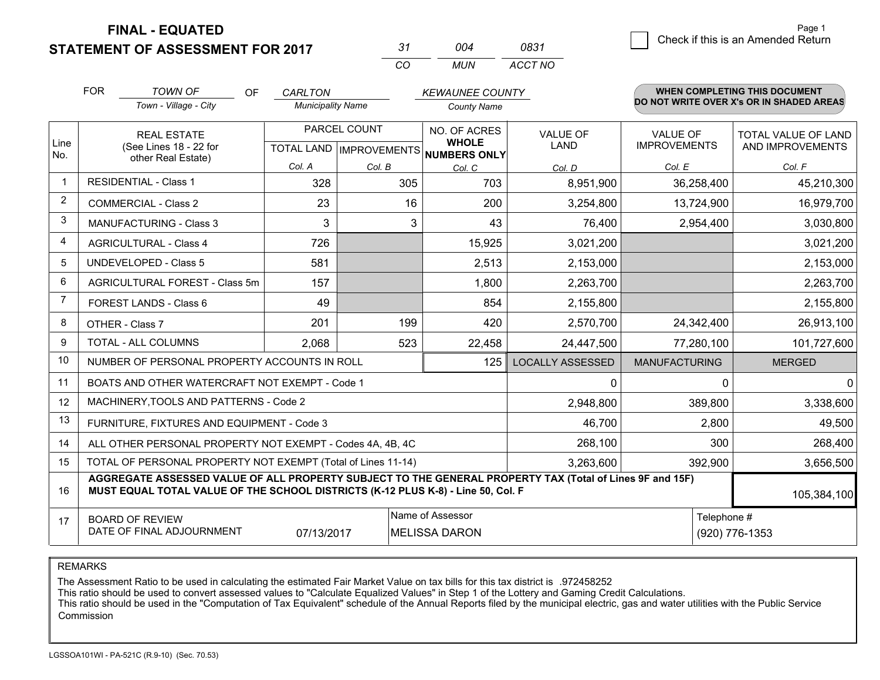**STATEMENT OF ASSESSMENT FOR 2017** 

| -31 | ∩∩⊿   | 0831    |
|-----|-------|---------|
| CO. | MI IN | ACCT NO |

|                | <b>FOR</b>                                                                                                                                                                                   | <b>TOWN OF</b><br><b>OF</b>                                  | <b>CARLTON</b>           |                                                     | <b>KEWAUNEE COUNTY</b> |                         |                      | <b>WHEN COMPLETING THIS DOCUMENT</b><br>DO NOT WRITE OVER X's OR IN SHADED AREAS |
|----------------|----------------------------------------------------------------------------------------------------------------------------------------------------------------------------------------------|--------------------------------------------------------------|--------------------------|-----------------------------------------------------|------------------------|-------------------------|----------------------|----------------------------------------------------------------------------------|
|                |                                                                                                                                                                                              | Town - Village - City                                        | <b>Municipality Name</b> |                                                     | <b>County Name</b>     |                         |                      |                                                                                  |
|                | <b>REAL ESTATE</b>                                                                                                                                                                           |                                                              |                          | PARCEL COUNT                                        | NO. OF ACRES           | <b>VALUE OF</b>         | <b>VALUE OF</b>      | TOTAL VALUE OF LAND                                                              |
| Line<br>No.    | (See Lines 18 - 22 for<br>other Real Estate)                                                                                                                                                 |                                                              |                          | <b>WHOLE</b><br>TOTAL LAND MPROVEMENTS NUMBERS ONLY | <b>LAND</b>            | <b>IMPROVEMENTS</b>     | AND IMPROVEMENTS     |                                                                                  |
|                |                                                                                                                                                                                              |                                                              | Col. A                   | Col. B                                              | Col. C                 | Col. D                  | Col. E               | Col. F                                                                           |
| -1             |                                                                                                                                                                                              | <b>RESIDENTIAL - Class 1</b>                                 | 328                      | 305                                                 | 703                    | 8,951,900               | 36,258,400           | 45,210,300                                                                       |
| $\overline{2}$ |                                                                                                                                                                                              | <b>COMMERCIAL - Class 2</b>                                  | 23                       | 16                                                  | 200                    | 3,254,800               | 13,724,900           | 16,979,700                                                                       |
| 3              |                                                                                                                                                                                              | <b>MANUFACTURING - Class 3</b>                               | 3                        | 3                                                   | 43                     | 76,400                  | 2,954,400            | 3,030,800                                                                        |
| 4              |                                                                                                                                                                                              | <b>AGRICULTURAL - Class 4</b>                                | 726                      |                                                     | 15,925                 | 3,021,200               |                      | 3,021,200                                                                        |
| 5              |                                                                                                                                                                                              | <b>UNDEVELOPED - Class 5</b>                                 | 581                      |                                                     | 2,513                  | 2,153,000               |                      | 2,153,000                                                                        |
| 6              |                                                                                                                                                                                              | AGRICULTURAL FOREST - Class 5m                               | 157                      |                                                     | 1.800                  | 2,263,700               |                      | 2,263,700                                                                        |
| 7              |                                                                                                                                                                                              | FOREST LANDS - Class 6                                       | 49                       |                                                     | 854                    | 2,155,800               |                      | 2,155,800                                                                        |
| 8              |                                                                                                                                                                                              | OTHER - Class 7                                              | 201                      | 199                                                 | 420                    | 2,570,700               | 24,342,400           | 26,913,100                                                                       |
| 9              |                                                                                                                                                                                              | TOTAL - ALL COLUMNS                                          | 2,068                    | 523                                                 | 22,458                 | 24,447,500              | 77,280,100           | 101,727,600                                                                      |
| 10             |                                                                                                                                                                                              | NUMBER OF PERSONAL PROPERTY ACCOUNTS IN ROLL                 |                          |                                                     | 125                    | <b>LOCALLY ASSESSED</b> | <b>MANUFACTURING</b> | <b>MERGED</b>                                                                    |
| 11             |                                                                                                                                                                                              | BOATS AND OTHER WATERCRAFT NOT EXEMPT - Code 1               |                          |                                                     |                        | $\mathbf{0}$            | $\Omega$             | $\Omega$                                                                         |
| 12             |                                                                                                                                                                                              | MACHINERY, TOOLS AND PATTERNS - Code 2                       |                          |                                                     |                        | 2,948,800               | 389,800              | 3,338,600                                                                        |
| 13             |                                                                                                                                                                                              | FURNITURE, FIXTURES AND EQUIPMENT - Code 3                   |                          |                                                     |                        | 46,700                  | 2,800                | 49,500                                                                           |
| 14             |                                                                                                                                                                                              | ALL OTHER PERSONAL PROPERTY NOT EXEMPT - Codes 4A, 4B, 4C    |                          |                                                     |                        | 268,100                 | 300                  | 268,400                                                                          |
| 15             |                                                                                                                                                                                              | TOTAL OF PERSONAL PROPERTY NOT EXEMPT (Total of Lines 11-14) |                          |                                                     | 3,263,600              | 392,900                 | 3,656,500            |                                                                                  |
| 16             | AGGREGATE ASSESSED VALUE OF ALL PROPERTY SUBJECT TO THE GENERAL PROPERTY TAX (Total of Lines 9F and 15F)<br>MUST EQUAL TOTAL VALUE OF THE SCHOOL DISTRICTS (K-12 PLUS K-8) - Line 50, Col. F |                                                              |                          |                                                     |                        |                         | 105,384,100          |                                                                                  |
| 17             | Name of Assessor<br>Telephone #<br><b>BOARD OF REVIEW</b><br>DATE OF FINAL ADJOURNMENT<br>07/13/2017<br><b>MELISSA DARON</b>                                                                 |                                                              |                          |                                                     |                        |                         | (920) 776-1353       |                                                                                  |

REMARKS

The Assessment Ratio to be used in calculating the estimated Fair Market Value on tax bills for this tax district is .972458252

This ratio should be used to convert assessed values to "Calculate Equalized Values" in Step 1 of the Lottery and Gaming Credit Calculations.<br>This ratio should be used in the "Computation of Tax Equivalent" schedule of the Commission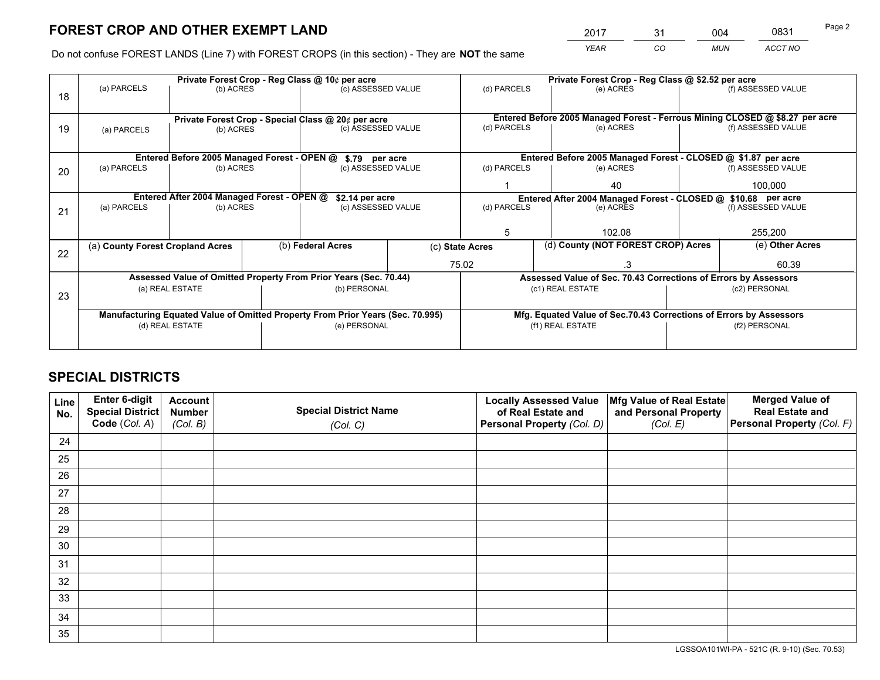*YEAR CO MUN ACCT NO* <sup>2017</sup> <sup>31</sup> <sup>004</sup> <sup>0831</sup>

Do not confuse FOREST LANDS (Line 7) with FOREST CROPS (in this section) - They are **NOT** the same

|    | Private Forest Crop - Reg Class @ 10¢ per acre                                 |                                                                 |  |                                                                  |       |                                                                              | Private Forest Crop - Reg Class @ \$2.52 per acre               |  |                    |  |
|----|--------------------------------------------------------------------------------|-----------------------------------------------------------------|--|------------------------------------------------------------------|-------|------------------------------------------------------------------------------|-----------------------------------------------------------------|--|--------------------|--|
| 18 | (a) PARCELS                                                                    | (b) ACRES                                                       |  | (c) ASSESSED VALUE                                               |       | (d) PARCELS                                                                  | (e) ACRES                                                       |  | (f) ASSESSED VALUE |  |
|    |                                                                                |                                                                 |  |                                                                  |       | Entered Before 2005 Managed Forest - Ferrous Mining CLOSED @ \$8.27 per acre |                                                                 |  |                    |  |
| 19 | (a) PARCELS                                                                    | Private Forest Crop - Special Class @ 20¢ per acre<br>(b) ACRES |  | (c) ASSESSED VALUE                                               |       | (d) PARCELS                                                                  | (e) ACRES                                                       |  | (f) ASSESSED VALUE |  |
|    |                                                                                |                                                                 |  |                                                                  |       |                                                                              |                                                                 |  |                    |  |
|    |                                                                                | Entered Before 2005 Managed Forest - OPEN @                     |  | \$.79 per acre                                                   |       |                                                                              | Entered Before 2005 Managed Forest - CLOSED @ \$1.87 per acre   |  |                    |  |
| 20 | (a) PARCELS                                                                    | (b) ACRES                                                       |  | (c) ASSESSED VALUE                                               |       | (d) PARCELS                                                                  | (e) ACRES                                                       |  | (f) ASSESSED VALUE |  |
|    |                                                                                |                                                                 |  |                                                                  |       |                                                                              | 40                                                              |  | 100.000            |  |
|    | Entered After 2004 Managed Forest - OPEN @<br>\$2.14 per acre                  |                                                                 |  |                                                                  |       | Entered After 2004 Managed Forest - CLOSED @ \$10.68 per acre                |                                                                 |  |                    |  |
| 21 | (a) PARCELS                                                                    | (b) ACRES                                                       |  | (c) ASSESSED VALUE                                               |       | (d) PARCELS<br>(e) ACRES                                                     |                                                                 |  | (f) ASSESSED VALUE |  |
|    |                                                                                |                                                                 |  |                                                                  |       |                                                                              |                                                                 |  |                    |  |
|    |                                                                                |                                                                 |  |                                                                  |       | 5                                                                            | 102.08                                                          |  | 255,200            |  |
| 22 | (a) County Forest Cropland Acres                                               |                                                                 |  | (b) Federal Acres                                                |       | (d) County (NOT FOREST CROP) Acres<br>(c) State Acres                        |                                                                 |  | (e) Other Acres    |  |
|    |                                                                                |                                                                 |  |                                                                  | 75.02 |                                                                              | .3                                                              |  | 60.39              |  |
|    |                                                                                |                                                                 |  | Assessed Value of Omitted Property From Prior Years (Sec. 70.44) |       |                                                                              | Assessed Value of Sec. 70.43 Corrections of Errors by Assessors |  |                    |  |
| 23 |                                                                                | (a) REAL ESTATE                                                 |  | (b) PERSONAL                                                     |       |                                                                              | (c1) REAL ESTATE                                                |  | (c2) PERSONAL      |  |
|    |                                                                                |                                                                 |  |                                                                  |       |                                                                              |                                                                 |  |                    |  |
|    | Manufacturing Equated Value of Omitted Property From Prior Years (Sec. 70.995) |                                                                 |  |                                                                  |       | Mfg. Equated Value of Sec.70.43 Corrections of Errors by Assessors           |                                                                 |  |                    |  |
|    | (d) REAL ESTATE                                                                |                                                                 |  | (e) PERSONAL                                                     |       | (f1) REAL ESTATE                                                             |                                                                 |  | (f2) PERSONAL      |  |
|    |                                                                                |                                                                 |  |                                                                  |       |                                                                              |                                                                 |  |                    |  |

## **SPECIAL DISTRICTS**

| Line<br>No. | Enter 6-digit<br>Special District<br>Code (Col. A) | <b>Account</b><br><b>Number</b> | <b>Special District Name</b> | <b>Locally Assessed Value</b><br>of Real Estate and | Mfg Value of Real Estate<br>and Personal Property | <b>Merged Value of</b><br><b>Real Estate and</b><br>Personal Property (Col. F) |
|-------------|----------------------------------------------------|---------------------------------|------------------------------|-----------------------------------------------------|---------------------------------------------------|--------------------------------------------------------------------------------|
|             |                                                    | (Col. B)                        | (Col. C)                     | Personal Property (Col. D)                          | (Col. E)                                          |                                                                                |
| 24          |                                                    |                                 |                              |                                                     |                                                   |                                                                                |
| 25          |                                                    |                                 |                              |                                                     |                                                   |                                                                                |
| 26          |                                                    |                                 |                              |                                                     |                                                   |                                                                                |
| 27          |                                                    |                                 |                              |                                                     |                                                   |                                                                                |
| 28          |                                                    |                                 |                              |                                                     |                                                   |                                                                                |
| 29          |                                                    |                                 |                              |                                                     |                                                   |                                                                                |
| 30          |                                                    |                                 |                              |                                                     |                                                   |                                                                                |
| 31          |                                                    |                                 |                              |                                                     |                                                   |                                                                                |
| 32          |                                                    |                                 |                              |                                                     |                                                   |                                                                                |
| 33          |                                                    |                                 |                              |                                                     |                                                   |                                                                                |
| 34          |                                                    |                                 |                              |                                                     |                                                   |                                                                                |
| 35          |                                                    |                                 |                              |                                                     |                                                   |                                                                                |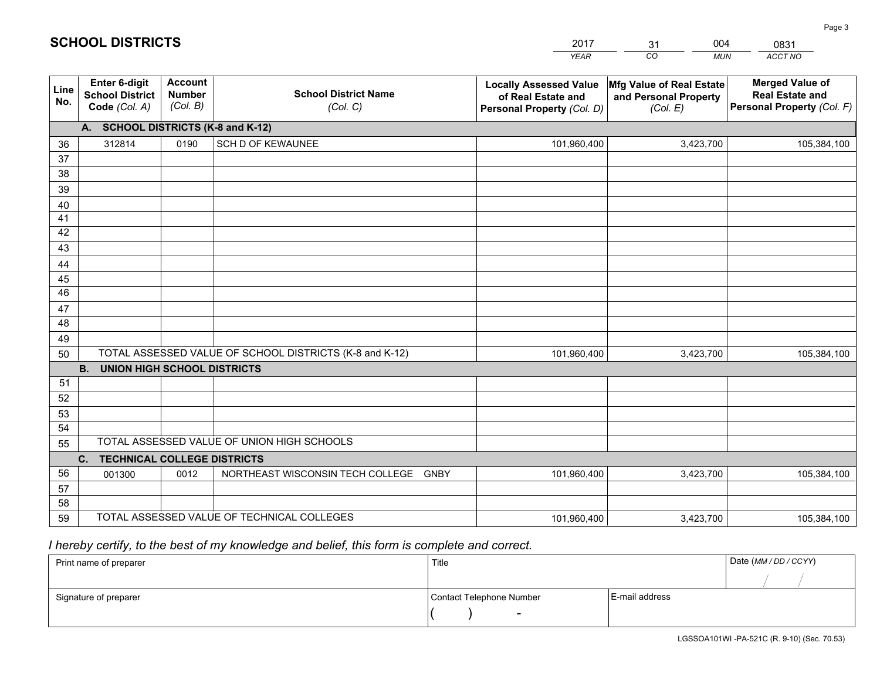|             |                                                                 |                                             |                                                         | <b>YEAR</b>                                                                       | CO<br><b>MUN</b>                                              | ACCT NO                                                                        |
|-------------|-----------------------------------------------------------------|---------------------------------------------|---------------------------------------------------------|-----------------------------------------------------------------------------------|---------------------------------------------------------------|--------------------------------------------------------------------------------|
| Line<br>No. | <b>Enter 6-digit</b><br><b>School District</b><br>Code (Col. A) | <b>Account</b><br><b>Number</b><br>(Col. B) | <b>School District Name</b><br>(Col. C)                 | <b>Locally Assessed Value</b><br>of Real Estate and<br>Personal Property (Col. D) | Mfg Value of Real Estate<br>and Personal Property<br>(Col. E) | <b>Merged Value of</b><br><b>Real Estate and</b><br>Personal Property (Col. F) |
|             | A. SCHOOL DISTRICTS (K-8 and K-12)                              |                                             |                                                         |                                                                                   |                                                               |                                                                                |
| 36          | 312814                                                          | 0190                                        | <b>SCH D OF KEWAUNEE</b>                                | 101,960,400                                                                       | 3,423,700                                                     | 105,384,100                                                                    |
| 37          |                                                                 |                                             |                                                         |                                                                                   |                                                               |                                                                                |
| 38          |                                                                 |                                             |                                                         |                                                                                   |                                                               |                                                                                |
| 39          |                                                                 |                                             |                                                         |                                                                                   |                                                               |                                                                                |
| 40          |                                                                 |                                             |                                                         |                                                                                   |                                                               |                                                                                |
| 41          |                                                                 |                                             |                                                         |                                                                                   |                                                               |                                                                                |
| 42          |                                                                 |                                             |                                                         |                                                                                   |                                                               |                                                                                |
| 43          |                                                                 |                                             |                                                         |                                                                                   |                                                               |                                                                                |
| 44<br>45    |                                                                 |                                             |                                                         |                                                                                   |                                                               |                                                                                |
| 46          |                                                                 |                                             |                                                         |                                                                                   |                                                               |                                                                                |
| 47          |                                                                 |                                             |                                                         |                                                                                   |                                                               |                                                                                |
| 48          |                                                                 |                                             |                                                         |                                                                                   |                                                               |                                                                                |
| 49          |                                                                 |                                             |                                                         |                                                                                   |                                                               |                                                                                |
| 50          |                                                                 |                                             | TOTAL ASSESSED VALUE OF SCHOOL DISTRICTS (K-8 and K-12) | 101,960,400                                                                       | 3,423,700                                                     | 105,384,100                                                                    |
|             | <b>B.</b><br><b>UNION HIGH SCHOOL DISTRICTS</b>                 |                                             |                                                         |                                                                                   |                                                               |                                                                                |
| 51          |                                                                 |                                             |                                                         |                                                                                   |                                                               |                                                                                |
| 52          |                                                                 |                                             |                                                         |                                                                                   |                                                               |                                                                                |
| 53          |                                                                 |                                             |                                                         |                                                                                   |                                                               |                                                                                |
| 54          |                                                                 |                                             |                                                         |                                                                                   |                                                               |                                                                                |
| 55          |                                                                 |                                             | TOTAL ASSESSED VALUE OF UNION HIGH SCHOOLS              |                                                                                   |                                                               |                                                                                |
|             | C.<br><b>TECHNICAL COLLEGE DISTRICTS</b>                        |                                             |                                                         |                                                                                   |                                                               |                                                                                |
| 56          | 001300                                                          | 0012                                        | NORTHEAST WISCONSIN TECH COLLEGE<br><b>GNBY</b>         | 101,960,400                                                                       | 3,423,700                                                     | 105,384,100                                                                    |
| 57          |                                                                 |                                             |                                                         |                                                                                   |                                                               |                                                                                |
| 58          |                                                                 |                                             |                                                         |                                                                                   |                                                               |                                                                                |
| 59          |                                                                 |                                             | TOTAL ASSESSED VALUE OF TECHNICAL COLLEGES              | 101,960,400                                                                       | 3,423,700                                                     | 105,384,100                                                                    |

31

004

 *I hereby certify, to the best of my knowledge and belief, this form is complete and correct.*

**SCHOOL DISTRICTS**

| Print name of preparer | Title                    |                | Date (MM / DD / CCYY) |
|------------------------|--------------------------|----------------|-----------------------|
|                        |                          |                |                       |
| Signature of preparer  | Contact Telephone Number | E-mail address |                       |
|                        | $\overline{\phantom{a}}$ |                |                       |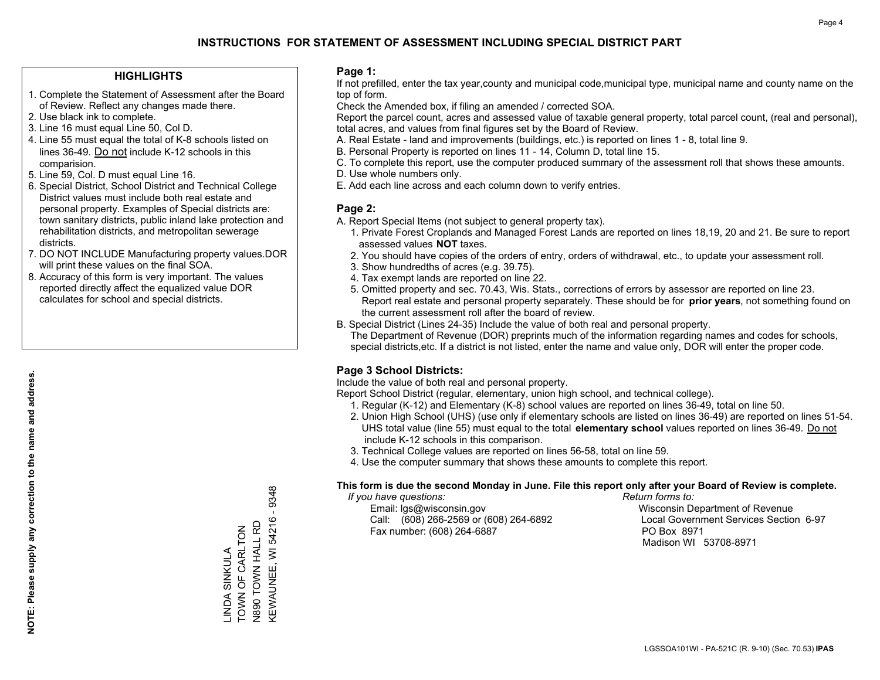### **HIGHLIGHTS**

- 1. Complete the Statement of Assessment after the Board of Review. Reflect any changes made there.
- 2. Use black ink to complete.
- 3. Line 16 must equal Line 50, Col D.
- 4. Line 55 must equal the total of K-8 schools listed on lines 36-49. Do not include K-12 schools in this comparision.
- 5. Line 59, Col. D must equal Line 16.
- 6. Special District, School District and Technical College District values must include both real estate and personal property. Examples of Special districts are: town sanitary districts, public inland lake protection and rehabilitation districts, and metropolitan sewerage districts.
- 7. DO NOT INCLUDE Manufacturing property values.DOR will print these values on the final SOA.
- 8. Accuracy of this form is very important. The values reported directly affect the equalized value DOR calculates for school and special districts.

#### **Page 1:**

 If not prefilled, enter the tax year,county and municipal code,municipal type, municipal name and county name on the top of form.

Check the Amended box, if filing an amended / corrected SOA.

 Report the parcel count, acres and assessed value of taxable general property, total parcel count, (real and personal), total acres, and values from final figures set by the Board of Review.

- A. Real Estate land and improvements (buildings, etc.) is reported on lines 1 8, total line 9.
- B. Personal Property is reported on lines 11 14, Column D, total line 15.
- C. To complete this report, use the computer produced summary of the assessment roll that shows these amounts.
- D. Use whole numbers only.
- E. Add each line across and each column down to verify entries.

### **Page 2:**

- A. Report Special Items (not subject to general property tax).
- 1. Private Forest Croplands and Managed Forest Lands are reported on lines 18,19, 20 and 21. Be sure to report assessed values **NOT** taxes.
- 2. You should have copies of the orders of entry, orders of withdrawal, etc., to update your assessment roll.
	- 3. Show hundredths of acres (e.g. 39.75).
- 4. Tax exempt lands are reported on line 22.
- 5. Omitted property and sec. 70.43, Wis. Stats., corrections of errors by assessor are reported on line 23. Report real estate and personal property separately. These should be for **prior years**, not something found on the current assessment roll after the board of review.
- B. Special District (Lines 24-35) Include the value of both real and personal property.
- The Department of Revenue (DOR) preprints much of the information regarding names and codes for schools, special districts,etc. If a district is not listed, enter the name and value only, DOR will enter the proper code.

## **Page 3 School Districts:**

Include the value of both real and personal property.

Report School District (regular, elementary, union high school, and technical college).

- 1. Regular (K-12) and Elementary (K-8) school values are reported on lines 36-49, total on line 50.
- 2. Union High School (UHS) (use only if elementary schools are listed on lines 36-49) are reported on lines 51-54. UHS total value (line 55) must equal to the total **elementary school** values reported on lines 36-49. Do notinclude K-12 schools in this comparison.
- 3. Technical College values are reported on lines 56-58, total on line 59.
- 4. Use the computer summary that shows these amounts to complete this report.

#### **This form is due the second Monday in June. File this report only after your Board of Review is complete.**

 *If you have questions: Return forms to:*

 Email: lgs@wisconsin.gov Wisconsin Department of RevenueCall:  $(608)$  266-2569 or  $(608)$  264-6892 Fax number: (608) 264-6887 PO Box 8971

Local Government Services Section 6-97 Madison WI 53708-8971

9348 KEWAUNEE, WI 54216 - 9348  $\mathbf{I}$ KEWAUNEE, WI 54216 **U890 TOWN HALL RD** N890 TOWN HALL RD TOWN OF CARLTON LINDA SINKULA<br>TOWN OF CARLTON LINDA SINKULA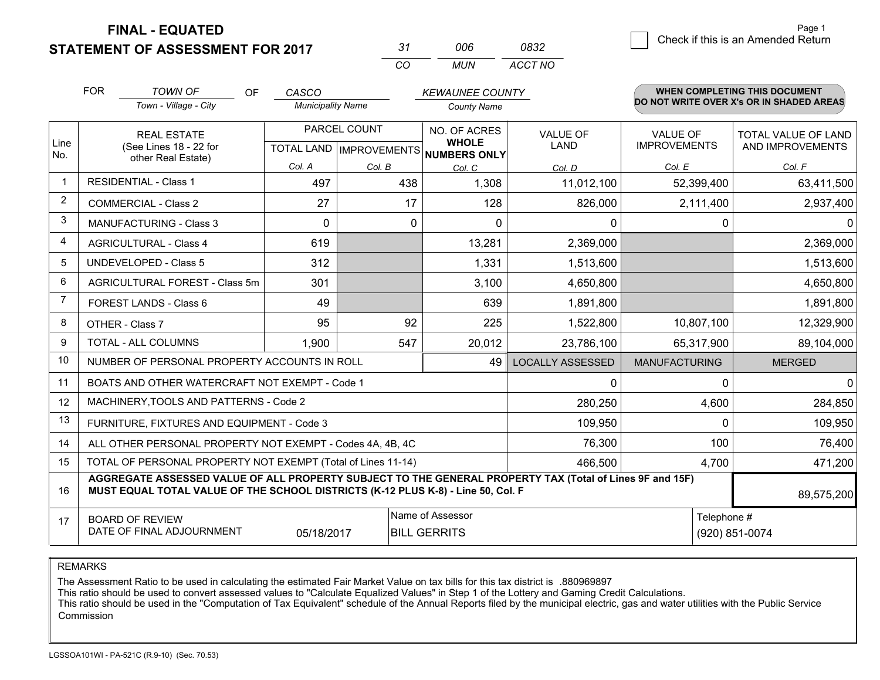## **STATEMENT OF ASSESSMENT FOR 2017**

| -37 | 006 | 0832    |
|-----|-----|---------|
| cо  | MUN | ACCT NO |

|                         | <b>FOR</b><br><b>TOWN OF</b><br><b>OF</b><br>Town - Village - City                                                                                                                           | CASCO<br><b>Municipality Name</b> |                                           | <b>KEWAUNEE COUNTY</b><br><b>County Name</b> |                                |                                        | <b>WHEN COMPLETING THIS DOCUMENT</b><br>DO NOT WRITE OVER X's OR IN SHADED AREAS |
|-------------------------|----------------------------------------------------------------------------------------------------------------------------------------------------------------------------------------------|-----------------------------------|-------------------------------------------|----------------------------------------------|--------------------------------|----------------------------------------|----------------------------------------------------------------------------------|
| Line<br>No.             | <b>REAL ESTATE</b><br>(See Lines 18 - 22 for<br>other Real Estate)                                                                                                                           |                                   | PARCEL COUNT<br>TOTAL LAND   IMPROVEMENTS |                                              | <b>VALUE OF</b><br><b>LAND</b> | <b>VALUE OF</b><br><b>IMPROVEMENTS</b> | TOTAL VALUE OF LAND<br>AND IMPROVEMENTS                                          |
|                         |                                                                                                                                                                                              | Col. A                            | Col. B                                    | NUMBERS ONLY<br>Col. C                       | Col. D                         | Col. E                                 | Col. F                                                                           |
| $\overline{\mathbf{1}}$ | <b>RESIDENTIAL - Class 1</b>                                                                                                                                                                 | 497                               | 438                                       | 1,308                                        | 11,012,100                     | 52,399,400                             | 63,411,500                                                                       |
| 2                       | <b>COMMERCIAL - Class 2</b>                                                                                                                                                                  | 27                                | 17                                        | 128                                          | 826,000                        | 2,111,400                              | 2,937,400                                                                        |
| 3                       | <b>MANUFACTURING - Class 3</b>                                                                                                                                                               | $\mathbf 0$                       | 0                                         | $\Omega$                                     | 0                              | 0                                      | $\mathbf{0}$                                                                     |
| 4                       | <b>AGRICULTURAL - Class 4</b>                                                                                                                                                                | 619                               |                                           | 13,281                                       | 2,369,000                      |                                        | 2,369,000                                                                        |
| 5                       | <b>UNDEVELOPED - Class 5</b>                                                                                                                                                                 | 312                               |                                           | 1,331                                        | 1,513,600                      |                                        | 1,513,600                                                                        |
| 6                       | AGRICULTURAL FOREST - Class 5m                                                                                                                                                               | 301                               |                                           | 3,100                                        | 4,650,800                      |                                        | 4,650,800                                                                        |
| $\overline{7}$          | FOREST LANDS - Class 6                                                                                                                                                                       | 49                                |                                           | 639                                          | 1,891,800                      |                                        | 1,891,800                                                                        |
| 8                       | OTHER - Class 7                                                                                                                                                                              | 95                                | 92                                        | 225                                          | 1,522,800                      | 10,807,100                             | 12,329,900                                                                       |
| 9                       | TOTAL - ALL COLUMNS                                                                                                                                                                          | 1,900                             | 547                                       | 20,012                                       | 23,786,100                     | 65,317,900                             | 89,104,000                                                                       |
| 10                      | NUMBER OF PERSONAL PROPERTY ACCOUNTS IN ROLL                                                                                                                                                 |                                   |                                           | 49                                           | <b>LOCALLY ASSESSED</b>        | <b>MANUFACTURING</b>                   | <b>MERGED</b>                                                                    |
| 11                      | BOATS AND OTHER WATERCRAFT NOT EXEMPT - Code 1                                                                                                                                               |                                   |                                           |                                              | 0                              | $\Omega$                               | $\mathbf{0}$                                                                     |
| 12                      | MACHINERY, TOOLS AND PATTERNS - Code 2                                                                                                                                                       |                                   |                                           |                                              | 280,250                        | 4,600                                  | 284,850                                                                          |
| 13                      | FURNITURE, FIXTURES AND EQUIPMENT - Code 3                                                                                                                                                   |                                   |                                           |                                              | 109,950                        | $\Omega$                               | 109,950                                                                          |
| 14                      | ALL OTHER PERSONAL PROPERTY NOT EXEMPT - Codes 4A, 4B, 4C                                                                                                                                    |                                   |                                           |                                              | 76,300                         | 100                                    | 76,400                                                                           |
| 15                      | TOTAL OF PERSONAL PROPERTY NOT EXEMPT (Total of Lines 11-14)                                                                                                                                 |                                   | 466,500                                   | 4,700                                        | 471,200                        |                                        |                                                                                  |
| 16                      | AGGREGATE ASSESSED VALUE OF ALL PROPERTY SUBJECT TO THE GENERAL PROPERTY TAX (Total of Lines 9F and 15F)<br>MUST EQUAL TOTAL VALUE OF THE SCHOOL DISTRICTS (K-12 PLUS K-8) - Line 50, Col. F |                                   |                                           |                                              |                                |                                        | 89,575,200                                                                       |
| 17                      | Name of Assessor<br>Telephone #<br><b>BOARD OF REVIEW</b><br>DATE OF FINAL ADJOURNMENT<br>05/18/2017<br><b>BILL GERRITS</b>                                                                  |                                   |                                           |                                              |                                | (920) 851-0074                         |                                                                                  |

REMARKS

The Assessment Ratio to be used in calculating the estimated Fair Market Value on tax bills for this tax district is .880969897<br>This ratio should be used to convert assessed values to "Calculate Equalized Values" in Step 1 Commission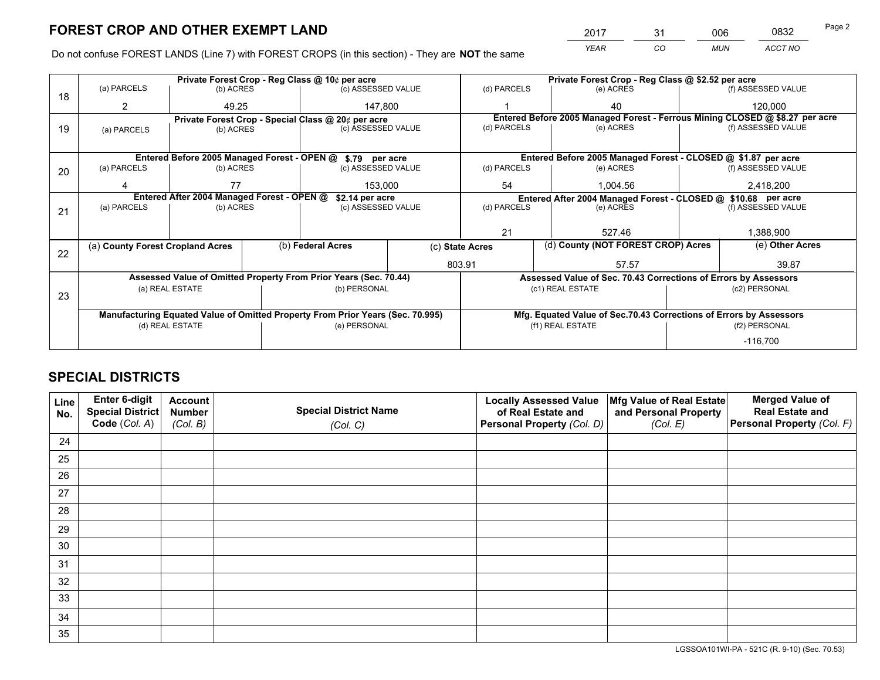*YEAR CO MUN ACCT NO* <sup>2017</sup> <sup>31</sup> <sup>006</sup> <sup>0832</sup> Page 2

Do not confuse FOREST LANDS (Line 7) with FOREST CROPS (in this section) - They are **NOT** the same

|    |                                                                                |                 |  | Private Forest Crop - Reg Class @ 10¢ per acre                   |                                                               | Private Forest Crop - Reg Class @ \$2.52 per acre                            |                                                                    |            |                    |  |
|----|--------------------------------------------------------------------------------|-----------------|--|------------------------------------------------------------------|---------------------------------------------------------------|------------------------------------------------------------------------------|--------------------------------------------------------------------|------------|--------------------|--|
| 18 | (a) PARCELS                                                                    | (b) ACRES       |  | (c) ASSESSED VALUE                                               |                                                               | (d) PARCELS                                                                  | (e) ACRES                                                          |            | (f) ASSESSED VALUE |  |
|    | 2                                                                              | 49.25           |  | 147,800                                                          |                                                               |                                                                              | 40                                                                 |            | 120,000            |  |
|    |                                                                                |                 |  | Private Forest Crop - Special Class @ 20¢ per acre               |                                                               | Entered Before 2005 Managed Forest - Ferrous Mining CLOSED @ \$8.27 per acre |                                                                    |            |                    |  |
| 19 | (a) PARCELS                                                                    | (b) ACRES       |  | (c) ASSESSED VALUE                                               |                                                               | (d) PARCELS                                                                  | (e) ACRES                                                          |            | (f) ASSESSED VALUE |  |
|    |                                                                                |                 |  |                                                                  |                                                               |                                                                              |                                                                    |            |                    |  |
|    |                                                                                |                 |  | Entered Before 2005 Managed Forest - OPEN @ \$.79 per acre       |                                                               |                                                                              | Entered Before 2005 Managed Forest - CLOSED @ \$1.87 per acre      |            |                    |  |
| 20 | (a) PARCELS                                                                    | (b) ACRES       |  | (c) ASSESSED VALUE                                               |                                                               | (d) PARCELS                                                                  | (e) ACRES                                                          |            | (f) ASSESSED VALUE |  |
|    |                                                                                | 77<br>153.000   |  |                                                                  | 54                                                            | 1.004.56                                                                     |                                                                    | 2,418,200  |                    |  |
|    | Entered After 2004 Managed Forest - OPEN @<br>\$2.14 per acre                  |                 |  |                                                                  | Entered After 2004 Managed Forest - CLOSED @ \$10.68 per acre |                                                                              |                                                                    |            |                    |  |
| 21 | (a) PARCELS                                                                    | (b) ACRES       |  | (c) ASSESSED VALUE                                               |                                                               | (d) PARCELS<br>(e) ACRES                                                     |                                                                    |            | (f) ASSESSED VALUE |  |
|    |                                                                                |                 |  |                                                                  |                                                               |                                                                              |                                                                    |            |                    |  |
|    |                                                                                |                 |  |                                                                  |                                                               | 21                                                                           | 527.46                                                             |            | 1,388,900          |  |
| 22 | (a) County Forest Cropland Acres                                               |                 |  | (b) Federal Acres                                                |                                                               | (d) County (NOT FOREST CROP) Acres<br>(c) State Acres                        |                                                                    |            | (e) Other Acres    |  |
|    |                                                                                |                 |  |                                                                  | 803.91                                                        |                                                                              | 57.57                                                              |            | 39.87              |  |
|    |                                                                                |                 |  | Assessed Value of Omitted Property From Prior Years (Sec. 70.44) |                                                               |                                                                              | Assessed Value of Sec. 70.43 Corrections of Errors by Assessors    |            |                    |  |
|    |                                                                                | (a) REAL ESTATE |  | (b) PERSONAL                                                     |                                                               |                                                                              | (c1) REAL ESTATE                                                   |            | (c2) PERSONAL      |  |
| 23 |                                                                                |                 |  |                                                                  |                                                               |                                                                              |                                                                    |            |                    |  |
|    | Manufacturing Equated Value of Omitted Property From Prior Years (Sec. 70.995) |                 |  |                                                                  |                                                               |                                                                              | Mfg. Equated Value of Sec.70.43 Corrections of Errors by Assessors |            |                    |  |
|    |                                                                                | (d) REAL ESTATE |  | (e) PERSONAL                                                     |                                                               | (f1) REAL ESTATE                                                             |                                                                    |            | (f2) PERSONAL      |  |
|    |                                                                                |                 |  |                                                                  |                                                               |                                                                              |                                                                    | $-116,700$ |                    |  |

## **SPECIAL DISTRICTS**

| Line<br>No. | Enter 6-digit<br><b>Special District</b> | <b>Account</b><br><b>Number</b> | <b>Special District Name</b> | <b>Locally Assessed Value</b><br>of Real Estate and | Mfg Value of Real Estate<br>and Personal Property | <b>Merged Value of</b><br><b>Real Estate and</b> |
|-------------|------------------------------------------|---------------------------------|------------------------------|-----------------------------------------------------|---------------------------------------------------|--------------------------------------------------|
|             | Code (Col. A)                            | (Col. B)                        | (Col. C)                     | Personal Property (Col. D)                          | (Col. E)                                          | Personal Property (Col. F)                       |
| 24          |                                          |                                 |                              |                                                     |                                                   |                                                  |
| 25          |                                          |                                 |                              |                                                     |                                                   |                                                  |
| 26          |                                          |                                 |                              |                                                     |                                                   |                                                  |
| 27          |                                          |                                 |                              |                                                     |                                                   |                                                  |
| 28          |                                          |                                 |                              |                                                     |                                                   |                                                  |
| 29          |                                          |                                 |                              |                                                     |                                                   |                                                  |
| 30          |                                          |                                 |                              |                                                     |                                                   |                                                  |
| 31          |                                          |                                 |                              |                                                     |                                                   |                                                  |
| 32          |                                          |                                 |                              |                                                     |                                                   |                                                  |
| 33          |                                          |                                 |                              |                                                     |                                                   |                                                  |
| 34          |                                          |                                 |                              |                                                     |                                                   |                                                  |
| 35          |                                          |                                 |                              |                                                     |                                                   |                                                  |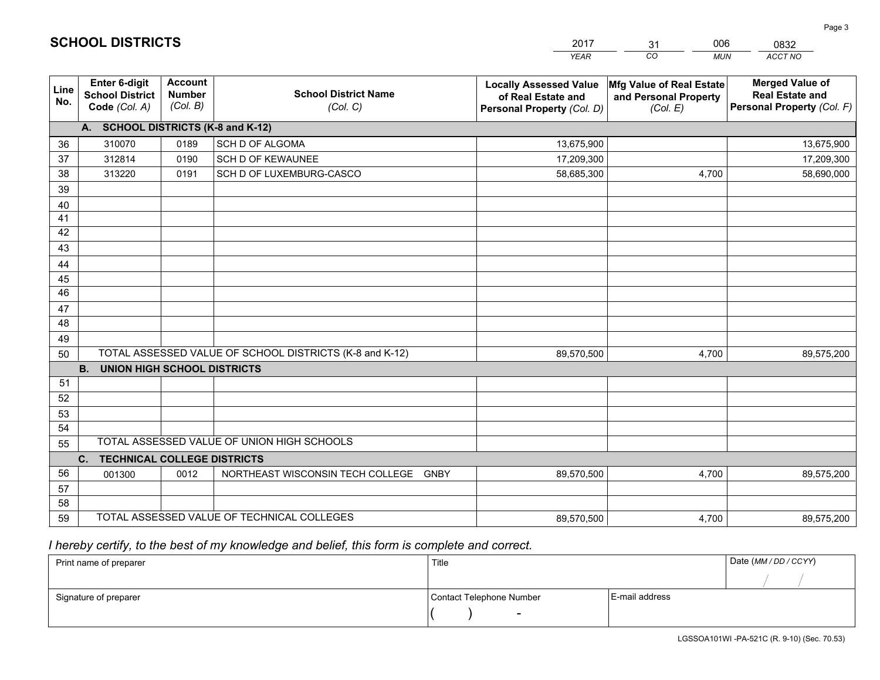|             |                                                          |                                             |                                                         | <b>YEAR</b>                                                                       | CO<br><b>MUN</b>                                              | ACCT NO                                                                        |
|-------------|----------------------------------------------------------|---------------------------------------------|---------------------------------------------------------|-----------------------------------------------------------------------------------|---------------------------------------------------------------|--------------------------------------------------------------------------------|
| Line<br>No. | Enter 6-digit<br><b>School District</b><br>Code (Col. A) | <b>Account</b><br><b>Number</b><br>(Col. B) | <b>School District Name</b><br>(Col. C)                 | <b>Locally Assessed Value</b><br>of Real Estate and<br>Personal Property (Col. D) | Mfg Value of Real Estate<br>and Personal Property<br>(Col. E) | <b>Merged Value of</b><br><b>Real Estate and</b><br>Personal Property (Col. F) |
|             | A. SCHOOL DISTRICTS (K-8 and K-12)                       |                                             |                                                         |                                                                                   |                                                               |                                                                                |
| 36          | 310070                                                   | 0189                                        | SCH D OF ALGOMA                                         | 13,675,900                                                                        |                                                               | 13,675,900                                                                     |
| 37          | 312814                                                   | 0190                                        | <b>SCH D OF KEWAUNEE</b>                                | 17,209,300                                                                        |                                                               | 17,209,300                                                                     |
| 38          | 313220                                                   | 0191                                        | SCH D OF LUXEMBURG-CASCO                                | 58,685,300                                                                        | 4,700                                                         | 58,690,000                                                                     |
| 39          |                                                          |                                             |                                                         |                                                                                   |                                                               |                                                                                |
| 40          |                                                          |                                             |                                                         |                                                                                   |                                                               |                                                                                |
| 41          |                                                          |                                             |                                                         |                                                                                   |                                                               |                                                                                |
| 42          |                                                          |                                             |                                                         |                                                                                   |                                                               |                                                                                |
| 43          |                                                          |                                             |                                                         |                                                                                   |                                                               |                                                                                |
| 44          |                                                          |                                             |                                                         |                                                                                   |                                                               |                                                                                |
| 45<br>46    |                                                          |                                             |                                                         |                                                                                   |                                                               |                                                                                |
|             |                                                          |                                             |                                                         |                                                                                   |                                                               |                                                                                |
| 47<br>48    |                                                          |                                             |                                                         |                                                                                   |                                                               |                                                                                |
|             |                                                          |                                             |                                                         |                                                                                   |                                                               |                                                                                |
| 49<br>50    |                                                          |                                             | TOTAL ASSESSED VALUE OF SCHOOL DISTRICTS (K-8 and K-12) | 89,570,500                                                                        | 4,700                                                         | 89,575,200                                                                     |
|             | <b>UNION HIGH SCHOOL DISTRICTS</b><br><b>B.</b>          |                                             |                                                         |                                                                                   |                                                               |                                                                                |
| 51          |                                                          |                                             |                                                         |                                                                                   |                                                               |                                                                                |
| 52          |                                                          |                                             |                                                         |                                                                                   |                                                               |                                                                                |
| 53          |                                                          |                                             |                                                         |                                                                                   |                                                               |                                                                                |
| 54          |                                                          |                                             |                                                         |                                                                                   |                                                               |                                                                                |
| 55          |                                                          |                                             | TOTAL ASSESSED VALUE OF UNION HIGH SCHOOLS              |                                                                                   |                                                               |                                                                                |
|             | C.<br><b>TECHNICAL COLLEGE DISTRICTS</b>                 |                                             |                                                         |                                                                                   |                                                               |                                                                                |
| 56          | 001300                                                   | 0012                                        | NORTHEAST WISCONSIN TECH COLLEGE GNBY                   | 89,570,500                                                                        | 4,700                                                         | 89,575,200                                                                     |
| 57          |                                                          |                                             |                                                         |                                                                                   |                                                               |                                                                                |
| 58          |                                                          |                                             |                                                         |                                                                                   |                                                               |                                                                                |
| 59          |                                                          |                                             | TOTAL ASSESSED VALUE OF TECHNICAL COLLEGES              | 89,570,500                                                                        | 4,700                                                         | 89,575,200                                                                     |

31

006

 *I hereby certify, to the best of my knowledge and belief, this form is complete and correct.*

**SCHOOL DISTRICTS**

| Print name of preparer | Title                    |                | Date (MM / DD / CCYY) |
|------------------------|--------------------------|----------------|-----------------------|
|                        |                          |                |                       |
| Signature of preparer  | Contact Telephone Number | E-mail address |                       |
|                        | $\sim$                   |                |                       |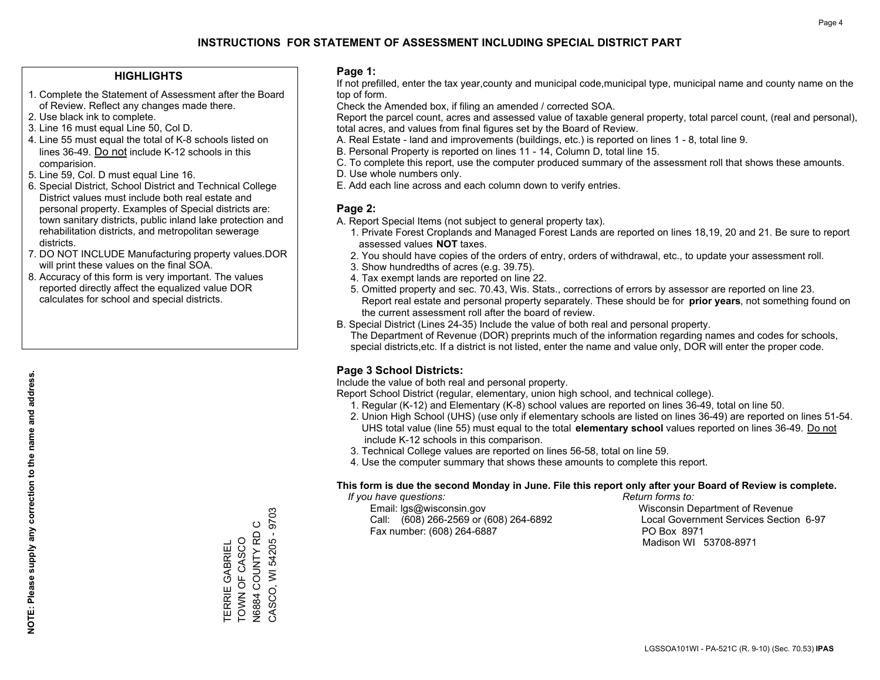### **HIGHLIGHTS**

- 1. Complete the Statement of Assessment after the Board of Review. Reflect any changes made there.
- 2. Use black ink to complete.
- 3. Line 16 must equal Line 50, Col D.
- 4. Line 55 must equal the total of K-8 schools listed on lines 36-49. Do not include K-12 schools in this comparision.
- 5. Line 59, Col. D must equal Line 16.
- 6. Special District, School District and Technical College District values must include both real estate and personal property. Examples of Special districts are: town sanitary districts, public inland lake protection and rehabilitation districts, and metropolitan sewerage districts.
- 7. DO NOT INCLUDE Manufacturing property values.DOR will print these values on the final SOA.
- 8. Accuracy of this form is very important. The values reported directly affect the equalized value DOR calculates for school and special districts.

#### **Page 1:**

 If not prefilled, enter the tax year,county and municipal code,municipal type, municipal name and county name on the top of form.

Check the Amended box, if filing an amended / corrected SOA.

 Report the parcel count, acres and assessed value of taxable general property, total parcel count, (real and personal), total acres, and values from final figures set by the Board of Review.

- A. Real Estate land and improvements (buildings, etc.) is reported on lines 1 8, total line 9.
- B. Personal Property is reported on lines 11 14, Column D, total line 15.
- C. To complete this report, use the computer produced summary of the assessment roll that shows these amounts.
- D. Use whole numbers only.
- E. Add each line across and each column down to verify entries.

## **Page 2:**

- A. Report Special Items (not subject to general property tax).
- 1. Private Forest Croplands and Managed Forest Lands are reported on lines 18,19, 20 and 21. Be sure to report assessed values **NOT** taxes.
- 2. You should have copies of the orders of entry, orders of withdrawal, etc., to update your assessment roll.
	- 3. Show hundredths of acres (e.g. 39.75).
- 4. Tax exempt lands are reported on line 22.
- 5. Omitted property and sec. 70.43, Wis. Stats., corrections of errors by assessor are reported on line 23. Report real estate and personal property separately. These should be for **prior years**, not something found on the current assessment roll after the board of review.
- B. Special District (Lines 24-35) Include the value of both real and personal property.

 The Department of Revenue (DOR) preprints much of the information regarding names and codes for schools, special districts,etc. If a district is not listed, enter the name and value only, DOR will enter the proper code.

## **Page 3 School Districts:**

Include the value of both real and personal property.

Report School District (regular, elementary, union high school, and technical college).

- 1. Regular (K-12) and Elementary (K-8) school values are reported on lines 36-49, total on line 50.
- 2. Union High School (UHS) (use only if elementary schools are listed on lines 36-49) are reported on lines 51-54. UHS total value (line 55) must equal to the total **elementary school** values reported on lines 36-49. Do notinclude K-12 schools in this comparison.
- 3. Technical College values are reported on lines 56-58, total on line 59.
- 4. Use the computer summary that shows these amounts to complete this report.

#### **This form is due the second Monday in June. File this report only after your Board of Review is complete.**

 *If you have questions: Return forms to:*

 Email: lgs@wisconsin.gov Wisconsin Department of RevenueCall:  $(608)$  266-2569 or  $(608)$  264-6892 Fax number: (608) 264-6887 PO Box 8971

Local Government Services Section 6-97 Madison WI 53708-8971

N6884 COUNTY RD C CASCO, WI 54205 - 9703

CASCO, WI 54205 - 9703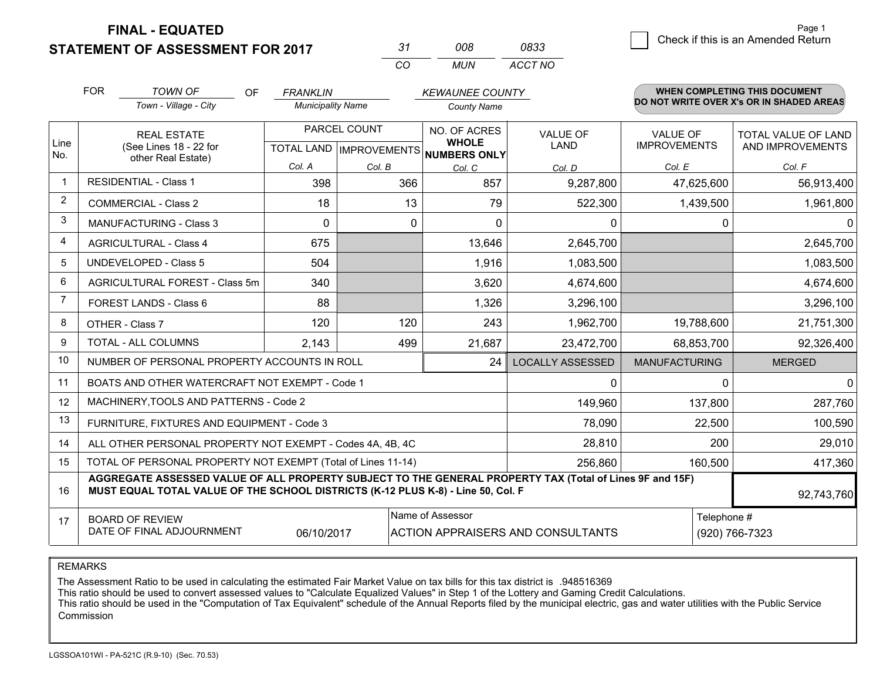**STATEMENT OF ASSESSMENT FOR 2017** 

| -31 | nnr  | 0833    |
|-----|------|---------|
| CO. | MUN. | ACCT NO |

|                | <b>FOR</b><br><b>TOWN OF</b><br>OF<br><b>FRANKLIN</b><br><b>Municipality Name</b>                                                                                                            |                                                              |              | <b>KEWAUNEE COUNTY</b>                               |                    | WHEN COMPLETING THIS DOCUMENT<br>DO NOT WRITE OVER X's OR IN SHADED AREAS |                      |                     |  |
|----------------|----------------------------------------------------------------------------------------------------------------------------------------------------------------------------------------------|--------------------------------------------------------------|--------------|------------------------------------------------------|--------------------|---------------------------------------------------------------------------|----------------------|---------------------|--|
|                |                                                                                                                                                                                              | Town - Village - City                                        |              |                                                      | <b>County Name</b> |                                                                           |                      |                     |  |
|                | <b>REAL ESTATE</b>                                                                                                                                                                           |                                                              | PARCEL COUNT |                                                      | NO. OF ACRES       | <b>VALUE OF</b>                                                           | <b>VALUE OF</b>      | TOTAL VALUE OF LAND |  |
| Line<br>No.    | (See Lines 18 - 22 for<br>other Real Estate)                                                                                                                                                 |                                                              |              | <b>WHOLE</b><br>TOTAL LAND IMPROVEMENTS NUMBERS ONLY | <b>LAND</b>        | <b>IMPROVEMENTS</b>                                                       | AND IMPROVEMENTS     |                     |  |
|                |                                                                                                                                                                                              |                                                              | Col. A       | Col. B                                               | Col. C             | Col. D                                                                    | Col. E               | Col. F              |  |
| $\mathbf{1}$   | <b>RESIDENTIAL - Class 1</b>                                                                                                                                                                 |                                                              | 398          | 366                                                  | 857                | 9,287,800                                                                 | 47,625,600           | 56,913,400          |  |
| $\overline{2}$ | <b>COMMERCIAL - Class 2</b>                                                                                                                                                                  |                                                              | 18           | 13                                                   | 79                 | 522,300                                                                   | 1,439,500            | 1,961,800           |  |
| 3              |                                                                                                                                                                                              | <b>MANUFACTURING - Class 3</b>                               | $\Omega$     | 0                                                    | $\Omega$           | $\mathbf{0}$                                                              | 0                    | 0                   |  |
| $\overline{4}$ | <b>AGRICULTURAL - Class 4</b>                                                                                                                                                                |                                                              | 675          |                                                      | 13,646             | 2,645,700                                                                 |                      | 2,645,700           |  |
| 5              | <b>UNDEVELOPED - Class 5</b>                                                                                                                                                                 |                                                              | 504          |                                                      | 1,916              | 1,083,500                                                                 |                      | 1,083,500           |  |
| 6              |                                                                                                                                                                                              | AGRICULTURAL FOREST - Class 5m                               | 340          |                                                      | 3,620              | 4,674,600                                                                 |                      | 4,674,600           |  |
| $\overline{7}$ | FOREST LANDS - Class 6                                                                                                                                                                       |                                                              | 88           |                                                      | 1,326              | 3,296,100                                                                 |                      | 3,296,100           |  |
| 8              | OTHER - Class 7                                                                                                                                                                              |                                                              | 120          | 120                                                  | 243                | 1,962,700                                                                 | 19,788,600           | 21,751,300          |  |
| 9              | TOTAL - ALL COLUMNS                                                                                                                                                                          |                                                              | 2,143        | 499                                                  | 21,687             | 23,472,700                                                                | 68,853,700           | 92,326,400          |  |
| 10             |                                                                                                                                                                                              | NUMBER OF PERSONAL PROPERTY ACCOUNTS IN ROLL                 |              |                                                      | 24                 | <b>LOCALLY ASSESSED</b>                                                   | <b>MANUFACTURING</b> | <b>MERGED</b>       |  |
| 11             |                                                                                                                                                                                              | BOATS AND OTHER WATERCRAFT NOT EXEMPT - Code 1               |              |                                                      |                    | 0                                                                         | 0                    | $\Omega$            |  |
| 12             |                                                                                                                                                                                              | MACHINERY, TOOLS AND PATTERNS - Code 2                       |              |                                                      |                    | 149,960                                                                   | 137,800              | 287,760             |  |
| 13             |                                                                                                                                                                                              | FURNITURE, FIXTURES AND EQUIPMENT - Code 3                   |              |                                                      |                    | 78,090                                                                    | 22,500               | 100,590             |  |
| 14             |                                                                                                                                                                                              | ALL OTHER PERSONAL PROPERTY NOT EXEMPT - Codes 4A, 4B, 4C    |              |                                                      |                    | 28,810                                                                    | 200                  | 29,010              |  |
| 15             |                                                                                                                                                                                              | TOTAL OF PERSONAL PROPERTY NOT EXEMPT (Total of Lines 11-14) |              |                                                      | 256,860            | 160,500                                                                   | 417,360              |                     |  |
| 16             | AGGREGATE ASSESSED VALUE OF ALL PROPERTY SUBJECT TO THE GENERAL PROPERTY TAX (Total of Lines 9F and 15F)<br>MUST EQUAL TOTAL VALUE OF THE SCHOOL DISTRICTS (K-12 PLUS K-8) - Line 50, Col. F |                                                              |              |                                                      |                    |                                                                           | 92,743,760           |                     |  |
| 17             | <b>BOARD OF REVIEW</b>                                                                                                                                                                       |                                                              |              |                                                      | Name of Assessor   |                                                                           |                      | Telephone #         |  |
|                |                                                                                                                                                                                              | DATE OF FINAL ADJOURNMENT                                    | 06/10/2017   |                                                      |                    | ACTION APPRAISERS AND CONSULTANTS                                         |                      | (920) 766-7323      |  |

REMARKS

The Assessment Ratio to be used in calculating the estimated Fair Market Value on tax bills for this tax district is .948516369

This ratio should be used to convert assessed values to "Calculate Equalized Values" in Step 1 of the Lottery and Gaming Credit Calculations.<br>This ratio should be used in the "Computation of Tax Equivalent" schedule of the Commission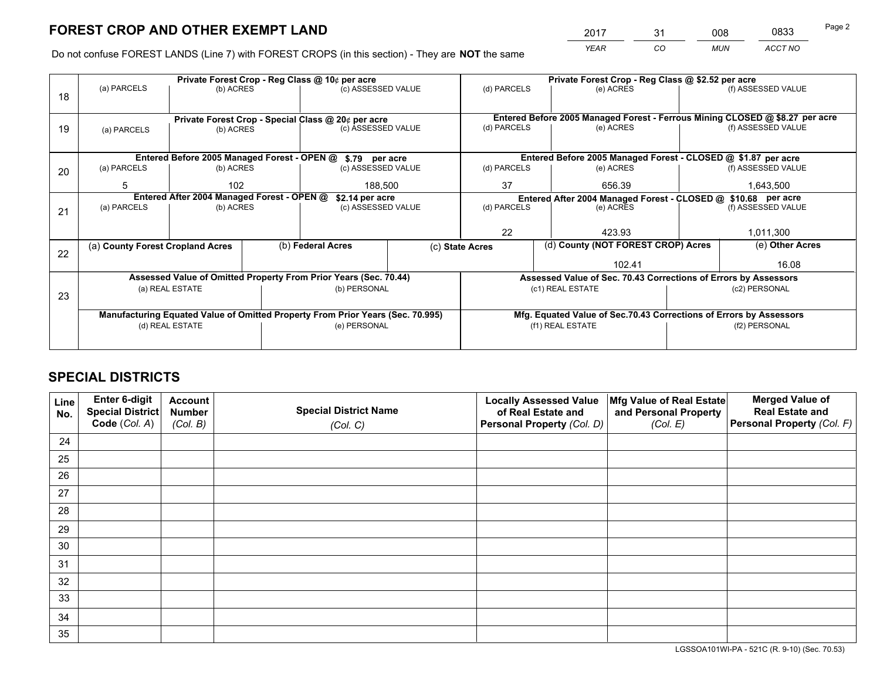*YEAR CO MUN ACCT NO* <sup>2017</sup> <sup>31</sup> <sup>008</sup> <sup>0833</sup>

Do not confuse FOREST LANDS (Line 7) with FOREST CROPS (in this section) - They are **NOT** the same

|    |                                                                                |                 |  | Private Forest Crop - Reg Class @ 10¢ per acre                   |                  | Private Forest Crop - Reg Class @ \$2.52 per acre                                   |                                                                    |               |                    |
|----|--------------------------------------------------------------------------------|-----------------|--|------------------------------------------------------------------|------------------|-------------------------------------------------------------------------------------|--------------------------------------------------------------------|---------------|--------------------|
| 18 | (a) PARCELS                                                                    | (b) ACRES       |  | (c) ASSESSED VALUE                                               |                  | (d) PARCELS                                                                         | (e) ACRES                                                          |               | (f) ASSESSED VALUE |
|    |                                                                                |                 |  |                                                                  |                  |                                                                                     |                                                                    |               |                    |
|    | Private Forest Crop - Special Class @ 20¢ per acre                             |                 |  |                                                                  |                  | Entered Before 2005 Managed Forest - Ferrous Mining CLOSED @ \$8.27 per acre        |                                                                    |               |                    |
| 19 | (a) PARCELS                                                                    | (b) ACRES       |  | (c) ASSESSED VALUE                                               |                  | (d) PARCELS                                                                         | (e) ACRES                                                          |               | (f) ASSESSED VALUE |
|    |                                                                                |                 |  |                                                                  |                  |                                                                                     |                                                                    |               |                    |
|    |                                                                                |                 |  | Entered Before 2005 Managed Forest - OPEN @ \$.79 per acre       |                  |                                                                                     | Entered Before 2005 Managed Forest - CLOSED @ \$1.87 per acre      |               |                    |
| 20 | (a) PARCELS                                                                    | (b) ACRES       |  | (c) ASSESSED VALUE                                               |                  | (d) PARCELS                                                                         | (e) ACRES                                                          |               | (f) ASSESSED VALUE |
|    | 5                                                                              | 102<br>188,500  |  |                                                                  | 37               | 656.39                                                                              |                                                                    | 1,643,500     |                    |
|    | Entered After 2004 Managed Forest - OPEN @<br>\$2.14 per acre                  |                 |  |                                                                  |                  | Entered After 2004 Managed Forest - CLOSED @ \$10.68 per acre<br>(f) ASSESSED VALUE |                                                                    |               |                    |
| 21 | (a) PARCELS                                                                    | (b) ACRES       |  | (c) ASSESSED VALUE                                               | (d) PARCELS      |                                                                                     | (e) ACRES                                                          |               |                    |
|    |                                                                                |                 |  |                                                                  |                  |                                                                                     |                                                                    |               |                    |
|    |                                                                                |                 |  |                                                                  |                  | 22                                                                                  | 423.93                                                             |               | 1,011,300          |
| 22 | (a) County Forest Cropland Acres                                               |                 |  | (b) Federal Acres                                                |                  | (c) State Acres                                                                     | (d) County (NOT FOREST CROP) Acres                                 |               | (e) Other Acres    |
|    |                                                                                |                 |  |                                                                  |                  |                                                                                     | 102.41                                                             | 16.08         |                    |
|    |                                                                                |                 |  | Assessed Value of Omitted Property From Prior Years (Sec. 70.44) |                  |                                                                                     | Assessed Value of Sec. 70.43 Corrections of Errors by Assessors    |               |                    |
| 23 |                                                                                | (a) REAL ESTATE |  | (b) PERSONAL                                                     |                  |                                                                                     | (c1) REAL ESTATE                                                   | (c2) PERSONAL |                    |
|    |                                                                                |                 |  |                                                                  |                  |                                                                                     |                                                                    |               |                    |
|    | Manufacturing Equated Value of Omitted Property From Prior Years (Sec. 70.995) |                 |  |                                                                  |                  |                                                                                     | Mfg. Equated Value of Sec.70.43 Corrections of Errors by Assessors |               |                    |
|    | (e) PERSONAL<br>(d) REAL ESTATE                                                |                 |  |                                                                  | (f1) REAL ESTATE |                                                                                     | (f2) PERSONAL                                                      |               |                    |
|    |                                                                                |                 |  |                                                                  |                  |                                                                                     |                                                                    |               |                    |

## **SPECIAL DISTRICTS**

| Line<br>No. | Enter 6-digit<br>Special District<br>Code (Col. A) | <b>Account</b><br><b>Number</b> | <b>Special District Name</b> | <b>Locally Assessed Value</b><br>of Real Estate and | Mfg Value of Real Estate<br>and Personal Property | <b>Merged Value of</b><br><b>Real Estate and</b><br>Personal Property (Col. F) |
|-------------|----------------------------------------------------|---------------------------------|------------------------------|-----------------------------------------------------|---------------------------------------------------|--------------------------------------------------------------------------------|
|             |                                                    | (Col. B)                        | (Col. C)                     | Personal Property (Col. D)                          | (Col. E)                                          |                                                                                |
| 24          |                                                    |                                 |                              |                                                     |                                                   |                                                                                |
| 25          |                                                    |                                 |                              |                                                     |                                                   |                                                                                |
| 26          |                                                    |                                 |                              |                                                     |                                                   |                                                                                |
| 27          |                                                    |                                 |                              |                                                     |                                                   |                                                                                |
| 28          |                                                    |                                 |                              |                                                     |                                                   |                                                                                |
| 29          |                                                    |                                 |                              |                                                     |                                                   |                                                                                |
| 30          |                                                    |                                 |                              |                                                     |                                                   |                                                                                |
| 31          |                                                    |                                 |                              |                                                     |                                                   |                                                                                |
| 32          |                                                    |                                 |                              |                                                     |                                                   |                                                                                |
| 33          |                                                    |                                 |                              |                                                     |                                                   |                                                                                |
| 34          |                                                    |                                 |                              |                                                     |                                                   |                                                                                |
| 35          |                                                    |                                 |                              |                                                     |                                                   |                                                                                |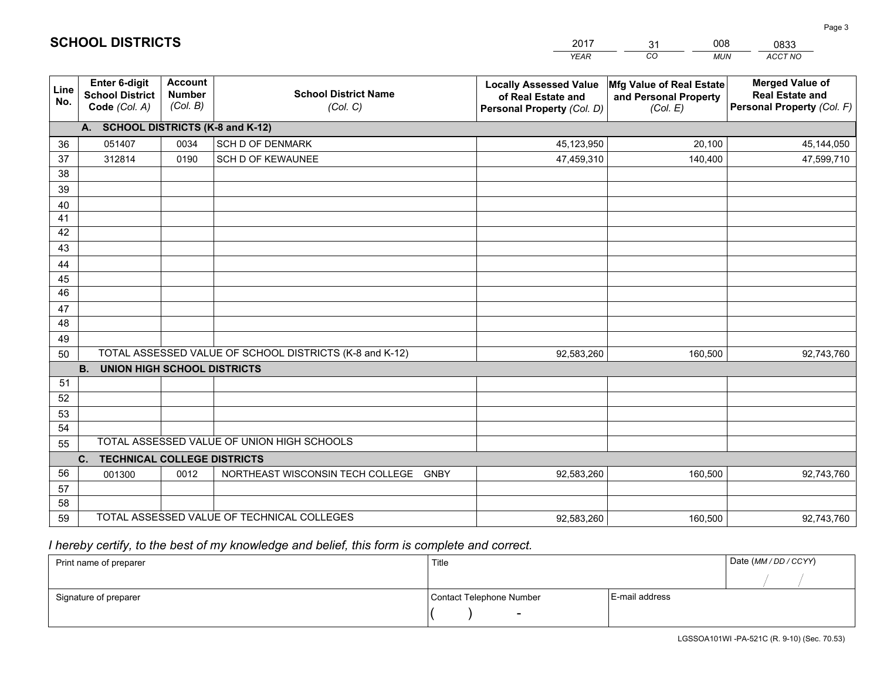|                       |                                                                 |                                             |                                                         | <b>YEAR</b>                                                                       | CO<br><b>MUN</b>                                              | ACCT NO                                                                        |
|-----------------------|-----------------------------------------------------------------|---------------------------------------------|---------------------------------------------------------|-----------------------------------------------------------------------------------|---------------------------------------------------------------|--------------------------------------------------------------------------------|
| Line<br>No.           | <b>Enter 6-digit</b><br><b>School District</b><br>Code (Col. A) | <b>Account</b><br><b>Number</b><br>(Col. B) | <b>School District Name</b><br>(Col. C)                 | <b>Locally Assessed Value</b><br>of Real Estate and<br>Personal Property (Col. D) | Mfg Value of Real Estate<br>and Personal Property<br>(Col. E) | <b>Merged Value of</b><br><b>Real Estate and</b><br>Personal Property (Col. F) |
|                       | A. SCHOOL DISTRICTS (K-8 and K-12)                              |                                             |                                                         |                                                                                   |                                                               |                                                                                |
| 36                    | 051407                                                          | 0034                                        | <b>SCH D OF DENMARK</b>                                 | 45,123,950                                                                        | 20,100                                                        | 45,144,050                                                                     |
| 37                    | 312814                                                          | 0190                                        | <b>SCH D OF KEWAUNEE</b>                                | 47,459,310                                                                        | 140,400                                                       | 47,599,710                                                                     |
| 38                    |                                                                 |                                             |                                                         |                                                                                   |                                                               |                                                                                |
| 39                    |                                                                 |                                             |                                                         |                                                                                   |                                                               |                                                                                |
| 40                    |                                                                 |                                             |                                                         |                                                                                   |                                                               |                                                                                |
| 41                    |                                                                 |                                             |                                                         |                                                                                   |                                                               |                                                                                |
| 42                    |                                                                 |                                             |                                                         |                                                                                   |                                                               |                                                                                |
| 43                    |                                                                 |                                             |                                                         |                                                                                   |                                                               |                                                                                |
| 44                    |                                                                 |                                             |                                                         |                                                                                   |                                                               |                                                                                |
| 45<br>$\overline{46}$ |                                                                 |                                             |                                                         |                                                                                   |                                                               |                                                                                |
|                       |                                                                 |                                             |                                                         |                                                                                   |                                                               |                                                                                |
| 47<br>48              |                                                                 |                                             |                                                         |                                                                                   |                                                               |                                                                                |
| 49                    |                                                                 |                                             |                                                         |                                                                                   |                                                               |                                                                                |
| 50                    |                                                                 |                                             | TOTAL ASSESSED VALUE OF SCHOOL DISTRICTS (K-8 and K-12) | 92,583,260                                                                        | 160,500                                                       | 92,743,760                                                                     |
|                       | <b>B.</b><br><b>UNION HIGH SCHOOL DISTRICTS</b>                 |                                             |                                                         |                                                                                   |                                                               |                                                                                |
| 51                    |                                                                 |                                             |                                                         |                                                                                   |                                                               |                                                                                |
| 52                    |                                                                 |                                             |                                                         |                                                                                   |                                                               |                                                                                |
| 53                    |                                                                 |                                             |                                                         |                                                                                   |                                                               |                                                                                |
| 54                    |                                                                 |                                             |                                                         |                                                                                   |                                                               |                                                                                |
| 55                    |                                                                 |                                             | TOTAL ASSESSED VALUE OF UNION HIGH SCHOOLS              |                                                                                   |                                                               |                                                                                |
|                       | C.<br><b>TECHNICAL COLLEGE DISTRICTS</b>                        |                                             |                                                         |                                                                                   |                                                               |                                                                                |
| 56                    | 001300                                                          | 0012                                        | NORTHEAST WISCONSIN TECH COLLEGE GNBY                   | 92,583,260                                                                        | 160,500                                                       | 92,743,760                                                                     |
| 57                    |                                                                 |                                             |                                                         |                                                                                   |                                                               |                                                                                |
| 58                    |                                                                 |                                             |                                                         |                                                                                   |                                                               |                                                                                |
| 59                    |                                                                 |                                             | TOTAL ASSESSED VALUE OF TECHNICAL COLLEGES              | 92,583,260                                                                        | 160,500                                                       | 92,743,760                                                                     |

31

008

 *I hereby certify, to the best of my knowledge and belief, this form is complete and correct.*

**SCHOOL DISTRICTS**

| Print name of preparer | Title                    |                | Date (MM/DD/CCYY) |
|------------------------|--------------------------|----------------|-------------------|
|                        |                          |                |                   |
| Signature of preparer  | Contact Telephone Number | E-mail address |                   |
|                        | $\overline{\phantom{a}}$ |                |                   |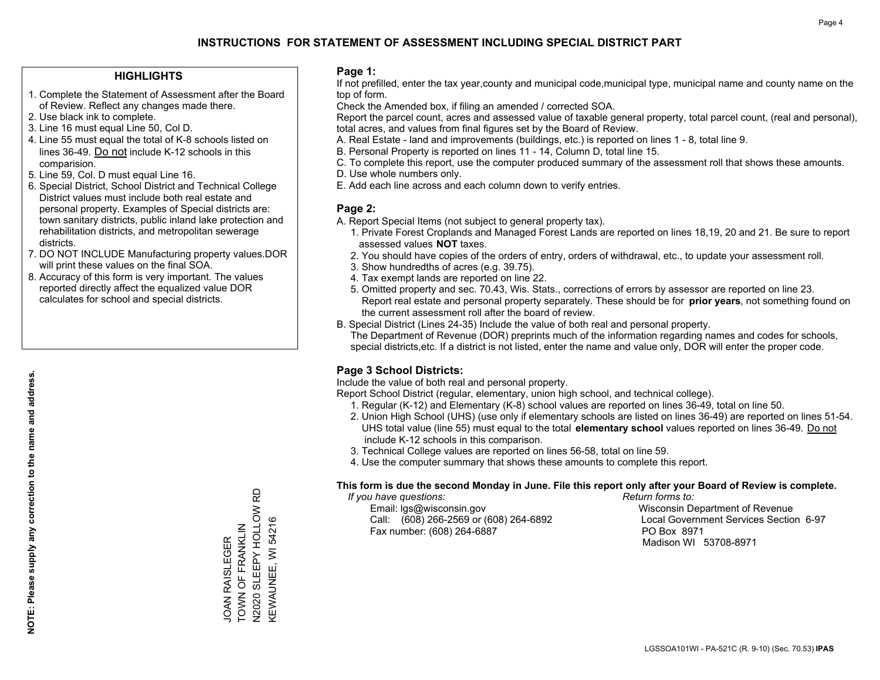### **HIGHLIGHTS**

- 1. Complete the Statement of Assessment after the Board of Review. Reflect any changes made there.
- 2. Use black ink to complete.
- 3. Line 16 must equal Line 50, Col D.
- 4. Line 55 must equal the total of K-8 schools listed on lines 36-49. Do not include K-12 schools in this comparision.
- 5. Line 59, Col. D must equal Line 16.
- 6. Special District, School District and Technical College District values must include both real estate and personal property. Examples of Special districts are: town sanitary districts, public inland lake protection and rehabilitation districts, and metropolitan sewerage districts.
- 7. DO NOT INCLUDE Manufacturing property values.DOR will print these values on the final SOA.

JOAN RAISLEGER TOWN OF FRANKLIN N2020 SLEEPY HOLLOW RD KEWAUNEE, WI 54216

TOWN OF FRANKLIN JOAN RAISLEGER

V2020 SLEEPY HOLLOW RD KEWAUNEE, WI 54216

 8. Accuracy of this form is very important. The values reported directly affect the equalized value DOR calculates for school and special districts.

#### **Page 1:**

 If not prefilled, enter the tax year,county and municipal code,municipal type, municipal name and county name on the top of form.

Check the Amended box, if filing an amended / corrected SOA.

 Report the parcel count, acres and assessed value of taxable general property, total parcel count, (real and personal), total acres, and values from final figures set by the Board of Review.

- A. Real Estate land and improvements (buildings, etc.) is reported on lines 1 8, total line 9.
- B. Personal Property is reported on lines 11 14, Column D, total line 15.
- C. To complete this report, use the computer produced summary of the assessment roll that shows these amounts.
- D. Use whole numbers only.
- E. Add each line across and each column down to verify entries.

#### **Page 2:**

- A. Report Special Items (not subject to general property tax).
- 1. Private Forest Croplands and Managed Forest Lands are reported on lines 18,19, 20 and 21. Be sure to report assessed values **NOT** taxes.
- 2. You should have copies of the orders of entry, orders of withdrawal, etc., to update your assessment roll.
	- 3. Show hundredths of acres (e.g. 39.75).
- 4. Tax exempt lands are reported on line 22.
- 5. Omitted property and sec. 70.43, Wis. Stats., corrections of errors by assessor are reported on line 23. Report real estate and personal property separately. These should be for **prior years**, not something found on the current assessment roll after the board of review.
- B. Special District (Lines 24-35) Include the value of both real and personal property.
- The Department of Revenue (DOR) preprints much of the information regarding names and codes for schools, special districts,etc. If a district is not listed, enter the name and value only, DOR will enter the proper code.

## **Page 3 School Districts:**

Include the value of both real and personal property.

Report School District (regular, elementary, union high school, and technical college).

- 1. Regular (K-12) and Elementary (K-8) school values are reported on lines 36-49, total on line 50.
- 2. Union High School (UHS) (use only if elementary schools are listed on lines 36-49) are reported on lines 51-54. UHS total value (line 55) must equal to the total **elementary school** values reported on lines 36-49. Do notinclude K-12 schools in this comparison.
- 3. Technical College values are reported on lines 56-58, total on line 59.
- 4. Use the computer summary that shows these amounts to complete this report.

#### **This form is due the second Monday in June. File this report only after your Board of Review is complete.**

 *If you have questions: Return forms to:*

 Email: lgs@wisconsin.gov Wisconsin Department of RevenueCall:  $(608)$  266-2569 or  $(608)$  264-6892 Fax number: (608) 264-6887 PO Box 8971

Local Government Services Section 6-97 Madison WI 53708-8971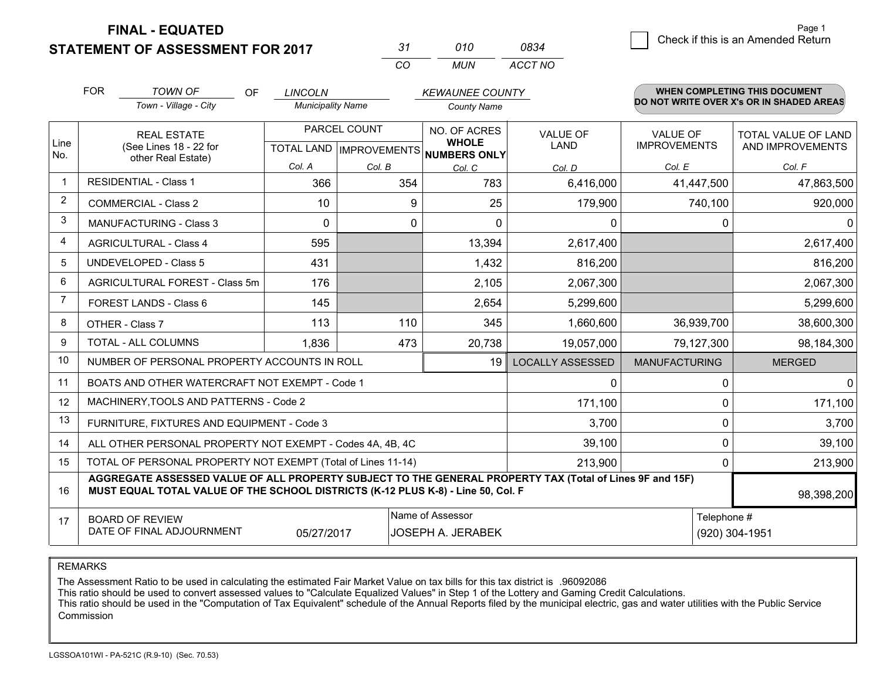**STATEMENT OF ASSESSMENT FOR 2017** 

| 31  | 010 | 0834    |
|-----|-----|---------|
| CO. | MUN | ACCT NO |

|                | <b>FOR</b>                                                                                                                                                                                   | <b>TOWN OF</b><br><b>OF</b>                                  | <b>LINCOLN</b>           |              | <b>KEWAUNEE COUNTY</b>                              |                         |                      |                | <b>WHEN COMPLETING THIS DOCUMENT</b><br>DO NOT WRITE OVER X's OR IN SHADED AREAS |
|----------------|----------------------------------------------------------------------------------------------------------------------------------------------------------------------------------------------|--------------------------------------------------------------|--------------------------|--------------|-----------------------------------------------------|-------------------------|----------------------|----------------|----------------------------------------------------------------------------------|
|                |                                                                                                                                                                                              | Town - Village - City                                        | <b>Municipality Name</b> |              | <b>County Name</b>                                  |                         |                      |                |                                                                                  |
|                | <b>REAL ESTATE</b>                                                                                                                                                                           |                                                              |                          | PARCEL COUNT | NO. OF ACRES                                        | <b>VALUE OF</b>         | <b>VALUE OF</b>      |                | TOTAL VALUE OF LAND                                                              |
| Line<br>No.    |                                                                                                                                                                                              | (See Lines 18 - 22 for<br>other Real Estate)                 |                          |              | <b>WHOLE</b><br>TOTAL LAND MPROVEMENTS NUMBERS ONLY | <b>LAND</b>             | <b>IMPROVEMENTS</b>  |                | AND IMPROVEMENTS                                                                 |
|                |                                                                                                                                                                                              |                                                              | Col. A                   | Col. B       | Col. C                                              | Col. D                  | Col. E               |                | Col. F                                                                           |
| $\mathbf{1}$   |                                                                                                                                                                                              | <b>RESIDENTIAL - Class 1</b>                                 | 366                      | 354          | 783                                                 | 6,416,000               | 41,447,500           |                | 47,863,500                                                                       |
| $\overline{2}$ |                                                                                                                                                                                              | <b>COMMERCIAL - Class 2</b>                                  | 10                       | 9            | 25                                                  | 179,900                 |                      | 740,100        | 920,000                                                                          |
| 3              |                                                                                                                                                                                              | MANUFACTURING - Class 3                                      | $\Omega$                 | 0            | $\Omega$                                            | 0                       |                      | 0              | $\Omega$                                                                         |
| 4              |                                                                                                                                                                                              | <b>AGRICULTURAL - Class 4</b>                                | 595                      |              | 13,394                                              | 2,617,400               |                      |                | 2,617,400                                                                        |
| 5              |                                                                                                                                                                                              | <b>UNDEVELOPED - Class 5</b>                                 | 431                      |              | 1,432                                               | 816,200                 |                      |                | 816,200                                                                          |
| 6              |                                                                                                                                                                                              | AGRICULTURAL FOREST - Class 5m                               | 176                      |              | 2,105                                               | 2,067,300               |                      |                | 2,067,300                                                                        |
| 7              |                                                                                                                                                                                              | FOREST LANDS - Class 6                                       | 145                      |              | 2,654                                               | 5,299,600               |                      |                | 5,299,600                                                                        |
| 8              |                                                                                                                                                                                              | OTHER - Class 7                                              | 113                      | 110          | 345                                                 | 1,660,600               | 36,939,700           |                | 38,600,300                                                                       |
| 9              |                                                                                                                                                                                              | TOTAL - ALL COLUMNS                                          | 1,836                    | 473          | 20,738                                              | 19,057,000              | 79,127,300           |                | 98,184,300                                                                       |
| 10             |                                                                                                                                                                                              | NUMBER OF PERSONAL PROPERTY ACCOUNTS IN ROLL                 |                          |              | 19                                                  | <b>LOCALLY ASSESSED</b> | <b>MANUFACTURING</b> |                | <b>MERGED</b>                                                                    |
| 11             |                                                                                                                                                                                              | BOATS AND OTHER WATERCRAFT NOT EXEMPT - Code 1               |                          |              |                                                     | 0                       |                      | 0              | $\Omega$                                                                         |
| 12             |                                                                                                                                                                                              | MACHINERY, TOOLS AND PATTERNS - Code 2                       |                          |              |                                                     | 171,100                 |                      | $\mathbf 0$    | 171,100                                                                          |
| 13             |                                                                                                                                                                                              | FURNITURE, FIXTURES AND EQUIPMENT - Code 3                   |                          |              |                                                     | 3,700                   |                      | 0              | 3,700                                                                            |
| 14             |                                                                                                                                                                                              | ALL OTHER PERSONAL PROPERTY NOT EXEMPT - Codes 4A, 4B, 4C    |                          |              |                                                     | 39,100                  |                      | $\mathbf 0$    | 39,100                                                                           |
| 15             |                                                                                                                                                                                              | TOTAL OF PERSONAL PROPERTY NOT EXEMPT (Total of Lines 11-14) |                          |              |                                                     | 213,900                 |                      | 0              | 213,900                                                                          |
| 16             | AGGREGATE ASSESSED VALUE OF ALL PROPERTY SUBJECT TO THE GENERAL PROPERTY TAX (Total of Lines 9F and 15F)<br>MUST EQUAL TOTAL VALUE OF THE SCHOOL DISTRICTS (K-12 PLUS K-8) - Line 50, Col. F |                                                              |                          |              |                                                     |                         | 98,398,200           |                |                                                                                  |
| 17             |                                                                                                                                                                                              | <b>BOARD OF REVIEW</b>                                       |                          |              | Name of Assessor                                    |                         |                      | Telephone #    |                                                                                  |
|                |                                                                                                                                                                                              | DATE OF FINAL ADJOURNMENT                                    | 05/27/2017               |              | <b>JOSEPH A. JERABEK</b>                            |                         |                      | (920) 304-1951 |                                                                                  |

REMARKS

The Assessment Ratio to be used in calculating the estimated Fair Market Value on tax bills for this tax district is .96092086

This ratio should be used to convert assessed values to "Calculate Equalized Values" in Step 1 of the Lottery and Gaming Credit Calculations.<br>This ratio should be used in the "Computation of Tax Equivalent" schedule of the Commission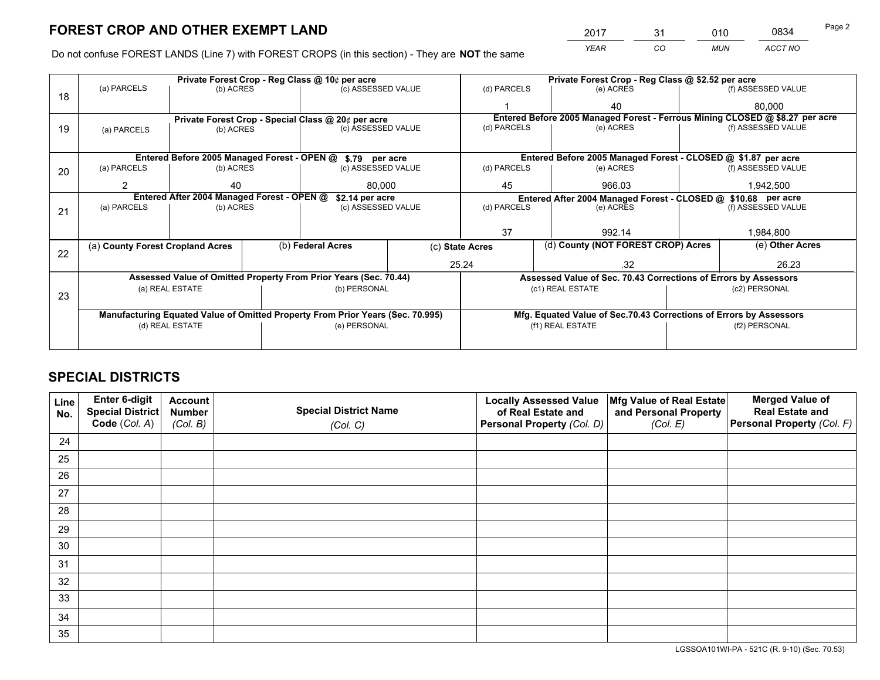*YEAR CO MUN ACCT NO* <sup>2017</sup> <sup>31</sup> <sup>010</sup> <sup>0834</sup>

Do not confuse FOREST LANDS (Line 7) with FOREST CROPS (in this section) - They are **NOT** the same

|    | Private Forest Crop - Reg Class @ 10¢ per acre                |                 |  |                                                                                |                 | Private Forest Crop - Reg Class @ \$2.52 per acre |                                                               |                                                                    |  |                                                                              |  |
|----|---------------------------------------------------------------|-----------------|--|--------------------------------------------------------------------------------|-----------------|---------------------------------------------------|---------------------------------------------------------------|--------------------------------------------------------------------|--|------------------------------------------------------------------------------|--|
| 18 | (a) PARCELS                                                   | (b) ACRES       |  | (c) ASSESSED VALUE                                                             |                 | (d) PARCELS                                       |                                                               | (e) ACRES                                                          |  | (f) ASSESSED VALUE                                                           |  |
|    |                                                               |                 |  |                                                                                |                 |                                                   |                                                               | 40                                                                 |  | 80,000                                                                       |  |
|    |                                                               |                 |  | Private Forest Crop - Special Class @ 20¢ per acre                             |                 |                                                   |                                                               |                                                                    |  | Entered Before 2005 Managed Forest - Ferrous Mining CLOSED @ \$8.27 per acre |  |
| 19 | (a) PARCELS                                                   | (b) ACRES       |  | (c) ASSESSED VALUE                                                             |                 | (d) PARCELS                                       |                                                               | (e) ACRES                                                          |  | (f) ASSESSED VALUE                                                           |  |
|    |                                                               |                 |  |                                                                                |                 |                                                   |                                                               |                                                                    |  |                                                                              |  |
|    |                                                               |                 |  | Entered Before 2005 Managed Forest - OPEN @ \$.79 per acre                     |                 |                                                   |                                                               | Entered Before 2005 Managed Forest - CLOSED @ \$1.87 per acre      |  |                                                                              |  |
| 20 | (a) PARCELS                                                   | (b) ACRES       |  | (c) ASSESSED VALUE                                                             |                 | (d) PARCELS                                       |                                                               | (e) ACRES                                                          |  | (f) ASSESSED VALUE                                                           |  |
|    | 2                                                             | 40              |  |                                                                                | 80.000<br>45    |                                                   |                                                               | 966.03                                                             |  | 1,942,500                                                                    |  |
|    | Entered After 2004 Managed Forest - OPEN @<br>\$2.14 per acre |                 |  |                                                                                |                 |                                                   | Entered After 2004 Managed Forest - CLOSED @ \$10.68 per acre |                                                                    |  |                                                                              |  |
| 21 | (a) PARCELS                                                   | (b) ACRES       |  | (c) ASSESSED VALUE                                                             |                 | (d) PARCELS<br>(e) ACRES                          |                                                               | (f) ASSESSED VALUE                                                 |  |                                                                              |  |
|    |                                                               |                 |  |                                                                                |                 |                                                   |                                                               |                                                                    |  |                                                                              |  |
|    |                                                               |                 |  |                                                                                |                 | 37                                                |                                                               | 992.14                                                             |  | 1,984,800                                                                    |  |
| 22 | (a) County Forest Cropland Acres                              |                 |  | (b) Federal Acres                                                              | (c) State Acres |                                                   |                                                               | (d) County (NOT FOREST CROP) Acres                                 |  | (e) Other Acres                                                              |  |
|    |                                                               |                 |  |                                                                                |                 | 25.24                                             |                                                               | .32                                                                |  | 26.23                                                                        |  |
|    |                                                               |                 |  | Assessed Value of Omitted Property From Prior Years (Sec. 70.44)               |                 |                                                   |                                                               | Assessed Value of Sec. 70.43 Corrections of Errors by Assessors    |  |                                                                              |  |
|    |                                                               | (a) REAL ESTATE |  | (b) PERSONAL                                                                   |                 |                                                   |                                                               | (c1) REAL ESTATE                                                   |  | (c2) PERSONAL                                                                |  |
| 23 |                                                               |                 |  |                                                                                |                 |                                                   |                                                               |                                                                    |  |                                                                              |  |
|    |                                                               |                 |  | Manufacturing Equated Value of Omitted Property From Prior Years (Sec. 70.995) |                 |                                                   |                                                               | Mfg. Equated Value of Sec.70.43 Corrections of Errors by Assessors |  |                                                                              |  |
|    | (e) PERSONAL<br>(d) REAL ESTATE                               |                 |  |                                                                                |                 | (f1) REAL ESTATE                                  |                                                               | (f2) PERSONAL                                                      |  |                                                                              |  |
|    |                                                               |                 |  |                                                                                |                 |                                                   |                                                               |                                                                    |  |                                                                              |  |

## **SPECIAL DISTRICTS**

| Line<br>No. | Enter 6-digit<br>Special District<br>Code (Col. A) | <b>Account</b><br><b>Number</b> | <b>Special District Name</b> | <b>Locally Assessed Value</b><br>of Real Estate and | Mfg Value of Real Estate<br>and Personal Property | <b>Merged Value of</b><br><b>Real Estate and</b><br>Personal Property (Col. F) |
|-------------|----------------------------------------------------|---------------------------------|------------------------------|-----------------------------------------------------|---------------------------------------------------|--------------------------------------------------------------------------------|
|             |                                                    | (Col. B)                        | (Col. C)                     | Personal Property (Col. D)                          | (Col. E)                                          |                                                                                |
| 24          |                                                    |                                 |                              |                                                     |                                                   |                                                                                |
| 25          |                                                    |                                 |                              |                                                     |                                                   |                                                                                |
| 26          |                                                    |                                 |                              |                                                     |                                                   |                                                                                |
| 27          |                                                    |                                 |                              |                                                     |                                                   |                                                                                |
| 28          |                                                    |                                 |                              |                                                     |                                                   |                                                                                |
| 29          |                                                    |                                 |                              |                                                     |                                                   |                                                                                |
| 30          |                                                    |                                 |                              |                                                     |                                                   |                                                                                |
| 31          |                                                    |                                 |                              |                                                     |                                                   |                                                                                |
| 32          |                                                    |                                 |                              |                                                     |                                                   |                                                                                |
| 33          |                                                    |                                 |                              |                                                     |                                                   |                                                                                |
| 34          |                                                    |                                 |                              |                                                     |                                                   |                                                                                |
| 35          |                                                    |                                 |                              |                                                     |                                                   |                                                                                |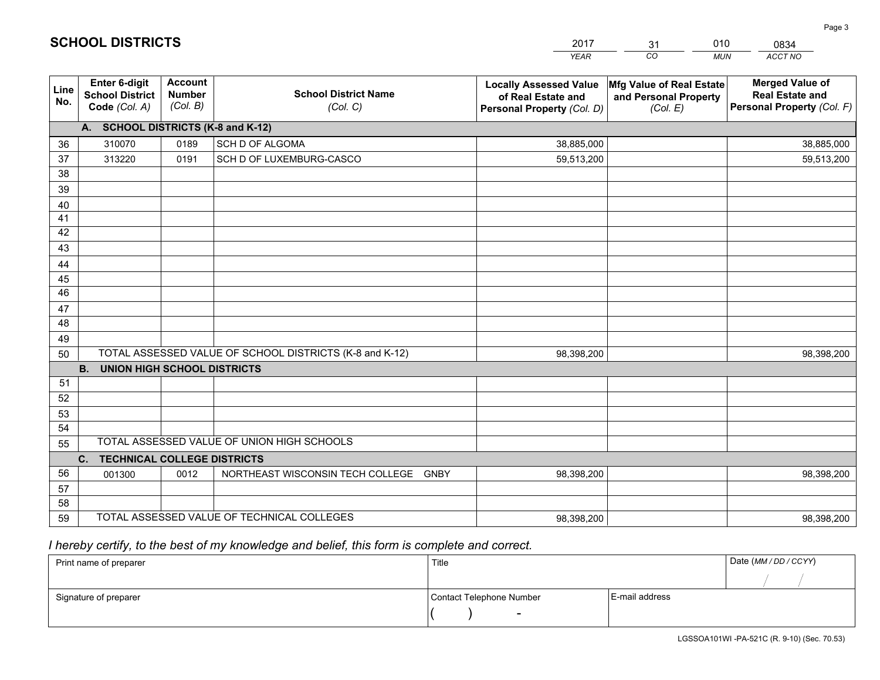|             |                                                          |                                             |                                                         | <b>YEAR</b>                                                                       | CO<br><b>MUN</b>                                              | ACCT NO                                                                        |
|-------------|----------------------------------------------------------|---------------------------------------------|---------------------------------------------------------|-----------------------------------------------------------------------------------|---------------------------------------------------------------|--------------------------------------------------------------------------------|
| Line<br>No. | Enter 6-digit<br><b>School District</b><br>Code (Col. A) | <b>Account</b><br><b>Number</b><br>(Col. B) | <b>School District Name</b><br>(Col. C)                 | <b>Locally Assessed Value</b><br>of Real Estate and<br>Personal Property (Col. D) | Mfg Value of Real Estate<br>and Personal Property<br>(Col. E) | <b>Merged Value of</b><br><b>Real Estate and</b><br>Personal Property (Col. F) |
|             | A. SCHOOL DISTRICTS (K-8 and K-12)                       |                                             |                                                         |                                                                                   |                                                               |                                                                                |
| 36          | 310070                                                   | 0189                                        | SCH D OF ALGOMA                                         | 38,885,000                                                                        |                                                               | 38,885,000                                                                     |
| 37          | 313220                                                   | 0191                                        | SCH D OF LUXEMBURG-CASCO                                | 59,513,200                                                                        |                                                               | 59,513,200                                                                     |
| 38          |                                                          |                                             |                                                         |                                                                                   |                                                               |                                                                                |
| 39          |                                                          |                                             |                                                         |                                                                                   |                                                               |                                                                                |
| 40          |                                                          |                                             |                                                         |                                                                                   |                                                               |                                                                                |
| 41          |                                                          |                                             |                                                         |                                                                                   |                                                               |                                                                                |
| 42          |                                                          |                                             |                                                         |                                                                                   |                                                               |                                                                                |
| 43          |                                                          |                                             |                                                         |                                                                                   |                                                               |                                                                                |
| 44          |                                                          |                                             |                                                         |                                                                                   |                                                               |                                                                                |
| 45          |                                                          |                                             |                                                         |                                                                                   |                                                               |                                                                                |
| 46          |                                                          |                                             |                                                         |                                                                                   |                                                               |                                                                                |
| 47          |                                                          |                                             |                                                         |                                                                                   |                                                               |                                                                                |
| 48          |                                                          |                                             |                                                         |                                                                                   |                                                               |                                                                                |
| 49          |                                                          |                                             |                                                         |                                                                                   |                                                               |                                                                                |
| 50          | B <sub>1</sub><br><b>UNION HIGH SCHOOL DISTRICTS</b>     |                                             | TOTAL ASSESSED VALUE OF SCHOOL DISTRICTS (K-8 and K-12) | 98,398,200                                                                        |                                                               | 98,398,200                                                                     |
| 51          |                                                          |                                             |                                                         |                                                                                   |                                                               |                                                                                |
| 52          |                                                          |                                             |                                                         |                                                                                   |                                                               |                                                                                |
| 53          |                                                          |                                             |                                                         |                                                                                   |                                                               |                                                                                |
| 54          |                                                          |                                             |                                                         |                                                                                   |                                                               |                                                                                |
| 55          |                                                          |                                             | TOTAL ASSESSED VALUE OF UNION HIGH SCHOOLS              |                                                                                   |                                                               |                                                                                |
|             | C. TECHNICAL COLLEGE DISTRICTS                           |                                             |                                                         |                                                                                   |                                                               |                                                                                |
| 56          | 001300                                                   | 0012                                        | NORTHEAST WISCONSIN TECH COLLEGE<br><b>GNBY</b>         | 98,398,200                                                                        |                                                               | 98,398,200                                                                     |
| 57          |                                                          |                                             |                                                         |                                                                                   |                                                               |                                                                                |
| 58          |                                                          |                                             |                                                         |                                                                                   |                                                               |                                                                                |
| 59          |                                                          |                                             | TOTAL ASSESSED VALUE OF TECHNICAL COLLEGES              | 98,398,200                                                                        |                                                               | 98,398,200                                                                     |

31

010

 *I hereby certify, to the best of my knowledge and belief, this form is complete and correct.*

**SCHOOL DISTRICTS**

| Print name of preparer | Title                    |                | Date (MM / DD / CCYY) |
|------------------------|--------------------------|----------------|-----------------------|
|                        |                          |                |                       |
| Signature of preparer  | Contact Telephone Number | E-mail address |                       |
|                        | $\sim$                   |                |                       |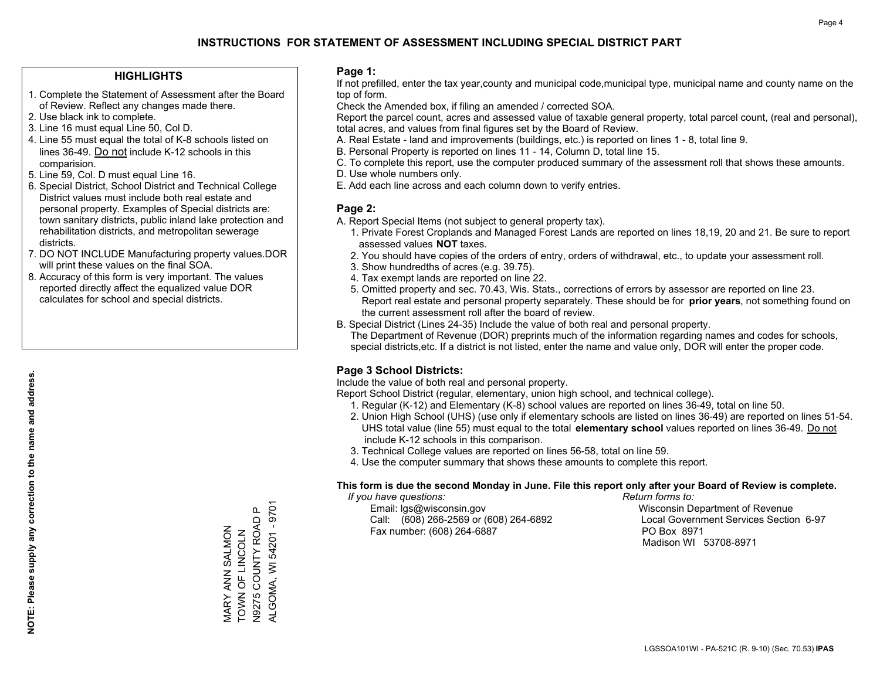### **HIGHLIGHTS**

- 1. Complete the Statement of Assessment after the Board of Review. Reflect any changes made there.
- 2. Use black ink to complete.
- 3. Line 16 must equal Line 50, Col D.
- 4. Line 55 must equal the total of K-8 schools listed on lines 36-49. Do not include K-12 schools in this comparision.
- 5. Line 59, Col. D must equal Line 16.
- 6. Special District, School District and Technical College District values must include both real estate and personal property. Examples of Special districts are: town sanitary districts, public inland lake protection and rehabilitation districts, and metropolitan sewerage districts.
- 7. DO NOT INCLUDE Manufacturing property values.DOR will print these values on the final SOA.
- 8. Accuracy of this form is very important. The values reported directly affect the equalized value DOR calculates for school and special districts.

#### **Page 1:**

 If not prefilled, enter the tax year,county and municipal code,municipal type, municipal name and county name on the top of form.

Check the Amended box, if filing an amended / corrected SOA.

 Report the parcel count, acres and assessed value of taxable general property, total parcel count, (real and personal), total acres, and values from final figures set by the Board of Review.

- A. Real Estate land and improvements (buildings, etc.) is reported on lines 1 8, total line 9.
- B. Personal Property is reported on lines 11 14, Column D, total line 15.
- C. To complete this report, use the computer produced summary of the assessment roll that shows these amounts.
- D. Use whole numbers only.
- E. Add each line across and each column down to verify entries.

### **Page 2:**

- A. Report Special Items (not subject to general property tax).
- 1. Private Forest Croplands and Managed Forest Lands are reported on lines 18,19, 20 and 21. Be sure to report assessed values **NOT** taxes.
- 2. You should have copies of the orders of entry, orders of withdrawal, etc., to update your assessment roll.
	- 3. Show hundredths of acres (e.g. 39.75).
- 4. Tax exempt lands are reported on line 22.
- 5. Omitted property and sec. 70.43, Wis. Stats., corrections of errors by assessor are reported on line 23. Report real estate and personal property separately. These should be for **prior years**, not something found on the current assessment roll after the board of review.
- B. Special District (Lines 24-35) Include the value of both real and personal property.
- The Department of Revenue (DOR) preprints much of the information regarding names and codes for schools, special districts,etc. If a district is not listed, enter the name and value only, DOR will enter the proper code.

## **Page 3 School Districts:**

Include the value of both real and personal property.

Report School District (regular, elementary, union high school, and technical college).

- 1. Regular (K-12) and Elementary (K-8) school values are reported on lines 36-49, total on line 50.
- 2. Union High School (UHS) (use only if elementary schools are listed on lines 36-49) are reported on lines 51-54. UHS total value (line 55) must equal to the total **elementary school** values reported on lines 36-49. Do notinclude K-12 schools in this comparison.
- 3. Technical College values are reported on lines 56-58, total on line 59.
- 4. Use the computer summary that shows these amounts to complete this report.

#### **This form is due the second Monday in June. File this report only after your Board of Review is complete.**

 *If you have questions: Return forms to:*

 Email: lgs@wisconsin.gov Wisconsin Department of RevenueCall:  $(608)$  266-2569 or  $(608)$  264-6892 Fax number: (608) 264-6887 PO Box 8971

Local Government Services Section 6-97 Madison WI 53708-8971

ALGOMA, WI 54201 - 9701 ALGOMA, WI 54201 - 9701  $\mathtt{\mathtt{a}}$ N9275 COUNTY ROAD P N9275 COUNTY ROAD VIARY ANN SALMON MARY ANN SALMON TOWN OF LINCOLN TOWN OF LINCOLN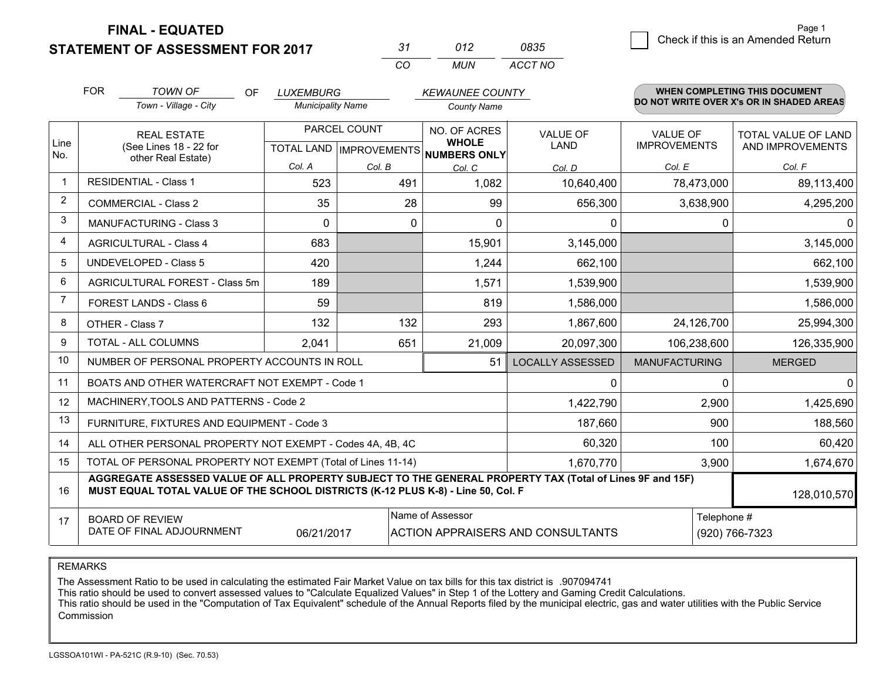**STATEMENT OF ASSESSMENT FOR 2017** 

| 31  | 012 | 0835    |
|-----|-----|---------|
| CO. | MUN | ACCT NO |

|                | <b>FOR</b><br><b>TOWN OF</b><br>OF.<br>Town - Village - City                                                                                                                                                | <b>LUXEMBURG</b><br><b>Municipality Name</b> |                                           | <b>KEWAUNEE COUNTY</b><br><b>County Name</b> |                                                                                |                      | <b>WHEN COMPLETING THIS DOCUMENT</b><br>DO NOT WRITE OVER X's OR IN SHADED AREAS |
|----------------|-------------------------------------------------------------------------------------------------------------------------------------------------------------------------------------------------------------|----------------------------------------------|-------------------------------------------|----------------------------------------------|--------------------------------------------------------------------------------|----------------------|----------------------------------------------------------------------------------|
| Line<br>No.    | <b>REAL ESTATE</b><br>(See Lines 18 - 22 for<br>other Real Estate)                                                                                                                                          |                                              | PARCEL COUNT<br>TOTAL LAND   IMPROVEMENTS |                                              | NO. OF ACRES<br><b>VALUE OF</b><br><b>WHOLE</b><br>LAND<br><b>NUMBERS ONLY</b> |                      | TOTAL VALUE OF LAND<br>AND IMPROVEMENTS                                          |
|                |                                                                                                                                                                                                             | Col. A                                       | Col. B                                    | Col. C                                       | Col. D                                                                         | Col. E               | Col. F                                                                           |
|                | <b>RESIDENTIAL - Class 1</b>                                                                                                                                                                                | 523                                          | 491                                       | 1,082                                        | 10,640,400                                                                     | 78,473,000           | 89,113,400                                                                       |
| 2              | <b>COMMERCIAL - Class 2</b>                                                                                                                                                                                 | 35                                           | 28                                        | 99                                           | 656,300                                                                        | 3,638,900            | 4,295,200                                                                        |
| 3              | <b>MANUFACTURING - Class 3</b>                                                                                                                                                                              | $\Omega$                                     | 0                                         | $\Omega$                                     | 0                                                                              | 0                    | $\mathbf{0}$                                                                     |
| 4              | <b>AGRICULTURAL - Class 4</b>                                                                                                                                                                               | 683                                          |                                           | 15,901                                       | 3,145,000                                                                      |                      | 3,145,000                                                                        |
| 5              | UNDEVELOPED - Class 5                                                                                                                                                                                       | 420                                          |                                           | 1,244                                        | 662,100                                                                        |                      | 662,100                                                                          |
| 6              | AGRICULTURAL FOREST - Class 5m                                                                                                                                                                              | 189                                          |                                           | 1,571                                        | 1,539,900                                                                      |                      | 1,539,900                                                                        |
| $\overline{7}$ | FOREST LANDS - Class 6                                                                                                                                                                                      | 59                                           |                                           | 819                                          | 1,586,000                                                                      |                      | 1,586,000                                                                        |
| 8              | OTHER - Class 7                                                                                                                                                                                             | 132                                          | 132                                       | 293                                          | 1,867,600                                                                      | 24,126,700           | 25,994,300                                                                       |
| 9              | TOTAL - ALL COLUMNS                                                                                                                                                                                         | 2,041                                        | 651                                       | 21,009                                       | 20,097,300                                                                     | 106,238,600          | 126,335,900                                                                      |
| 10             | NUMBER OF PERSONAL PROPERTY ACCOUNTS IN ROLL                                                                                                                                                                |                                              |                                           | 51                                           | <b>LOCALLY ASSESSED</b>                                                        | <b>MANUFACTURING</b> | <b>MERGED</b>                                                                    |
| 11             | BOATS AND OTHER WATERCRAFT NOT EXEMPT - Code 1                                                                                                                                                              |                                              |                                           |                                              | 0                                                                              | $\Omega$             | $\Omega$                                                                         |
| 12             | MACHINERY, TOOLS AND PATTERNS - Code 2                                                                                                                                                                      |                                              |                                           |                                              | 1,422,790                                                                      | 2,900                | 1,425,690                                                                        |
| 13             | FURNITURE, FIXTURES AND EQUIPMENT - Code 3                                                                                                                                                                  |                                              |                                           |                                              | 187,660                                                                        | 900                  | 188,560                                                                          |
| 14             | ALL OTHER PERSONAL PROPERTY NOT EXEMPT - Codes 4A, 4B, 4C                                                                                                                                                   |                                              |                                           |                                              | 60,320                                                                         | 100                  | 60,420                                                                           |
| 15             | TOTAL OF PERSONAL PROPERTY NOT EXEMPT (Total of Lines 11-14)                                                                                                                                                |                                              |                                           |                                              | 1,670,770                                                                      | 3,900                | 1,674,670                                                                        |
| 16             | AGGREGATE ASSESSED VALUE OF ALL PROPERTY SUBJECT TO THE GENERAL PROPERTY TAX (Total of Lines 9F and 15F)<br>MUST EQUAL TOTAL VALUE OF THE SCHOOL DISTRICTS (K-12 PLUS K-8) - Line 50, Col. F<br>128,010,570 |                                              |                                           |                                              |                                                                                |                      |                                                                                  |
| 17             | Name of Assessor<br>Telephone #<br><b>BOARD OF REVIEW</b><br>DATE OF FINAL ADJOURNMENT<br>(920) 766-7323<br>06/21/2017<br><b>ACTION APPRAISERS AND CONSULTANTS</b>                                          |                                              |                                           |                                              |                                                                                |                      |                                                                                  |

REMARKS

The Assessment Ratio to be used in calculating the estimated Fair Market Value on tax bills for this tax district is .907094741

This ratio should be used to convert assessed values to "Calculate Equalized Values" in Step 1 of the Lottery and Gaming Credit Calculations.<br>This ratio should be used in the "Computation of Tax Equivalent" schedule of the Commission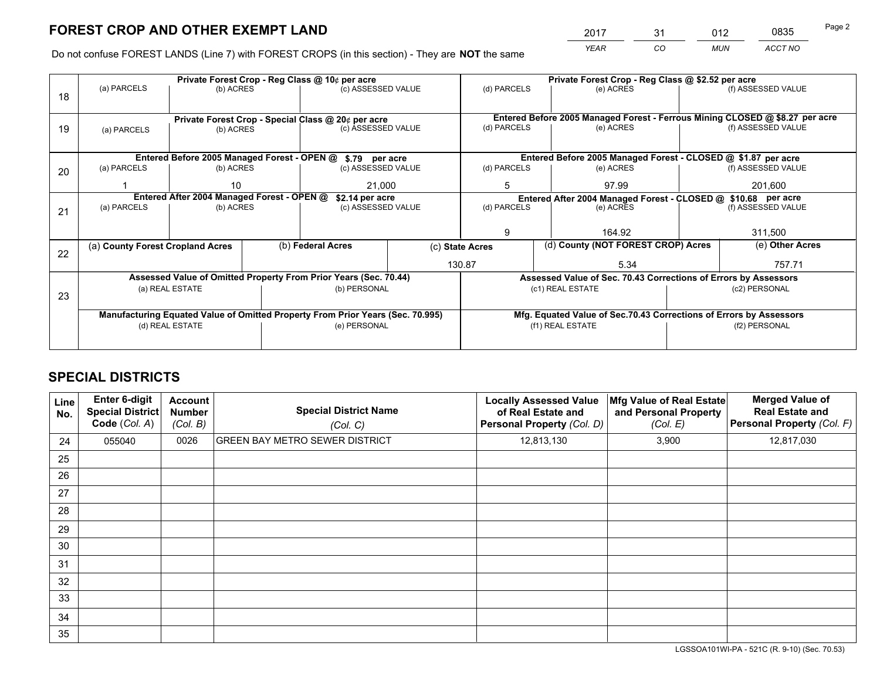*YEAR CO MUN ACCT NO* <sup>2017</sup> <sup>31</sup> <sup>012</sup> <sup>0835</sup>

Do not confuse FOREST LANDS (Line 7) with FOREST CROPS (in this section) - They are **NOT** the same

|    |                                                                                |                 |  | Private Forest Crop - Reg Class @ 10¢ per acre                   |                 | Private Forest Crop - Reg Class @ \$2.52 per acre |                  |                                    |                                                               |                                                                              |  |
|----|--------------------------------------------------------------------------------|-----------------|--|------------------------------------------------------------------|-----------------|---------------------------------------------------|------------------|------------------------------------|---------------------------------------------------------------|------------------------------------------------------------------------------|--|
| 18 | (a) PARCELS                                                                    | (b) ACRES       |  | (c) ASSESSED VALUE                                               |                 | (d) PARCELS                                       |                  | (e) ACRES                          |                                                               | (f) ASSESSED VALUE                                                           |  |
|    |                                                                                |                 |  |                                                                  |                 |                                                   |                  |                                    |                                                               |                                                                              |  |
|    |                                                                                |                 |  | Private Forest Crop - Special Class @ 20¢ per acre               |                 |                                                   |                  |                                    |                                                               | Entered Before 2005 Managed Forest - Ferrous Mining CLOSED @ \$8.27 per acre |  |
| 19 | (a) PARCELS                                                                    | (b) ACRES       |  | (c) ASSESSED VALUE                                               |                 | (d) PARCELS                                       |                  | (e) ACRES                          |                                                               | (f) ASSESSED VALUE                                                           |  |
|    |                                                                                |                 |  |                                                                  |                 |                                                   |                  |                                    |                                                               |                                                                              |  |
|    |                                                                                |                 |  | Entered Before 2005 Managed Forest - OPEN @ \$.79 per acre       |                 |                                                   |                  |                                    |                                                               | Entered Before 2005 Managed Forest - CLOSED @ \$1.87 per acre                |  |
| 20 | (a) PARCELS                                                                    | (b) ACRES       |  | (c) ASSESSED VALUE                                               |                 | (d) PARCELS                                       |                  | (e) ACRES                          |                                                               | (f) ASSESSED VALUE                                                           |  |
|    |                                                                                | 21.000<br>10    |  |                                                                  | 5<br>97.99      |                                                   |                  | 201.600                            |                                                               |                                                                              |  |
|    | Entered After 2004 Managed Forest - OPEN @<br>\$2.14 per acre                  |                 |  |                                                                  |                 |                                                   |                  |                                    | Entered After 2004 Managed Forest - CLOSED @ \$10.68 per acre |                                                                              |  |
| 21 | (a) PARCELS                                                                    | (b) ACRES       |  | (c) ASSESSED VALUE                                               |                 | (d) PARCELS<br>(e) ACRES                          |                  |                                    | (f) ASSESSED VALUE                                            |                                                                              |  |
|    |                                                                                |                 |  |                                                                  |                 |                                                   |                  |                                    |                                                               |                                                                              |  |
|    |                                                                                |                 |  |                                                                  |                 | 9<br>164.92                                       |                  |                                    | 311,500                                                       |                                                                              |  |
| 22 | (a) County Forest Cropland Acres                                               |                 |  | (b) Federal Acres                                                | (c) State Acres |                                                   |                  | (d) County (NOT FOREST CROP) Acres |                                                               | (e) Other Acres                                                              |  |
|    |                                                                                |                 |  |                                                                  | 130.87          |                                                   |                  | 5.34                               |                                                               | 757.71                                                                       |  |
|    |                                                                                |                 |  | Assessed Value of Omitted Property From Prior Years (Sec. 70.44) |                 |                                                   |                  |                                    |                                                               | Assessed Value of Sec. 70.43 Corrections of Errors by Assessors              |  |
| 23 |                                                                                | (a) REAL ESTATE |  | (b) PERSONAL                                                     |                 |                                                   | (c1) REAL ESTATE |                                    |                                                               | (c2) PERSONAL                                                                |  |
|    |                                                                                |                 |  |                                                                  |                 |                                                   |                  |                                    |                                                               |                                                                              |  |
|    | Manufacturing Equated Value of Omitted Property From Prior Years (Sec. 70.995) |                 |  |                                                                  |                 |                                                   |                  |                                    |                                                               | Mfg. Equated Value of Sec.70.43 Corrections of Errors by Assessors           |  |
|    |                                                                                | (d) REAL ESTATE |  | (e) PERSONAL                                                     |                 |                                                   | (f1) REAL ESTATE |                                    |                                                               | (f2) PERSONAL                                                                |  |
|    |                                                                                |                 |  |                                                                  |                 |                                                   |                  |                                    |                                                               |                                                                              |  |

## **SPECIAL DISTRICTS**

| Line<br>No. | Enter 6-digit<br><b>Special District</b><br>Code (Col. A) | <b>Account</b><br><b>Number</b><br>(Col. B) | <b>Special District Name</b><br>(Col. C) | <b>Locally Assessed Value</b><br>of Real Estate and<br>Personal Property (Col. D) | Mfg Value of Real Estate<br>and Personal Property<br>(Col. E) | <b>Merged Value of</b><br><b>Real Estate and</b><br>Personal Property (Col. F) |
|-------------|-----------------------------------------------------------|---------------------------------------------|------------------------------------------|-----------------------------------------------------------------------------------|---------------------------------------------------------------|--------------------------------------------------------------------------------|
| 24          | 055040                                                    | 0026                                        | <b>GREEN BAY METRO SEWER DISTRICT</b>    | 12,813,130                                                                        | 3,900                                                         | 12,817,030                                                                     |
| 25          |                                                           |                                             |                                          |                                                                                   |                                                               |                                                                                |
| 26          |                                                           |                                             |                                          |                                                                                   |                                                               |                                                                                |
| 27          |                                                           |                                             |                                          |                                                                                   |                                                               |                                                                                |
| 28          |                                                           |                                             |                                          |                                                                                   |                                                               |                                                                                |
| 29          |                                                           |                                             |                                          |                                                                                   |                                                               |                                                                                |
| 30          |                                                           |                                             |                                          |                                                                                   |                                                               |                                                                                |
| 31          |                                                           |                                             |                                          |                                                                                   |                                                               |                                                                                |
| 32          |                                                           |                                             |                                          |                                                                                   |                                                               |                                                                                |
| 33          |                                                           |                                             |                                          |                                                                                   |                                                               |                                                                                |
| 34          |                                                           |                                             |                                          |                                                                                   |                                                               |                                                                                |
| 35          |                                                           |                                             |                                          |                                                                                   |                                                               |                                                                                |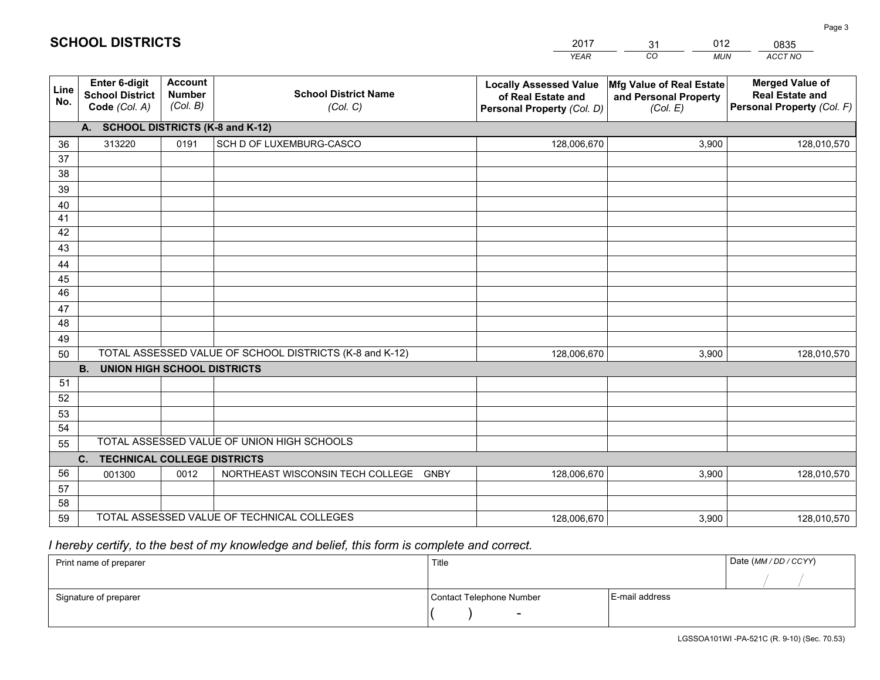|             |                                                                 |                                             |                                                         | <b>YEAR</b>                                                                       | CO<br><b>MUN</b>                                              | ACCT NO                                                                        |
|-------------|-----------------------------------------------------------------|---------------------------------------------|---------------------------------------------------------|-----------------------------------------------------------------------------------|---------------------------------------------------------------|--------------------------------------------------------------------------------|
| Line<br>No. | <b>Enter 6-digit</b><br><b>School District</b><br>Code (Col. A) | <b>Account</b><br><b>Number</b><br>(Col. B) | <b>School District Name</b><br>(Col. C)                 | <b>Locally Assessed Value</b><br>of Real Estate and<br>Personal Property (Col. D) | Mfg Value of Real Estate<br>and Personal Property<br>(Col. E) | <b>Merged Value of</b><br><b>Real Estate and</b><br>Personal Property (Col. F) |
|             | <b>SCHOOL DISTRICTS (K-8 and K-12)</b><br>A.                    |                                             |                                                         |                                                                                   |                                                               |                                                                                |
| 36          | 313220                                                          | 0191                                        | SCH D OF LUXEMBURG-CASCO                                | 128,006,670                                                                       | 3,900                                                         | 128,010,570                                                                    |
| 37          |                                                                 |                                             |                                                         |                                                                                   |                                                               |                                                                                |
| 38          |                                                                 |                                             |                                                         |                                                                                   |                                                               |                                                                                |
| 39          |                                                                 |                                             |                                                         |                                                                                   |                                                               |                                                                                |
| 40          |                                                                 |                                             |                                                         |                                                                                   |                                                               |                                                                                |
| 41<br>42    |                                                                 |                                             |                                                         |                                                                                   |                                                               |                                                                                |
| 43          |                                                                 |                                             |                                                         |                                                                                   |                                                               |                                                                                |
| 44          |                                                                 |                                             |                                                         |                                                                                   |                                                               |                                                                                |
| 45          |                                                                 |                                             |                                                         |                                                                                   |                                                               |                                                                                |
| 46          |                                                                 |                                             |                                                         |                                                                                   |                                                               |                                                                                |
| 47          |                                                                 |                                             |                                                         |                                                                                   |                                                               |                                                                                |
| 48          |                                                                 |                                             |                                                         |                                                                                   |                                                               |                                                                                |
| 49          |                                                                 |                                             |                                                         |                                                                                   |                                                               |                                                                                |
| 50          |                                                                 |                                             | TOTAL ASSESSED VALUE OF SCHOOL DISTRICTS (K-8 and K-12) | 128,006,670                                                                       | 3,900                                                         | 128,010,570                                                                    |
|             | <b>B.</b><br><b>UNION HIGH SCHOOL DISTRICTS</b>                 |                                             |                                                         |                                                                                   |                                                               |                                                                                |
| 51          |                                                                 |                                             |                                                         |                                                                                   |                                                               |                                                                                |
| 52          |                                                                 |                                             |                                                         |                                                                                   |                                                               |                                                                                |
| 53<br>54    |                                                                 |                                             |                                                         |                                                                                   |                                                               |                                                                                |
| 55          |                                                                 |                                             | TOTAL ASSESSED VALUE OF UNION HIGH SCHOOLS              |                                                                                   |                                                               |                                                                                |
|             | $C_{1}$<br><b>TECHNICAL COLLEGE DISTRICTS</b>                   |                                             |                                                         |                                                                                   |                                                               |                                                                                |
| 56          | 001300                                                          | 0012                                        | NORTHEAST WISCONSIN TECH COLLEGE GNBY                   | 128,006,670                                                                       | 3,900                                                         | 128,010,570                                                                    |
| 57          |                                                                 |                                             |                                                         |                                                                                   |                                                               |                                                                                |
| 58          |                                                                 |                                             |                                                         |                                                                                   |                                                               |                                                                                |
| 59          |                                                                 |                                             | TOTAL ASSESSED VALUE OF TECHNICAL COLLEGES              | 128,006,670                                                                       | 3,900                                                         | 128,010,570                                                                    |

31

012

## *I hereby certify, to the best of my knowledge and belief, this form is complete and correct.*

**SCHOOL DISTRICTS**

| Print name of preparer | Title                    |                | Date (MM / DD / CCYY) |
|------------------------|--------------------------|----------------|-----------------------|
|                        |                          |                |                       |
| Signature of preparer  | Contact Telephone Number | E-mail address |                       |
|                        | $\overline{\phantom{0}}$ |                |                       |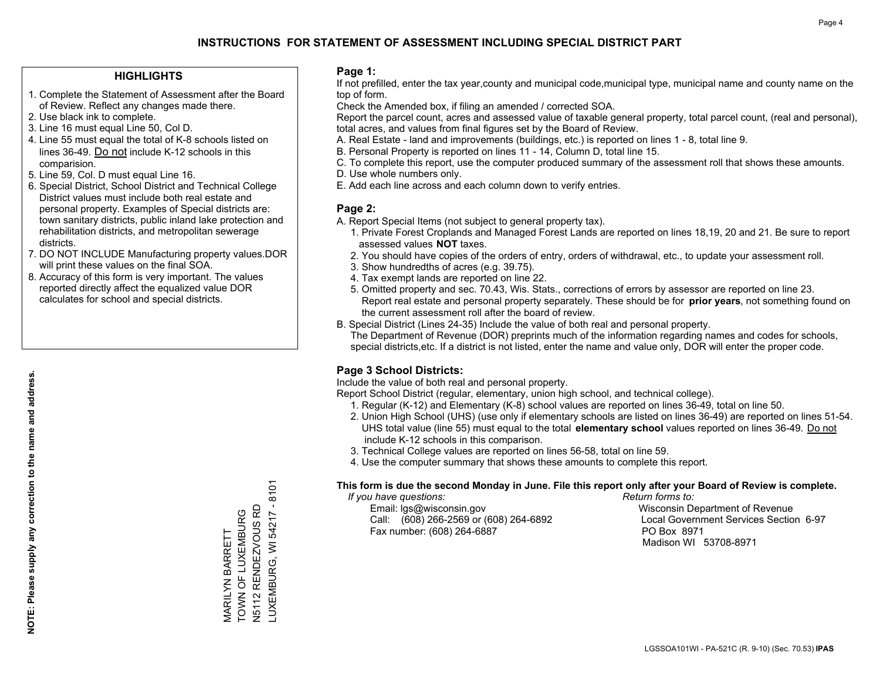### **HIGHLIGHTS**

- 1. Complete the Statement of Assessment after the Board of Review. Reflect any changes made there.
- 2. Use black ink to complete.
- 3. Line 16 must equal Line 50, Col D.
- 4. Line 55 must equal the total of K-8 schools listed on lines 36-49. Do not include K-12 schools in this comparision.
- 5. Line 59, Col. D must equal Line 16.
- 6. Special District, School District and Technical College District values must include both real estate and personal property. Examples of Special districts are: town sanitary districts, public inland lake protection and rehabilitation districts, and metropolitan sewerage districts.
- 7. DO NOT INCLUDE Manufacturing property values.DOR will print these values on the final SOA.
- 8. Accuracy of this form is very important. The values reported directly affect the equalized value DOR calculates for school and special districts.

#### **Page 1:**

 If not prefilled, enter the tax year,county and municipal code,municipal type, municipal name and county name on the top of form.

Check the Amended box, if filing an amended / corrected SOA.

 Report the parcel count, acres and assessed value of taxable general property, total parcel count, (real and personal), total acres, and values from final figures set by the Board of Review.

- A. Real Estate land and improvements (buildings, etc.) is reported on lines 1 8, total line 9.
- B. Personal Property is reported on lines 11 14, Column D, total line 15.
- C. To complete this report, use the computer produced summary of the assessment roll that shows these amounts.
- D. Use whole numbers only.
- E. Add each line across and each column down to verify entries.

## **Page 2:**

- A. Report Special Items (not subject to general property tax).
- 1. Private Forest Croplands and Managed Forest Lands are reported on lines 18,19, 20 and 21. Be sure to report assessed values **NOT** taxes.
- 2. You should have copies of the orders of entry, orders of withdrawal, etc., to update your assessment roll.
	- 3. Show hundredths of acres (e.g. 39.75).
- 4. Tax exempt lands are reported on line 22.
- 5. Omitted property and sec. 70.43, Wis. Stats., corrections of errors by assessor are reported on line 23. Report real estate and personal property separately. These should be for **prior years**, not something found on the current assessment roll after the board of review.
- B. Special District (Lines 24-35) Include the value of both real and personal property.

 The Department of Revenue (DOR) preprints much of the information regarding names and codes for schools, special districts,etc. If a district is not listed, enter the name and value only, DOR will enter the proper code.

## **Page 3 School Districts:**

Include the value of both real and personal property.

Report School District (regular, elementary, union high school, and technical college).

- 1. Regular (K-12) and Elementary (K-8) school values are reported on lines 36-49, total on line 50.
- 2. Union High School (UHS) (use only if elementary schools are listed on lines 36-49) are reported on lines 51-54. UHS total value (line 55) must equal to the total **elementary school** values reported on lines 36-49. Do notinclude K-12 schools in this comparison.
- 3. Technical College values are reported on lines 56-58, total on line 59.
- 4. Use the computer summary that shows these amounts to complete this report.

#### **This form is due the second Monday in June. File this report only after your Board of Review is complete.**

 *If you have questions: Return forms to:*

 Email: lgs@wisconsin.gov Wisconsin Department of RevenueCall:  $(608)$  266-2569 or  $(608)$  264-6892 Fax number: (608) 264-6887 PO Box 8971

Local Government Services Section 6-97 Madison WI 53708-8971

LUXEMBURG, WI 54217 - 8101 LUXEMBURG, WI 54217 - 8101 **V5112 RENDEZVOUS RD** N5112 RENDEZVOUS RD VIARILYN BARRETT<br>TOWN OF LUXEMBURG TOWN OF LUXEMBURG MARILYN BARRETT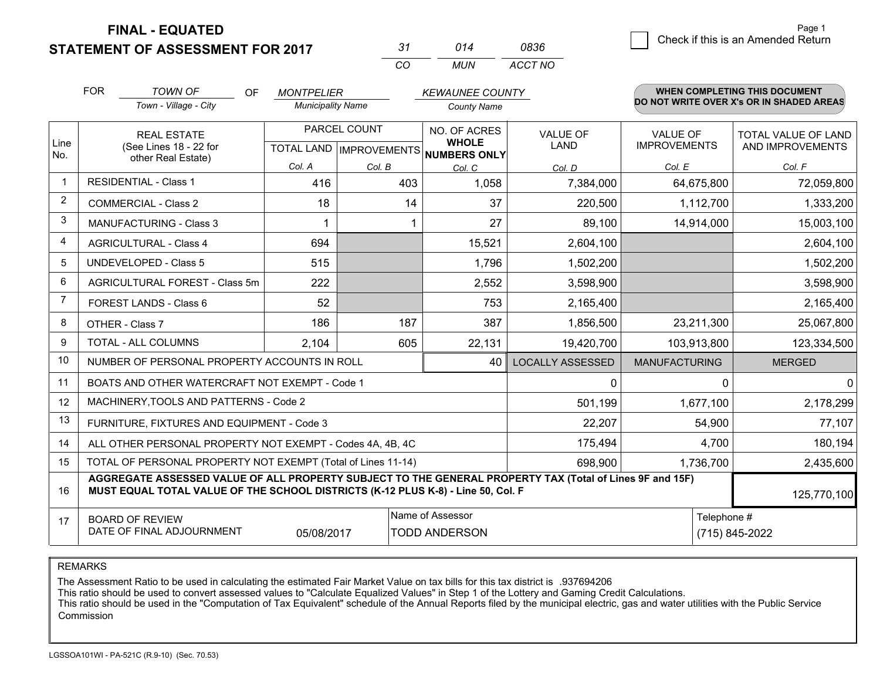**STATEMENT OF ASSESSMENT FOR 2017** 

| -31 | 014 | 0836    |
|-----|-----|---------|
| cо  | MUN | ACCT NO |

|                | <b>FOR</b>                                                                                                                                                                                   | <b>TOWN OF</b><br>OF.                                        | <b>MONTPELIER</b>        |              | <b>KEWAUNEE COUNTY</b>                                               |                                |                                        | WHEN COMPLETING THIS DOCUMENT                  |
|----------------|----------------------------------------------------------------------------------------------------------------------------------------------------------------------------------------------|--------------------------------------------------------------|--------------------------|--------------|----------------------------------------------------------------------|--------------------------------|----------------------------------------|------------------------------------------------|
|                |                                                                                                                                                                                              | Town - Village - City                                        | <b>Municipality Name</b> |              | <b>County Name</b>                                                   |                                |                                        | DO NOT WRITE OVER X's OR IN SHADED AREAS       |
| Line<br>No.    |                                                                                                                                                                                              | <b>REAL ESTATE</b><br>(See Lines 18 - 22 for                 |                          | PARCEL COUNT | NO. OF ACRES<br><b>WHOLE</b><br>TOTAL LAND IMPROVEMENTS NUMBERS ONLY | <b>VALUE OF</b><br><b>LAND</b> | <b>VALUE OF</b><br><b>IMPROVEMENTS</b> | <b>TOTAL VALUE OF LAND</b><br>AND IMPROVEMENTS |
|                |                                                                                                                                                                                              | other Real Estate)                                           | Col. A                   | Col. B       | Col. C                                                               | Col. D                         | Col. E                                 | Col. F                                         |
|                |                                                                                                                                                                                              | <b>RESIDENTIAL - Class 1</b>                                 | 416                      | 403          | 1,058                                                                | 7,384,000                      | 64,675,800                             | 72,059,800                                     |
| $\overline{2}$ |                                                                                                                                                                                              | <b>COMMERCIAL - Class 2</b>                                  | 18                       | 14           | 37                                                                   | 220,500                        | 1,112,700                              | 1,333,200                                      |
| 3              |                                                                                                                                                                                              | <b>MANUFACTURING - Class 3</b>                               |                          |              | 27                                                                   | 89,100                         | 14,914,000                             | 15,003,100                                     |
| 4              |                                                                                                                                                                                              | <b>AGRICULTURAL - Class 4</b>                                | 694                      |              | 15,521                                                               | 2,604,100                      |                                        | 2,604,100                                      |
| 5              |                                                                                                                                                                                              | <b>UNDEVELOPED - Class 5</b>                                 | 515                      |              | 1,796                                                                | 1,502,200                      |                                        | 1,502,200                                      |
| 6              |                                                                                                                                                                                              | AGRICULTURAL FOREST - Class 5m                               | 222                      |              | 2,552                                                                | 3,598,900                      |                                        | 3,598,900                                      |
| $\overline{7}$ |                                                                                                                                                                                              | FOREST LANDS - Class 6                                       | 52                       |              | 753                                                                  | 2,165,400                      |                                        | 2,165,400                                      |
| 8              |                                                                                                                                                                                              | OTHER - Class 7                                              | 186                      | 187          | 387                                                                  | 1,856,500                      | 23,211,300                             | 25,067,800                                     |
| 9              |                                                                                                                                                                                              | TOTAL - ALL COLUMNS                                          | 2,104                    | 605          | 22,131                                                               | 19,420,700                     | 103,913,800                            | 123,334,500                                    |
| 10             |                                                                                                                                                                                              | NUMBER OF PERSONAL PROPERTY ACCOUNTS IN ROLL                 |                          |              | 40                                                                   | <b>LOCALLY ASSESSED</b>        | <b>MANUFACTURING</b>                   | <b>MERGED</b>                                  |
| 11             |                                                                                                                                                                                              | BOATS AND OTHER WATERCRAFT NOT EXEMPT - Code 1               |                          |              |                                                                      | 0                              | $\Omega$                               | $\mathbf{0}$                                   |
| 12             |                                                                                                                                                                                              | MACHINERY, TOOLS AND PATTERNS - Code 2                       |                          |              |                                                                      | 501,199                        | 1,677,100                              | 2,178,299                                      |
| 13             |                                                                                                                                                                                              | FURNITURE, FIXTURES AND EQUIPMENT - Code 3                   |                          |              |                                                                      | 22,207                         | 54,900                                 | 77,107                                         |
| 14             |                                                                                                                                                                                              | ALL OTHER PERSONAL PROPERTY NOT EXEMPT - Codes 4A, 4B, 4C    |                          |              |                                                                      | 175,494                        | 4,700                                  | 180,194                                        |
| 15             |                                                                                                                                                                                              | TOTAL OF PERSONAL PROPERTY NOT EXEMPT (Total of Lines 11-14) |                          | 698,900      | 1,736,700                                                            | 2,435,600                      |                                        |                                                |
| 16             | AGGREGATE ASSESSED VALUE OF ALL PROPERTY SUBJECT TO THE GENERAL PROPERTY TAX (Total of Lines 9F and 15F)<br>MUST EQUAL TOTAL VALUE OF THE SCHOOL DISTRICTS (K-12 PLUS K-8) - Line 50, Col. F |                                                              |                          |              |                                                                      |                                | 125,770,100                            |                                                |
| 17             | Name of Assessor<br>Telephone #<br><b>BOARD OF REVIEW</b><br>DATE OF FINAL ADJOURNMENT<br><b>TODD ANDERSON</b><br>(715) 845-2022<br>05/08/2017                                               |                                                              |                          |              |                                                                      |                                |                                        |                                                |

REMARKS

The Assessment Ratio to be used in calculating the estimated Fair Market Value on tax bills for this tax district is .937694206

This ratio should be used to convert assessed values to "Calculate Equalized Values" in Step 1 of the Lottery and Gaming Credit Calculations.<br>This ratio should be used in the "Computation of Tax Equivalent" schedule of the Commission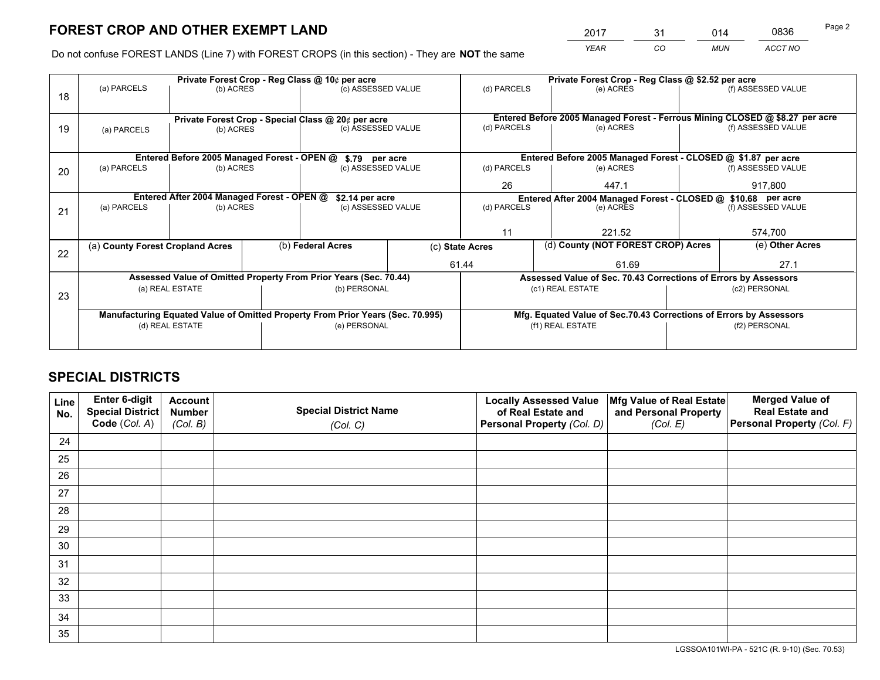*YEAR CO MUN ACCT NO* <sup>2017</sup> <sup>31</sup> <sup>014</sup> <sup>0836</sup>

Do not confuse FOREST LANDS (Line 7) with FOREST CROPS (in this section) - They are **NOT** the same

|    |                                                                                |                                             |  | Private Forest Crop - Reg Class @ 10¢ per acre                   |  | Private Forest Crop - Reg Class @ \$2.52 per acre                            |                                                                 |               |                    |
|----|--------------------------------------------------------------------------------|---------------------------------------------|--|------------------------------------------------------------------|--|------------------------------------------------------------------------------|-----------------------------------------------------------------|---------------|--------------------|
| 18 | (a) PARCELS                                                                    | (b) ACRES                                   |  | (c) ASSESSED VALUE                                               |  | (d) PARCELS                                                                  | (e) ACRES                                                       |               | (f) ASSESSED VALUE |
|    |                                                                                |                                             |  |                                                                  |  |                                                                              |                                                                 |               |                    |
|    | Private Forest Crop - Special Class @ 20¢ per acre                             |                                             |  |                                                                  |  | Entered Before 2005 Managed Forest - Ferrous Mining CLOSED @ \$8.27 per acre |                                                                 |               |                    |
| 19 | (a) PARCELS                                                                    | (b) ACRES                                   |  | (c) ASSESSED VALUE                                               |  | (d) PARCELS                                                                  | (e) ACRES                                                       |               | (f) ASSESSED VALUE |
|    |                                                                                |                                             |  |                                                                  |  |                                                                              |                                                                 |               |                    |
|    |                                                                                | Entered Before 2005 Managed Forest - OPEN @ |  | \$.79 per acre                                                   |  |                                                                              | Entered Before 2005 Managed Forest - CLOSED @ \$1.87 per acre   |               |                    |
| 20 | (a) PARCELS                                                                    | (b) ACRES                                   |  | (c) ASSESSED VALUE                                               |  | (d) PARCELS                                                                  | (e) ACRES                                                       |               | (f) ASSESSED VALUE |
|    |                                                                                |                                             |  |                                                                  |  | 26                                                                           | 447.1                                                           |               | 917.800            |
|    | Entered After 2004 Managed Forest - OPEN @<br>\$2.14 per acre                  |                                             |  |                                                                  |  | Entered After 2004 Managed Forest - CLOSED @ \$10.68 per acre                |                                                                 |               |                    |
| 21 | (a) PARCELS                                                                    | (b) ACRES                                   |  | (c) ASSESSED VALUE                                               |  | (d) PARCELS                                                                  | (e) ACRES                                                       |               | (f) ASSESSED VALUE |
|    |                                                                                |                                             |  |                                                                  |  |                                                                              |                                                                 |               |                    |
|    |                                                                                |                                             |  |                                                                  |  | 11                                                                           | 221.52                                                          |               | 574,700            |
| 22 | (a) County Forest Cropland Acres                                               |                                             |  | (b) Federal Acres                                                |  | (d) County (NOT FOREST CROP) Acres<br>(c) State Acres                        |                                                                 |               | (e) Other Acres    |
|    |                                                                                |                                             |  |                                                                  |  | 61.44                                                                        | 61.69                                                           |               | 27.1               |
|    |                                                                                |                                             |  | Assessed Value of Omitted Property From Prior Years (Sec. 70.44) |  |                                                                              | Assessed Value of Sec. 70.43 Corrections of Errors by Assessors |               |                    |
| 23 |                                                                                | (a) REAL ESTATE                             |  | (b) PERSONAL                                                     |  |                                                                              | (c1) REAL ESTATE                                                |               | (c2) PERSONAL      |
|    |                                                                                |                                             |  |                                                                  |  |                                                                              |                                                                 |               |                    |
|    | Manufacturing Equated Value of Omitted Property From Prior Years (Sec. 70.995) |                                             |  |                                                                  |  | Mfg. Equated Value of Sec.70.43 Corrections of Errors by Assessors           |                                                                 |               |                    |
|    | (d) REAL ESTATE                                                                |                                             |  | (e) PERSONAL                                                     |  | (f1) REAL ESTATE                                                             |                                                                 | (f2) PERSONAL |                    |
|    |                                                                                |                                             |  |                                                                  |  |                                                                              |                                                                 |               |                    |

## **SPECIAL DISTRICTS**

| Line<br>No. | Enter 6-digit<br>Special District<br>Code (Col. A) | <b>Account</b><br><b>Number</b><br>(Col. B) | <b>Special District Name</b><br>(Col. C) | <b>Locally Assessed Value</b><br>of Real Estate and<br>Personal Property (Col. D) | Mfg Value of Real Estate<br>and Personal Property<br>(Col. E) | <b>Merged Value of</b><br><b>Real Estate and</b><br>Personal Property (Col. F) |
|-------------|----------------------------------------------------|---------------------------------------------|------------------------------------------|-----------------------------------------------------------------------------------|---------------------------------------------------------------|--------------------------------------------------------------------------------|
| 24          |                                                    |                                             |                                          |                                                                                   |                                                               |                                                                                |
| 25          |                                                    |                                             |                                          |                                                                                   |                                                               |                                                                                |
| 26          |                                                    |                                             |                                          |                                                                                   |                                                               |                                                                                |
| 27          |                                                    |                                             |                                          |                                                                                   |                                                               |                                                                                |
| 28          |                                                    |                                             |                                          |                                                                                   |                                                               |                                                                                |
| 29          |                                                    |                                             |                                          |                                                                                   |                                                               |                                                                                |
| 30          |                                                    |                                             |                                          |                                                                                   |                                                               |                                                                                |
| 31          |                                                    |                                             |                                          |                                                                                   |                                                               |                                                                                |
| 32          |                                                    |                                             |                                          |                                                                                   |                                                               |                                                                                |
| 33          |                                                    |                                             |                                          |                                                                                   |                                                               |                                                                                |
| 34          |                                                    |                                             |                                          |                                                                                   |                                                               |                                                                                |
| 35          |                                                    |                                             |                                          |                                                                                   |                                                               |                                                                                |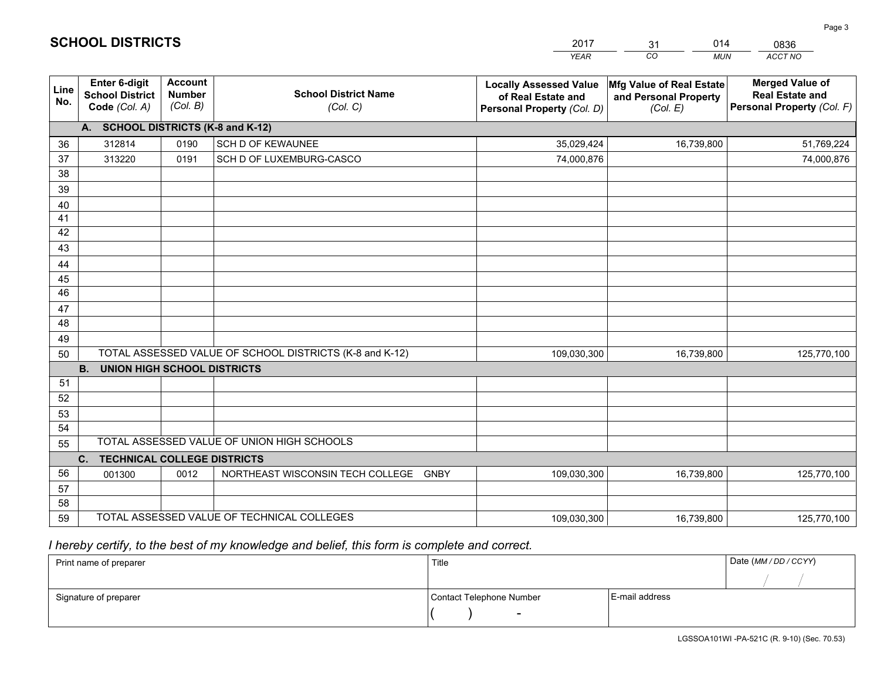|             |                                                                 |                                             |                                                         | <b>YEAR</b>                                                                       | CO<br><b>MUN</b>                                              | ACCT NO                                                                        |
|-------------|-----------------------------------------------------------------|---------------------------------------------|---------------------------------------------------------|-----------------------------------------------------------------------------------|---------------------------------------------------------------|--------------------------------------------------------------------------------|
| Line<br>No. | <b>Enter 6-digit</b><br><b>School District</b><br>Code (Col. A) | <b>Account</b><br><b>Number</b><br>(Col. B) | <b>School District Name</b><br>(Col. C)                 | <b>Locally Assessed Value</b><br>of Real Estate and<br>Personal Property (Col. D) | Mfg Value of Real Estate<br>and Personal Property<br>(Col. E) | <b>Merged Value of</b><br><b>Real Estate and</b><br>Personal Property (Col. F) |
|             | A. SCHOOL DISTRICTS (K-8 and K-12)                              |                                             |                                                         |                                                                                   |                                                               |                                                                                |
| 36          | 312814                                                          | 0190                                        | SCH D OF KEWAUNEE                                       | 35,029,424                                                                        | 16,739,800                                                    | 51,769,224                                                                     |
| 37          | 313220                                                          | 0191                                        | SCH D OF LUXEMBURG-CASCO                                | 74,000,876                                                                        |                                                               | 74,000,876                                                                     |
| 38          |                                                                 |                                             |                                                         |                                                                                   |                                                               |                                                                                |
| 39          |                                                                 |                                             |                                                         |                                                                                   |                                                               |                                                                                |
| 40          |                                                                 |                                             |                                                         |                                                                                   |                                                               |                                                                                |
| 41          |                                                                 |                                             |                                                         |                                                                                   |                                                               |                                                                                |
| 42          |                                                                 |                                             |                                                         |                                                                                   |                                                               |                                                                                |
| 43          |                                                                 |                                             |                                                         |                                                                                   |                                                               |                                                                                |
| 44<br>45    |                                                                 |                                             |                                                         |                                                                                   |                                                               |                                                                                |
| 46          |                                                                 |                                             |                                                         |                                                                                   |                                                               |                                                                                |
| 47          |                                                                 |                                             |                                                         |                                                                                   |                                                               |                                                                                |
| 48          |                                                                 |                                             |                                                         |                                                                                   |                                                               |                                                                                |
| 49          |                                                                 |                                             |                                                         |                                                                                   |                                                               |                                                                                |
| 50          |                                                                 |                                             | TOTAL ASSESSED VALUE OF SCHOOL DISTRICTS (K-8 and K-12) | 109,030,300                                                                       | 16,739,800                                                    | 125,770,100                                                                    |
|             | <b>B.</b><br><b>UNION HIGH SCHOOL DISTRICTS</b>                 |                                             |                                                         |                                                                                   |                                                               |                                                                                |
| 51          |                                                                 |                                             |                                                         |                                                                                   |                                                               |                                                                                |
| 52          |                                                                 |                                             |                                                         |                                                                                   |                                                               |                                                                                |
| 53          |                                                                 |                                             |                                                         |                                                                                   |                                                               |                                                                                |
| 54          |                                                                 |                                             |                                                         |                                                                                   |                                                               |                                                                                |
| 55          |                                                                 |                                             | TOTAL ASSESSED VALUE OF UNION HIGH SCHOOLS              |                                                                                   |                                                               |                                                                                |
|             | C.<br><b>TECHNICAL COLLEGE DISTRICTS</b>                        |                                             |                                                         |                                                                                   |                                                               |                                                                                |
| 56          | 001300                                                          | 0012                                        | NORTHEAST WISCONSIN TECH COLLEGE<br><b>GNBY</b>         | 109,030,300                                                                       | 16,739,800                                                    | 125,770,100                                                                    |
| 57          |                                                                 |                                             |                                                         |                                                                                   |                                                               |                                                                                |
| 58<br>59    |                                                                 |                                             | TOTAL ASSESSED VALUE OF TECHNICAL COLLEGES              | 109,030,300                                                                       |                                                               |                                                                                |
|             |                                                                 |                                             |                                                         |                                                                                   | 16,739,800                                                    | 125,770,100                                                                    |

31

014

 *I hereby certify, to the best of my knowledge and belief, this form is complete and correct.*

**SCHOOL DISTRICTS**

| Print name of preparer | Title                    |                | Date (MM / DD / CCYY) |
|------------------------|--------------------------|----------------|-----------------------|
|                        |                          |                |                       |
| Signature of preparer  | Contact Telephone Number | E-mail address |                       |
|                        | $\sim$                   |                |                       |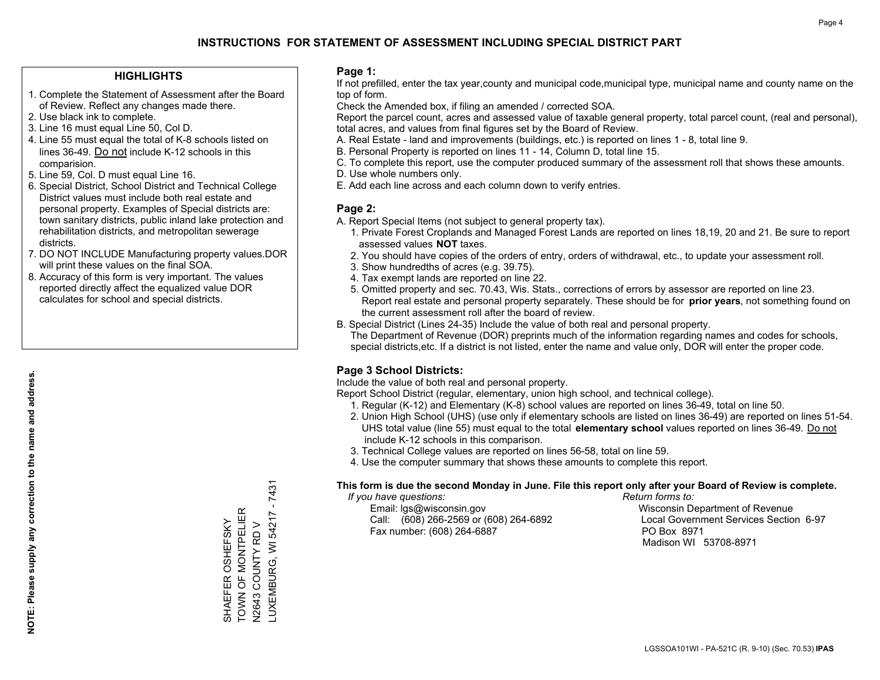### **HIGHLIGHTS**

- 1. Complete the Statement of Assessment after the Board of Review. Reflect any changes made there.
- 2. Use black ink to complete.
- 3. Line 16 must equal Line 50, Col D.
- 4. Line 55 must equal the total of K-8 schools listed on lines 36-49. Do not include K-12 schools in this comparision.
- 5. Line 59, Col. D must equal Line 16.
- 6. Special District, School District and Technical College District values must include both real estate and personal property. Examples of Special districts are: town sanitary districts, public inland lake protection and rehabilitation districts, and metropolitan sewerage districts.
- 7. DO NOT INCLUDE Manufacturing property values.DOR will print these values on the final SOA.
- 8. Accuracy of this form is very important. The values reported directly affect the equalized value DOR calculates for school and special districts.

#### **Page 1:**

 If not prefilled, enter the tax year,county and municipal code,municipal type, municipal name and county name on the top of form.

Check the Amended box, if filing an amended / corrected SOA.

 Report the parcel count, acres and assessed value of taxable general property, total parcel count, (real and personal), total acres, and values from final figures set by the Board of Review.

- A. Real Estate land and improvements (buildings, etc.) is reported on lines 1 8, total line 9.
- B. Personal Property is reported on lines 11 14, Column D, total line 15.
- C. To complete this report, use the computer produced summary of the assessment roll that shows these amounts.
- D. Use whole numbers only.
- E. Add each line across and each column down to verify entries.

## **Page 2:**

- A. Report Special Items (not subject to general property tax).
- 1. Private Forest Croplands and Managed Forest Lands are reported on lines 18,19, 20 and 21. Be sure to report assessed values **NOT** taxes.
- 2. You should have copies of the orders of entry, orders of withdrawal, etc., to update your assessment roll.
	- 3. Show hundredths of acres (e.g. 39.75).
- 4. Tax exempt lands are reported on line 22.
- 5. Omitted property and sec. 70.43, Wis. Stats., corrections of errors by assessor are reported on line 23. Report real estate and personal property separately. These should be for **prior years**, not something found on the current assessment roll after the board of review.
- B. Special District (Lines 24-35) Include the value of both real and personal property.
- The Department of Revenue (DOR) preprints much of the information regarding names and codes for schools, special districts,etc. If a district is not listed, enter the name and value only, DOR will enter the proper code.

## **Page 3 School Districts:**

Include the value of both real and personal property.

Report School District (regular, elementary, union high school, and technical college).

- 1. Regular (K-12) and Elementary (K-8) school values are reported on lines 36-49, total on line 50.
- 2. Union High School (UHS) (use only if elementary schools are listed on lines 36-49) are reported on lines 51-54. UHS total value (line 55) must equal to the total **elementary school** values reported on lines 36-49. Do notinclude K-12 schools in this comparison.
- 3. Technical College values are reported on lines 56-58, total on line 59.
- 4. Use the computer summary that shows these amounts to complete this report.

#### **This form is due the second Monday in June. File this report only after your Board of Review is complete.**

 *If you have questions: Return forms to:*

 Email: lgs@wisconsin.gov Wisconsin Department of RevenueCall:  $(608)$  266-2569 or  $(608)$  264-6892 Fax number: (608) 264-6887 PO Box 8971

Local Government Services Section 6-97 Madison WI 53708-8971

LUXEMBURG, WI 54217 - 7431 LUXEMBURG, WI 54217 - 7431 TOWN OF MONTPELIER SHAEFER OSHEFSKY<br>TOWN OF MONTPELIER SHAEFER OSHEFSKY N2643 COUNTY RD V N2643 COUNTY RD V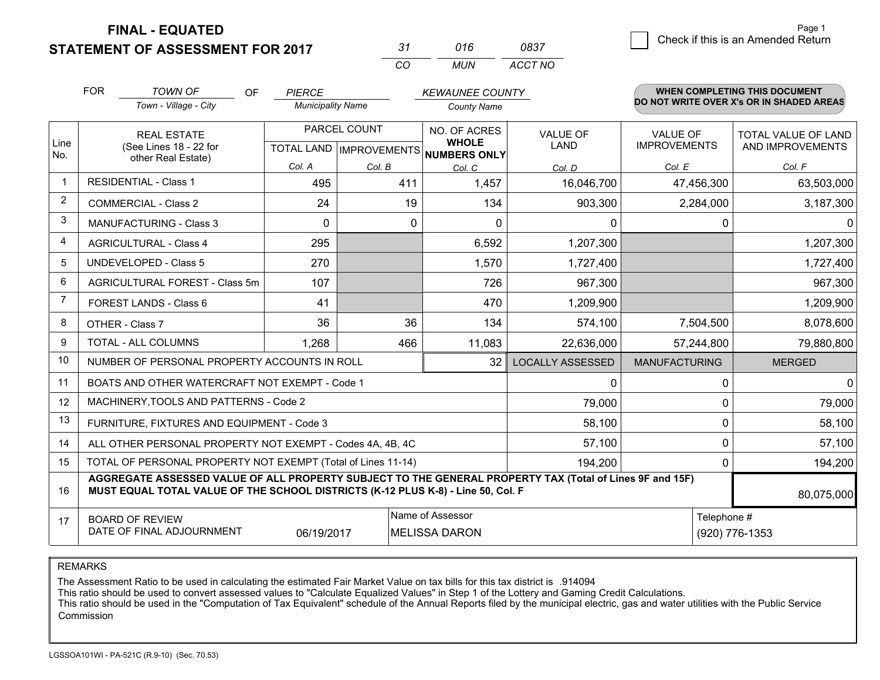**STATEMENT OF ASSESSMENT FOR 2017** 

| -31 | 016 | 0837    |
|-----|-----|---------|
| ΩO  | MUN | ACCT NO |

|                | <b>FOR</b>                                                                                                                                                                                   | <b>TOWN OF</b><br><b>OF</b>                                  | <b>PIERCE</b>            |               | <b>KEWAUNEE COUNTY</b>              |                         |                                        | <b>WHEN COMPLETING THIS DOCUMENT</b>           |
|----------------|----------------------------------------------------------------------------------------------------------------------------------------------------------------------------------------------|--------------------------------------------------------------|--------------------------|---------------|-------------------------------------|-------------------------|----------------------------------------|------------------------------------------------|
|                |                                                                                                                                                                                              | Town - Village - City                                        | <b>Municipality Name</b> |               | <b>County Name</b>                  |                         |                                        | DO NOT WRITE OVER X's OR IN SHADED AREAS       |
| Line           | <b>REAL ESTATE</b><br>(See Lines 18 - 22 for                                                                                                                                                 |                                                              | PARCEL COUNT             |               | NO. OF ACRES<br><b>WHOLE</b>        | <b>VALUE OF</b><br>LAND | <b>VALUE OF</b><br><b>IMPROVEMENTS</b> | <b>TOTAL VALUE OF LAND</b><br>AND IMPROVEMENTS |
| No.            |                                                                                                                                                                                              | other Real Estate)                                           | Col. A                   |               | TOTAL LAND MPROVEMENTS NUMBERS ONLY |                         |                                        |                                                |
| $\mathbf 1$    |                                                                                                                                                                                              | <b>RESIDENTIAL - Class 1</b>                                 | 495                      | Col. B<br>411 | Col. C<br>1,457                     | Col. D<br>16,046,700    | Col. E<br>47,456,300                   | Col. F<br>63,503,000                           |
| $\overline{2}$ |                                                                                                                                                                                              |                                                              |                          |               |                                     |                         |                                        |                                                |
|                |                                                                                                                                                                                              | <b>COMMERCIAL - Class 2</b>                                  | 24                       | 19            | 134                                 | 903,300                 | 2,284,000                              | 3,187,300                                      |
| 3              |                                                                                                                                                                                              | MANUFACTURING - Class 3                                      | $\Omega$                 | $\mathbf 0$   | $\Omega$                            | $\mathbf 0$             | $\mathbf 0$                            | $\Omega$                                       |
| 4              |                                                                                                                                                                                              | <b>AGRICULTURAL - Class 4</b>                                | 295                      |               | 6,592                               | 1,207,300               |                                        | 1,207,300                                      |
| 5              |                                                                                                                                                                                              | <b>UNDEVELOPED - Class 5</b>                                 | 270                      |               | 1,570                               | 1,727,400               |                                        | 1,727,400                                      |
| 6              |                                                                                                                                                                                              | AGRICULTURAL FOREST - Class 5m                               | 107                      |               | 726                                 | 967,300                 |                                        | 967,300                                        |
| $\overline{7}$ |                                                                                                                                                                                              | FOREST LANDS - Class 6                                       | 41                       |               | 470                                 | 1,209,900               |                                        | 1,209,900                                      |
| 8              |                                                                                                                                                                                              | OTHER - Class 7                                              | 36                       | 36            | 134                                 | 574,100                 | 7,504,500                              | 8,078,600                                      |
| 9              |                                                                                                                                                                                              | TOTAL - ALL COLUMNS                                          | 1,268                    | 466           | 11,083                              | 22,636,000              | 57,244,800                             | 79,880,800                                     |
| 10             |                                                                                                                                                                                              | NUMBER OF PERSONAL PROPERTY ACCOUNTS IN ROLL                 |                          |               | 32                                  | <b>LOCALLY ASSESSED</b> | <b>MANUFACTURING</b>                   | <b>MERGED</b>                                  |
| 11             |                                                                                                                                                                                              | BOATS AND OTHER WATERCRAFT NOT EXEMPT - Code 1               |                          |               |                                     | $\Omega$                | 0                                      | $\mathbf{0}$                                   |
| 12             |                                                                                                                                                                                              | MACHINERY, TOOLS AND PATTERNS - Code 2                       |                          |               |                                     | 79,000                  | 0                                      | 79,000                                         |
| 13             |                                                                                                                                                                                              | FURNITURE, FIXTURES AND EQUIPMENT - Code 3                   |                          |               |                                     | 58,100                  | $\mathbf 0$                            | 58,100                                         |
| 14             |                                                                                                                                                                                              | ALL OTHER PERSONAL PROPERTY NOT EXEMPT - Codes 4A, 4B, 4C    |                          |               |                                     | 57,100                  | 0                                      | 57,100                                         |
| 15             |                                                                                                                                                                                              | TOTAL OF PERSONAL PROPERTY NOT EXEMPT (Total of Lines 11-14) |                          |               | 194,200                             | 0                       | 194,200                                |                                                |
| 16             | AGGREGATE ASSESSED VALUE OF ALL PROPERTY SUBJECT TO THE GENERAL PROPERTY TAX (Total of Lines 9F and 15F)<br>MUST EQUAL TOTAL VALUE OF THE SCHOOL DISTRICTS (K-12 PLUS K-8) - Line 50, Col. F |                                                              |                          |               |                                     |                         | 80,075,000                             |                                                |
| 17             |                                                                                                                                                                                              | <b>BOARD OF REVIEW</b>                                       |                          |               | Name of Assessor                    |                         | Telephone #                            |                                                |
|                | DATE OF FINAL ADJOURNMENT<br>06/19/2017<br>(920) 776-1353<br><b>MELISSA DARON</b>                                                                                                            |                                                              |                          |               |                                     |                         |                                        |                                                |

REMARKS

The Assessment Ratio to be used in calculating the estimated Fair Market Value on tax bills for this tax district is .914094

This ratio should be used to convert assessed values to "Calculate Equalized Values" in Step 1 of the Lottery and Gaming Credit Calculations.<br>This ratio should be used in the "Computation of Tax Equivalent" schedule of the Commission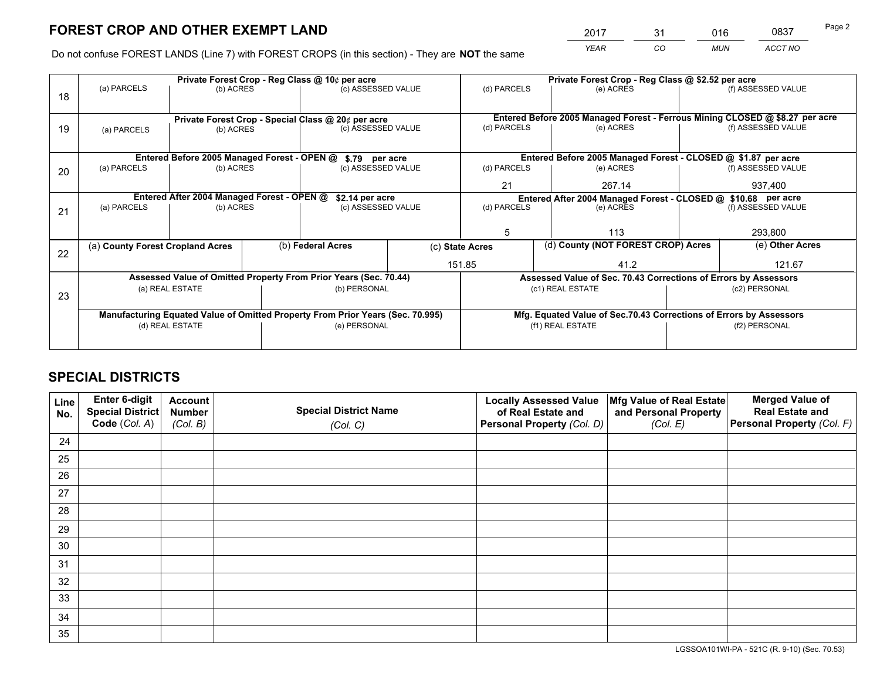*YEAR CO MUN ACCT NO* <sup>2017</sup> <sup>31</sup> <sup>016</sup> <sup>0837</sup>

Do not confuse FOREST LANDS (Line 7) with FOREST CROPS (in this section) - They are **NOT** the same

|    |                                                                                |                                                                                |  | Private Forest Crop - Reg Class @ 10¢ per acre                   |                                   | Private Forest Crop - Reg Class @ \$2.52 per acre                            |                                                                    |               |                    |
|----|--------------------------------------------------------------------------------|--------------------------------------------------------------------------------|--|------------------------------------------------------------------|-----------------------------------|------------------------------------------------------------------------------|--------------------------------------------------------------------|---------------|--------------------|
| 18 | (a) PARCELS                                                                    | (b) ACRES                                                                      |  | (c) ASSESSED VALUE                                               |                                   | (d) PARCELS                                                                  | (e) ACRES                                                          |               | (f) ASSESSED VALUE |
|    |                                                                                |                                                                                |  |                                                                  |                                   | Entered Before 2005 Managed Forest - Ferrous Mining CLOSED @ \$8.27 per acre |                                                                    |               |                    |
| 19 |                                                                                | Private Forest Crop - Special Class @ 20¢ per acre<br>(b) ACRES<br>(a) PARCELS |  | (c) ASSESSED VALUE                                               |                                   | (d) PARCELS                                                                  | (e) ACRES                                                          |               | (f) ASSESSED VALUE |
|    |                                                                                |                                                                                |  |                                                                  |                                   |                                                                              |                                                                    |               |                    |
|    |                                                                                | Entered Before 2005 Managed Forest - OPEN @                                    |  | \$.79 per acre                                                   |                                   |                                                                              | Entered Before 2005 Managed Forest - CLOSED @ \$1.87 per acre      |               |                    |
| 20 | (a) PARCELS                                                                    | (b) ACRES                                                                      |  | (c) ASSESSED VALUE                                               |                                   | (d) PARCELS                                                                  | (e) ACRES                                                          |               | (f) ASSESSED VALUE |
|    |                                                                                |                                                                                |  |                                                                  |                                   | 21                                                                           | 267.14                                                             |               | 937.400            |
|    | Entered After 2004 Managed Forest - OPEN @<br>\$2.14 per acre                  |                                                                                |  |                                                                  |                                   |                                                                              | Entered After 2004 Managed Forest - CLOSED @ \$10.68 per acre      |               |                    |
| 21 | (a) PARCELS                                                                    | (b) ACRES                                                                      |  |                                                                  | (d) PARCELS<br>(c) ASSESSED VALUE |                                                                              | (e) ACRES                                                          |               |                    |
|    |                                                                                |                                                                                |  |                                                                  |                                   |                                                                              |                                                                    |               |                    |
|    |                                                                                |                                                                                |  |                                                                  |                                   | 5<br>113                                                                     |                                                                    | 293,800       |                    |
| 22 | (a) County Forest Cropland Acres                                               |                                                                                |  | (b) Federal Acres                                                |                                   | (d) County (NOT FOREST CROP) Acres<br>(c) State Acres                        |                                                                    |               | (e) Other Acres    |
|    |                                                                                |                                                                                |  |                                                                  |                                   | 151.85                                                                       | 41.2                                                               |               | 121.67             |
|    |                                                                                |                                                                                |  | Assessed Value of Omitted Property From Prior Years (Sec. 70.44) |                                   |                                                                              | Assessed Value of Sec. 70.43 Corrections of Errors by Assessors    |               |                    |
| 23 |                                                                                | (a) REAL ESTATE                                                                |  | (b) PERSONAL                                                     |                                   |                                                                              | (c1) REAL ESTATE                                                   |               | (c2) PERSONAL      |
|    |                                                                                |                                                                                |  |                                                                  |                                   |                                                                              |                                                                    |               |                    |
|    | Manufacturing Equated Value of Omitted Property From Prior Years (Sec. 70.995) |                                                                                |  |                                                                  |                                   |                                                                              | Mfg. Equated Value of Sec.70.43 Corrections of Errors by Assessors |               |                    |
|    | (d) REAL ESTATE                                                                |                                                                                |  | (e) PERSONAL                                                     |                                   | (f1) REAL ESTATE                                                             |                                                                    | (f2) PERSONAL |                    |
|    |                                                                                |                                                                                |  |                                                                  |                                   |                                                                              |                                                                    |               |                    |

## **SPECIAL DISTRICTS**

| Line<br>No. | Enter 6-digit<br>Special District<br>Code (Col. A) | <b>Account</b><br><b>Number</b> | <b>Special District Name</b> | <b>Locally Assessed Value</b><br>of Real Estate and | Mfg Value of Real Estate<br>and Personal Property | <b>Merged Value of</b><br><b>Real Estate and</b><br>Personal Property (Col. F) |
|-------------|----------------------------------------------------|---------------------------------|------------------------------|-----------------------------------------------------|---------------------------------------------------|--------------------------------------------------------------------------------|
|             |                                                    | (Col. B)                        | (Col. C)                     | Personal Property (Col. D)                          | (Col. E)                                          |                                                                                |
| 24          |                                                    |                                 |                              |                                                     |                                                   |                                                                                |
| 25          |                                                    |                                 |                              |                                                     |                                                   |                                                                                |
| 26          |                                                    |                                 |                              |                                                     |                                                   |                                                                                |
| 27          |                                                    |                                 |                              |                                                     |                                                   |                                                                                |
| 28          |                                                    |                                 |                              |                                                     |                                                   |                                                                                |
| 29          |                                                    |                                 |                              |                                                     |                                                   |                                                                                |
| 30          |                                                    |                                 |                              |                                                     |                                                   |                                                                                |
| 31          |                                                    |                                 |                              |                                                     |                                                   |                                                                                |
| 32          |                                                    |                                 |                              |                                                     |                                                   |                                                                                |
| 33          |                                                    |                                 |                              |                                                     |                                                   |                                                                                |
| 34          |                                                    |                                 |                              |                                                     |                                                   |                                                                                |
| 35          |                                                    |                                 |                              |                                                     |                                                   |                                                                                |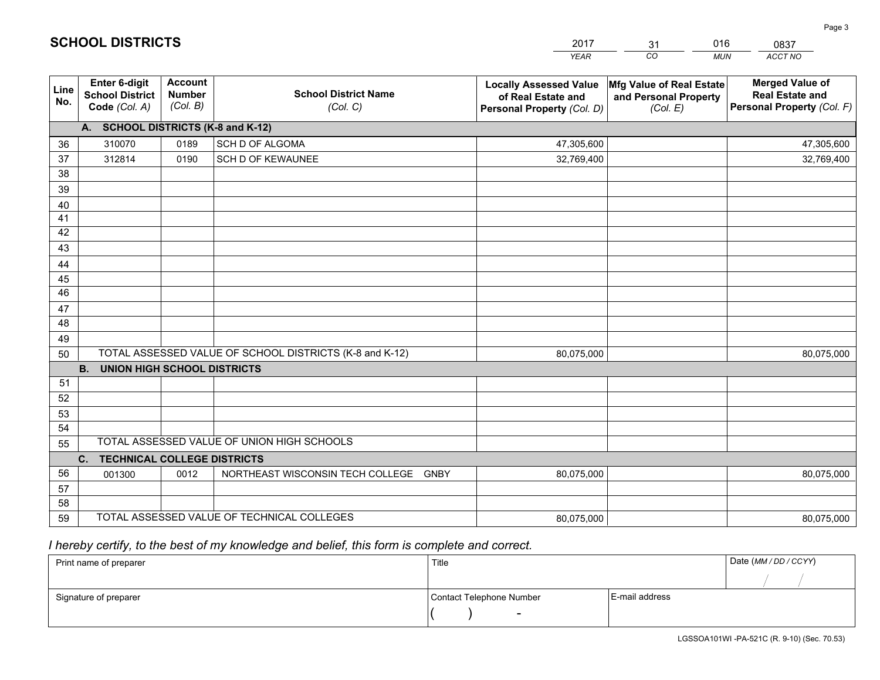|             |                                                                 |                                             |                                                         | <b>YEAR</b>                                                                       | CO<br><b>MUN</b>                                                              | ACCT NO                                                                        |
|-------------|-----------------------------------------------------------------|---------------------------------------------|---------------------------------------------------------|-----------------------------------------------------------------------------------|-------------------------------------------------------------------------------|--------------------------------------------------------------------------------|
| Line<br>No. | <b>Enter 6-digit</b><br><b>School District</b><br>Code (Col. A) | <b>Account</b><br><b>Number</b><br>(Col. B) | <b>School District Name</b><br>(Col. C)                 | <b>Locally Assessed Value</b><br>of Real Estate and<br>Personal Property (Col. D) | $ \mathsf{Mfg}$ Value of Real Estate $ $<br>and Personal Property<br>(Col. E) | <b>Merged Value of</b><br><b>Real Estate and</b><br>Personal Property (Col. F) |
|             | A. SCHOOL DISTRICTS (K-8 and K-12)                              |                                             |                                                         |                                                                                   |                                                                               |                                                                                |
| 36          | 310070                                                          | 0189                                        | SCH D OF ALGOMA                                         | 47,305,600                                                                        |                                                                               | 47,305,600                                                                     |
| 37          | 312814                                                          | 0190                                        | SCH D OF KEWAUNEE                                       | 32,769,400                                                                        |                                                                               | 32,769,400                                                                     |
| 38          |                                                                 |                                             |                                                         |                                                                                   |                                                                               |                                                                                |
| 39          |                                                                 |                                             |                                                         |                                                                                   |                                                                               |                                                                                |
| 40          |                                                                 |                                             |                                                         |                                                                                   |                                                                               |                                                                                |
| 41          |                                                                 |                                             |                                                         |                                                                                   |                                                                               |                                                                                |
| 42          |                                                                 |                                             |                                                         |                                                                                   |                                                                               |                                                                                |
| 43          |                                                                 |                                             |                                                         |                                                                                   |                                                                               |                                                                                |
| 44          |                                                                 |                                             |                                                         |                                                                                   |                                                                               |                                                                                |
| 45<br>46    |                                                                 |                                             |                                                         |                                                                                   |                                                                               |                                                                                |
| 47          |                                                                 |                                             |                                                         |                                                                                   |                                                                               |                                                                                |
| 48          |                                                                 |                                             |                                                         |                                                                                   |                                                                               |                                                                                |
| 49          |                                                                 |                                             |                                                         |                                                                                   |                                                                               |                                                                                |
| 50          |                                                                 |                                             | TOTAL ASSESSED VALUE OF SCHOOL DISTRICTS (K-8 and K-12) | 80,075,000                                                                        |                                                                               | 80,075,000                                                                     |
|             | <b>B.</b><br><b>UNION HIGH SCHOOL DISTRICTS</b>                 |                                             |                                                         |                                                                                   |                                                                               |                                                                                |
| 51          |                                                                 |                                             |                                                         |                                                                                   |                                                                               |                                                                                |
| 52          |                                                                 |                                             |                                                         |                                                                                   |                                                                               |                                                                                |
| 53          |                                                                 |                                             |                                                         |                                                                                   |                                                                               |                                                                                |
| 54          |                                                                 |                                             |                                                         |                                                                                   |                                                                               |                                                                                |
| 55          |                                                                 |                                             | TOTAL ASSESSED VALUE OF UNION HIGH SCHOOLS              |                                                                                   |                                                                               |                                                                                |
|             | C.<br><b>TECHNICAL COLLEGE DISTRICTS</b>                        |                                             |                                                         |                                                                                   |                                                                               |                                                                                |
| 56          | 001300                                                          | 0012                                        | NORTHEAST WISCONSIN TECH COLLEGE GNBY                   | 80,075,000                                                                        |                                                                               | 80,075,000                                                                     |
| 57          |                                                                 |                                             |                                                         |                                                                                   |                                                                               |                                                                                |
| 58          |                                                                 |                                             |                                                         |                                                                                   |                                                                               |                                                                                |
| 59          |                                                                 |                                             | TOTAL ASSESSED VALUE OF TECHNICAL COLLEGES              | 80,075,000                                                                        |                                                                               | 80,075,000                                                                     |

31

016

 *I hereby certify, to the best of my knowledge and belief, this form is complete and correct.*

**SCHOOL DISTRICTS**

| Print name of preparer | Title                    |                | Date (MM / DD / CCYY) |
|------------------------|--------------------------|----------------|-----------------------|
|                        |                          |                |                       |
| Signature of preparer  | Contact Telephone Number | E-mail address |                       |
|                        | $\sim$                   |                |                       |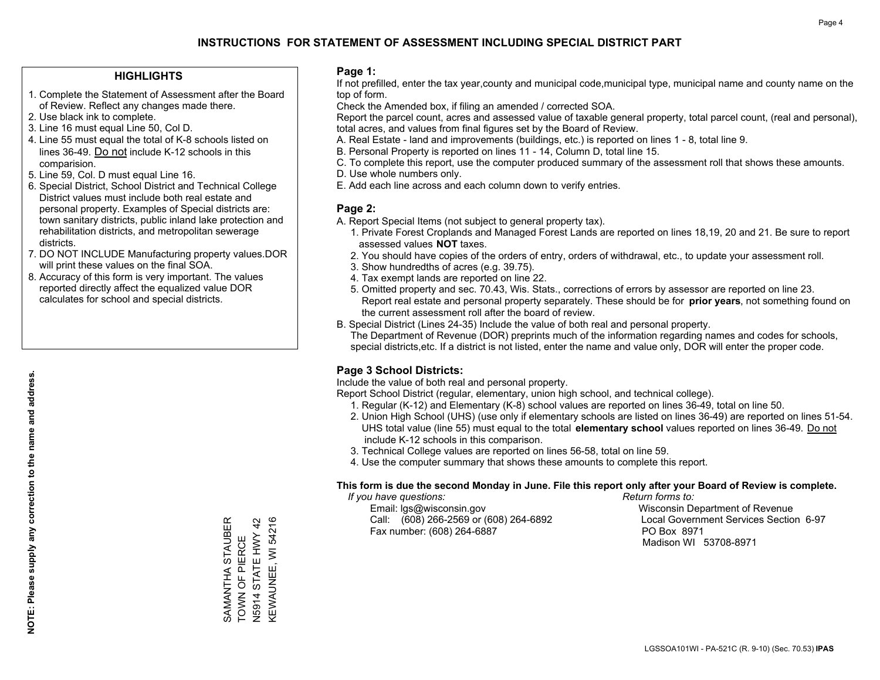### **HIGHLIGHTS**

- 1. Complete the Statement of Assessment after the Board of Review. Reflect any changes made there.
- 2. Use black ink to complete.
- 3. Line 16 must equal Line 50, Col D.
- 4. Line 55 must equal the total of K-8 schools listed on lines 36-49. Do not include K-12 schools in this comparision.
- 5. Line 59, Col. D must equal Line 16.
- 6. Special District, School District and Technical College District values must include both real estate and personal property. Examples of Special districts are: town sanitary districts, public inland lake protection and rehabilitation districts, and metropolitan sewerage districts.
- 7. DO NOT INCLUDE Manufacturing property values.DOR will print these values on the final SOA.

SAMANTHA STAUBER TOWN OF PIERCE N5914 STATE HWY 42 KEWAUNEE, WI 54216

SAMANTHA STAUB<br>TOWN OF PIERCE

**STAUBER** 

KEWAUNEE, WI 54216 , C.T., C.T., L., C.T.<br>N5914 STATE HWY 42

 8. Accuracy of this form is very important. The values reported directly affect the equalized value DOR calculates for school and special districts.

#### **Page 1:**

 If not prefilled, enter the tax year,county and municipal code,municipal type, municipal name and county name on the top of form.

Check the Amended box, if filing an amended / corrected SOA.

 Report the parcel count, acres and assessed value of taxable general property, total parcel count, (real and personal), total acres, and values from final figures set by the Board of Review.

- A. Real Estate land and improvements (buildings, etc.) is reported on lines 1 8, total line 9.
- B. Personal Property is reported on lines 11 14, Column D, total line 15.
- C. To complete this report, use the computer produced summary of the assessment roll that shows these amounts.
- D. Use whole numbers only.
- E. Add each line across and each column down to verify entries.

### **Page 2:**

- A. Report Special Items (not subject to general property tax).
- 1. Private Forest Croplands and Managed Forest Lands are reported on lines 18,19, 20 and 21. Be sure to report assessed values **NOT** taxes.
- 2. You should have copies of the orders of entry, orders of withdrawal, etc., to update your assessment roll.
	- 3. Show hundredths of acres (e.g. 39.75).
- 4. Tax exempt lands are reported on line 22.
- 5. Omitted property and sec. 70.43, Wis. Stats., corrections of errors by assessor are reported on line 23. Report real estate and personal property separately. These should be for **prior years**, not something found on the current assessment roll after the board of review.
- B. Special District (Lines 24-35) Include the value of both real and personal property.
- The Department of Revenue (DOR) preprints much of the information regarding names and codes for schools, special districts,etc. If a district is not listed, enter the name and value only, DOR will enter the proper code.

## **Page 3 School Districts:**

Include the value of both real and personal property.

Report School District (regular, elementary, union high school, and technical college).

- 1. Regular (K-12) and Elementary (K-8) school values are reported on lines 36-49, total on line 50.
- 2. Union High School (UHS) (use only if elementary schools are listed on lines 36-49) are reported on lines 51-54. UHS total value (line 55) must equal to the total **elementary school** values reported on lines 36-49. Do notinclude K-12 schools in this comparison.
- 3. Technical College values are reported on lines 56-58, total on line 59.
- 4. Use the computer summary that shows these amounts to complete this report.

#### **This form is due the second Monday in June. File this report only after your Board of Review is complete.**

 *If you have questions: Return forms to:*

 Email: lgs@wisconsin.gov Wisconsin Department of RevenueCall:  $(608)$  266-2569 or  $(608)$  264-6892 Fax number: (608) 264-6887 PO Box 8971

Local Government Services Section 6-97

Madison WI 53708-8971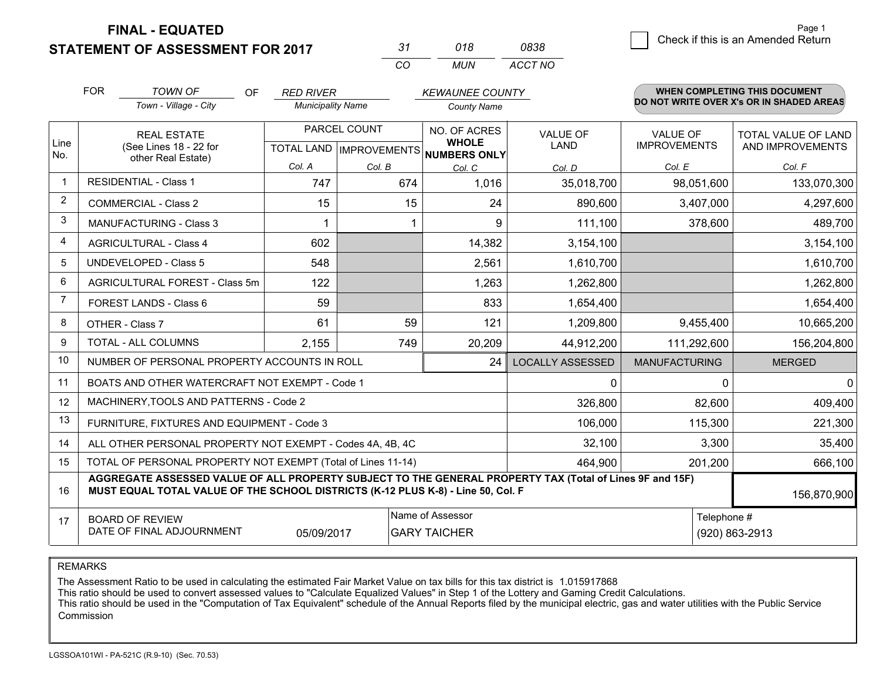**STATEMENT OF ASSESSMENT FOR 2017** 

| -31 | 018   | 0838    |
|-----|-------|---------|
| CO. | MI IN | ACCT NO |

|                | <b>FOR</b>                                                                                                                                                                                   | <b>TOWN OF</b><br><b>OF</b><br>Town - Village - City         | <b>RED RIVER</b>         |              | <b>KEWAUNEE COUNTY</b>                                   |                         |                      | <b>WHEN COMPLETING THIS DOCUMENT</b><br>DO NOT WRITE OVER X's OR IN SHADED AREAS |  |
|----------------|----------------------------------------------------------------------------------------------------------------------------------------------------------------------------------------------|--------------------------------------------------------------|--------------------------|--------------|----------------------------------------------------------|-------------------------|----------------------|----------------------------------------------------------------------------------|--|
|                |                                                                                                                                                                                              |                                                              | <b>Municipality Name</b> |              | <b>County Name</b>                                       |                         |                      |                                                                                  |  |
|                |                                                                                                                                                                                              | <b>REAL ESTATE</b>                                           |                          | PARCEL COUNT | NO. OF ACRES                                             | <b>VALUE OF</b>         | <b>VALUE OF</b>      | TOTAL VALUE OF LAND                                                              |  |
| Line<br>No.    |                                                                                                                                                                                              | (See Lines 18 - 22 for<br>other Real Estate)                 |                          |              | <b>WHOLE</b><br>TOTAL LAND   IMPROVEMENTS   NUMBERS ONLY | <b>LAND</b>             | <b>IMPROVEMENTS</b>  | AND IMPROVEMENTS                                                                 |  |
|                |                                                                                                                                                                                              |                                                              | Col. A                   | Col. B       | Col. C                                                   | Col. D                  | Col. E               | Col. F                                                                           |  |
| $\mathbf{1}$   |                                                                                                                                                                                              | <b>RESIDENTIAL - Class 1</b>                                 | 747                      | 674          | 1,016                                                    | 35,018,700              | 98,051,600           | 133,070,300                                                                      |  |
| $\overline{2}$ |                                                                                                                                                                                              | <b>COMMERCIAL - Class 2</b>                                  | 15                       | 15           | 24                                                       | 890,600                 | 3,407,000            | 4,297,600                                                                        |  |
| 3              |                                                                                                                                                                                              | MANUFACTURING - Class 3                                      |                          |              | 9                                                        | 111,100                 | 378,600              | 489,700                                                                          |  |
| 4              |                                                                                                                                                                                              | <b>AGRICULTURAL - Class 4</b>                                | 602                      |              | 14,382                                                   | 3,154,100               |                      | 3,154,100                                                                        |  |
| 5              |                                                                                                                                                                                              | <b>UNDEVELOPED - Class 5</b>                                 | 548                      |              | 2,561                                                    | 1,610,700               |                      | 1,610,700                                                                        |  |
| 6              |                                                                                                                                                                                              | AGRICULTURAL FOREST - Class 5m                               | 122                      |              | 1,263                                                    | 1,262,800               |                      | 1,262,800                                                                        |  |
| $\overline{7}$ |                                                                                                                                                                                              | FOREST LANDS - Class 6                                       | 59                       |              | 833                                                      | 1,654,400               |                      | 1,654,400                                                                        |  |
| 8              |                                                                                                                                                                                              | OTHER - Class 7                                              | 61                       | 59           | 121                                                      | 1,209,800               | 9,455,400            | 10,665,200                                                                       |  |
| 9              |                                                                                                                                                                                              | TOTAL - ALL COLUMNS                                          | 2,155                    | 749          | 20,209                                                   | 44,912,200              | 111,292,600          | 156,204,800                                                                      |  |
| 10             |                                                                                                                                                                                              | NUMBER OF PERSONAL PROPERTY ACCOUNTS IN ROLL                 |                          |              | 24                                                       | <b>LOCALLY ASSESSED</b> | <b>MANUFACTURING</b> | <b>MERGED</b>                                                                    |  |
| 11             |                                                                                                                                                                                              | BOATS AND OTHER WATERCRAFT NOT EXEMPT - Code 1               |                          |              |                                                          | $\mathbf{0}$            | ∩                    | $\Omega$                                                                         |  |
| 12             |                                                                                                                                                                                              | MACHINERY, TOOLS AND PATTERNS - Code 2                       |                          |              |                                                          | 326,800                 | 82,600               | 409,400                                                                          |  |
| 13             |                                                                                                                                                                                              | FURNITURE, FIXTURES AND EQUIPMENT - Code 3                   |                          |              |                                                          | 106,000                 | 115,300              | 221,300                                                                          |  |
| 14             |                                                                                                                                                                                              | ALL OTHER PERSONAL PROPERTY NOT EXEMPT - Codes 4A, 4B, 4C    |                          |              |                                                          | 32,100                  | 3,300                | 35,400                                                                           |  |
| 15             |                                                                                                                                                                                              | TOTAL OF PERSONAL PROPERTY NOT EXEMPT (Total of Lines 11-14) |                          |              |                                                          | 464,900                 | 201,200              | 666,100                                                                          |  |
| 16             | AGGREGATE ASSESSED VALUE OF ALL PROPERTY SUBJECT TO THE GENERAL PROPERTY TAX (Total of Lines 9F and 15F)<br>MUST EQUAL TOTAL VALUE OF THE SCHOOL DISTRICTS (K-12 PLUS K-8) - Line 50, Col. F |                                                              |                          |              |                                                          |                         | 156,870,900          |                                                                                  |  |
| 17             |                                                                                                                                                                                              | <b>BOARD OF REVIEW</b>                                       |                          |              | Name of Assessor                                         |                         | Telephone #          |                                                                                  |  |
|                | DATE OF FINAL ADJOURNMENT<br>05/09/2017<br><b>GARY TAICHER</b>                                                                                                                               |                                                              |                          |              |                                                          |                         | (920) 863-2913       |                                                                                  |  |

REMARKS

The Assessment Ratio to be used in calculating the estimated Fair Market Value on tax bills for this tax district is 1.015917868

This ratio should be used to convert assessed values to "Calculate Equalized Values" in Step 1 of the Lottery and Gaming Credit Calculations.<br>This ratio should be used in the "Computation of Tax Equivalent" schedule of the Commission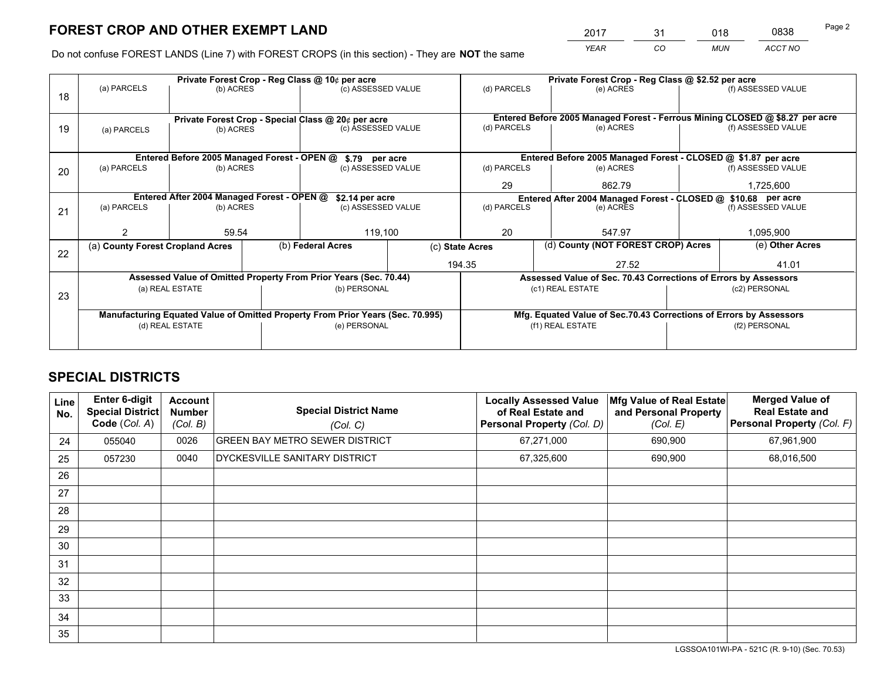*YEAR CO MUN ACCT NO* <sup>2017</sup> <sup>31</sup> <sup>018</sup> <sup>0838</sup>

Do not confuse FOREST LANDS (Line 7) with FOREST CROPS (in this section) - They are **NOT** the same

|    |                                                                                |                                             |  | Private Forest Crop - Reg Class @ 10¢ per acre                   |                                                                              | Private Forest Crop - Reg Class @ \$2.52 per acre             |                                                                    |           |                    |  |
|----|--------------------------------------------------------------------------------|---------------------------------------------|--|------------------------------------------------------------------|------------------------------------------------------------------------------|---------------------------------------------------------------|--------------------------------------------------------------------|-----------|--------------------|--|
| 18 | (a) PARCELS                                                                    | (b) ACRES                                   |  | (c) ASSESSED VALUE                                               |                                                                              | (d) PARCELS                                                   | (e) ACRES                                                          |           | (f) ASSESSED VALUE |  |
|    |                                                                                |                                             |  |                                                                  |                                                                              |                                                               |                                                                    |           |                    |  |
|    | Private Forest Crop - Special Class @ 20¢ per acre                             |                                             |  |                                                                  | Entered Before 2005 Managed Forest - Ferrous Mining CLOSED @ \$8.27 per acre |                                                               |                                                                    |           |                    |  |
| 19 | (a) PARCELS                                                                    | (b) ACRES                                   |  | (c) ASSESSED VALUE                                               |                                                                              | (d) PARCELS                                                   | (e) ACRES                                                          |           | (f) ASSESSED VALUE |  |
|    |                                                                                |                                             |  |                                                                  |                                                                              |                                                               |                                                                    |           |                    |  |
|    |                                                                                | Entered Before 2005 Managed Forest - OPEN @ |  | \$.79 per acre                                                   |                                                                              |                                                               | Entered Before 2005 Managed Forest - CLOSED @ \$1.87 per acre      |           |                    |  |
| 20 | (a) PARCELS                                                                    | (b) ACRES                                   |  | (c) ASSESSED VALUE                                               |                                                                              | (d) PARCELS                                                   | (e) ACRES                                                          |           | (f) ASSESSED VALUE |  |
|    |                                                                                |                                             |  |                                                                  | 29                                                                           | 862.79                                                        |                                                                    | 1,725,600 |                    |  |
|    | Entered After 2004 Managed Forest - OPEN @<br>\$2.14 per acre                  |                                             |  |                                                                  |                                                                              | Entered After 2004 Managed Forest - CLOSED @ \$10.68 per acre |                                                                    |           |                    |  |
| 21 | (a) PARCELS                                                                    | (b) ACRES                                   |  | (c) ASSESSED VALUE                                               |                                                                              | (d) PARCELS<br>(e) ACRES                                      |                                                                    |           | (f) ASSESSED VALUE |  |
|    |                                                                                |                                             |  |                                                                  |                                                                              |                                                               |                                                                    |           |                    |  |
|    |                                                                                | 59.54                                       |  | 119,100                                                          |                                                                              | 20                                                            | 547.97                                                             |           | 1,095,900          |  |
| 22 | (a) County Forest Cropland Acres                                               |                                             |  | (b) Federal Acres                                                | (c) State Acres                                                              |                                                               | (d) County (NOT FOREST CROP) Acres                                 |           | (e) Other Acres    |  |
|    |                                                                                |                                             |  |                                                                  |                                                                              | 194.35                                                        | 27.52                                                              |           | 41.01              |  |
|    |                                                                                |                                             |  | Assessed Value of Omitted Property From Prior Years (Sec. 70.44) |                                                                              |                                                               | Assessed Value of Sec. 70.43 Corrections of Errors by Assessors    |           |                    |  |
|    |                                                                                | (a) REAL ESTATE                             |  | (b) PERSONAL                                                     |                                                                              |                                                               | (c1) REAL ESTATE                                                   |           | (c2) PERSONAL      |  |
| 23 |                                                                                |                                             |  |                                                                  |                                                                              |                                                               |                                                                    |           |                    |  |
|    | Manufacturing Equated Value of Omitted Property From Prior Years (Sec. 70.995) |                                             |  |                                                                  |                                                                              |                                                               | Mfg. Equated Value of Sec.70.43 Corrections of Errors by Assessors |           |                    |  |
|    |                                                                                | (d) REAL ESTATE                             |  | (e) PERSONAL                                                     |                                                                              | (f1) REAL ESTATE                                              |                                                                    |           | (f2) PERSONAL      |  |
|    |                                                                                |                                             |  |                                                                  |                                                                              |                                                               |                                                                    |           |                    |  |

## **SPECIAL DISTRICTS**

| Line<br>No. | <b>Enter 6-digit</b><br>Special District<br>Code (Col. A) | Account<br>Number<br>(Col. B) | <b>Special District Name</b><br>(Col. C) | <b>Locally Assessed Value</b><br>of Real Estate and<br><b>Personal Property (Col. D)</b> | Mfg Value of Real Estate<br>and Personal Property<br>(Col. E) | <b>Merged Value of</b><br><b>Real Estate and</b><br>Personal Property (Col. F) |
|-------------|-----------------------------------------------------------|-------------------------------|------------------------------------------|------------------------------------------------------------------------------------------|---------------------------------------------------------------|--------------------------------------------------------------------------------|
| 24          | 055040                                                    | 0026                          | <b>GREEN BAY METRO SEWER DISTRICT</b>    | 67,271,000                                                                               | 690,900                                                       | 67,961,900                                                                     |
| 25          | 057230                                                    | 0040                          | DYCKESVILLE SANITARY DISTRICT            | 67,325,600                                                                               | 690,900                                                       | 68,016,500                                                                     |
| 26          |                                                           |                               |                                          |                                                                                          |                                                               |                                                                                |
| 27          |                                                           |                               |                                          |                                                                                          |                                                               |                                                                                |
| 28          |                                                           |                               |                                          |                                                                                          |                                                               |                                                                                |
| 29          |                                                           |                               |                                          |                                                                                          |                                                               |                                                                                |
| 30          |                                                           |                               |                                          |                                                                                          |                                                               |                                                                                |
| 31          |                                                           |                               |                                          |                                                                                          |                                                               |                                                                                |
| 32          |                                                           |                               |                                          |                                                                                          |                                                               |                                                                                |
| 33          |                                                           |                               |                                          |                                                                                          |                                                               |                                                                                |
| 34          |                                                           |                               |                                          |                                                                                          |                                                               |                                                                                |
| 35          |                                                           |                               |                                          |                                                                                          |                                                               |                                                                                |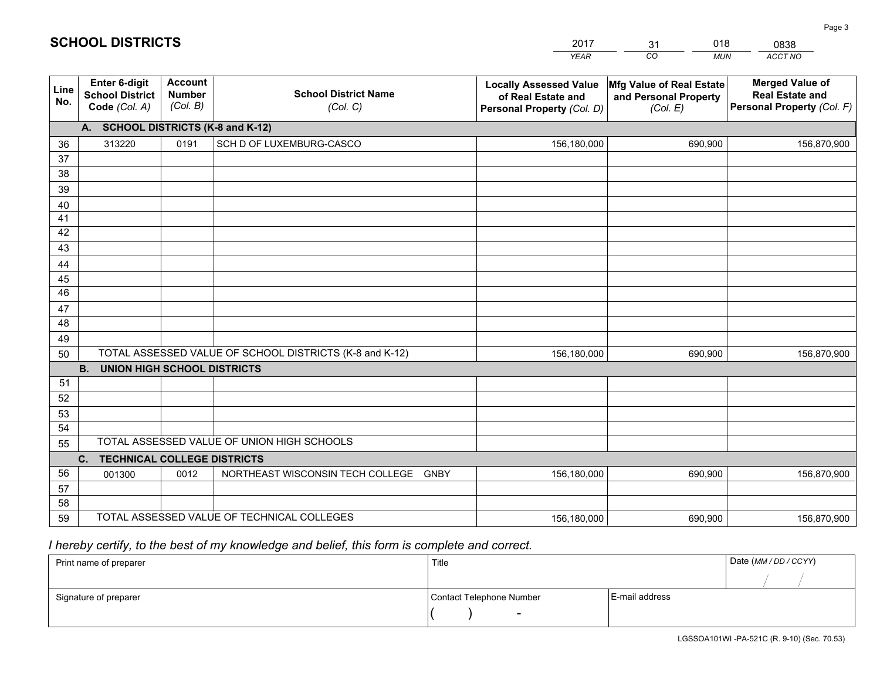|             |                                                                 |                                             |                                                         | <b>YEAR</b>                                                                       | CO<br><b>MUN</b>                                                     | ACCT NO                                                                        |
|-------------|-----------------------------------------------------------------|---------------------------------------------|---------------------------------------------------------|-----------------------------------------------------------------------------------|----------------------------------------------------------------------|--------------------------------------------------------------------------------|
| Line<br>No. | <b>Enter 6-digit</b><br><b>School District</b><br>Code (Col. A) | <b>Account</b><br><b>Number</b><br>(Col. B) | <b>School District Name</b><br>(Col. C)                 | <b>Locally Assessed Value</b><br>of Real Estate and<br>Personal Property (Col. D) | <b>Mfg Value of Real Estate</b><br>and Personal Property<br>(Col. E) | <b>Merged Value of</b><br><b>Real Estate and</b><br>Personal Property (Col. F) |
|             | <b>SCHOOL DISTRICTS (K-8 and K-12)</b><br>A.                    |                                             |                                                         |                                                                                   |                                                                      |                                                                                |
| 36          | 313220                                                          | 0191                                        | SCH D OF LUXEMBURG-CASCO                                | 156,180,000                                                                       | 690,900                                                              | 156,870,900                                                                    |
| 37          |                                                                 |                                             |                                                         |                                                                                   |                                                                      |                                                                                |
| 38          |                                                                 |                                             |                                                         |                                                                                   |                                                                      |                                                                                |
| 39          |                                                                 |                                             |                                                         |                                                                                   |                                                                      |                                                                                |
| 40          |                                                                 |                                             |                                                         |                                                                                   |                                                                      |                                                                                |
| 41<br>42    |                                                                 |                                             |                                                         |                                                                                   |                                                                      |                                                                                |
| 43          |                                                                 |                                             |                                                         |                                                                                   |                                                                      |                                                                                |
| 44          |                                                                 |                                             |                                                         |                                                                                   |                                                                      |                                                                                |
| 45          |                                                                 |                                             |                                                         |                                                                                   |                                                                      |                                                                                |
| 46          |                                                                 |                                             |                                                         |                                                                                   |                                                                      |                                                                                |
| 47          |                                                                 |                                             |                                                         |                                                                                   |                                                                      |                                                                                |
| 48          |                                                                 |                                             |                                                         |                                                                                   |                                                                      |                                                                                |
| 49          |                                                                 |                                             |                                                         |                                                                                   |                                                                      |                                                                                |
| 50          |                                                                 |                                             | TOTAL ASSESSED VALUE OF SCHOOL DISTRICTS (K-8 and K-12) | 156,180,000                                                                       | 690,900                                                              | 156,870,900                                                                    |
|             | <b>B.</b><br><b>UNION HIGH SCHOOL DISTRICTS</b>                 |                                             |                                                         |                                                                                   |                                                                      |                                                                                |
| 51<br>52    |                                                                 |                                             |                                                         |                                                                                   |                                                                      |                                                                                |
| 53          |                                                                 |                                             |                                                         |                                                                                   |                                                                      |                                                                                |
| 54          |                                                                 |                                             |                                                         |                                                                                   |                                                                      |                                                                                |
| 55          |                                                                 |                                             | TOTAL ASSESSED VALUE OF UNION HIGH SCHOOLS              |                                                                                   |                                                                      |                                                                                |
|             | $C_{1}$<br><b>TECHNICAL COLLEGE DISTRICTS</b>                   |                                             |                                                         |                                                                                   |                                                                      |                                                                                |
| 56          | 001300                                                          | 0012                                        | NORTHEAST WISCONSIN TECH COLLEGE<br><b>GNBY</b>         | 156,180,000                                                                       | 690,900                                                              | 156,870,900                                                                    |
| 57          |                                                                 |                                             |                                                         |                                                                                   |                                                                      |                                                                                |
| 58          |                                                                 |                                             |                                                         |                                                                                   |                                                                      |                                                                                |
| 59          |                                                                 |                                             | TOTAL ASSESSED VALUE OF TECHNICAL COLLEGES              | 156,180,000                                                                       | 690,900                                                              | 156,870,900                                                                    |

31

018

## *I hereby certify, to the best of my knowledge and belief, this form is complete and correct.*

**SCHOOL DISTRICTS**

| Print name of preparer | Title                    |                | Date (MM / DD / CCYY) |
|------------------------|--------------------------|----------------|-----------------------|
|                        |                          |                |                       |
| Signature of preparer  | Contact Telephone Number | E-mail address |                       |
|                        | $\overline{\phantom{0}}$ |                |                       |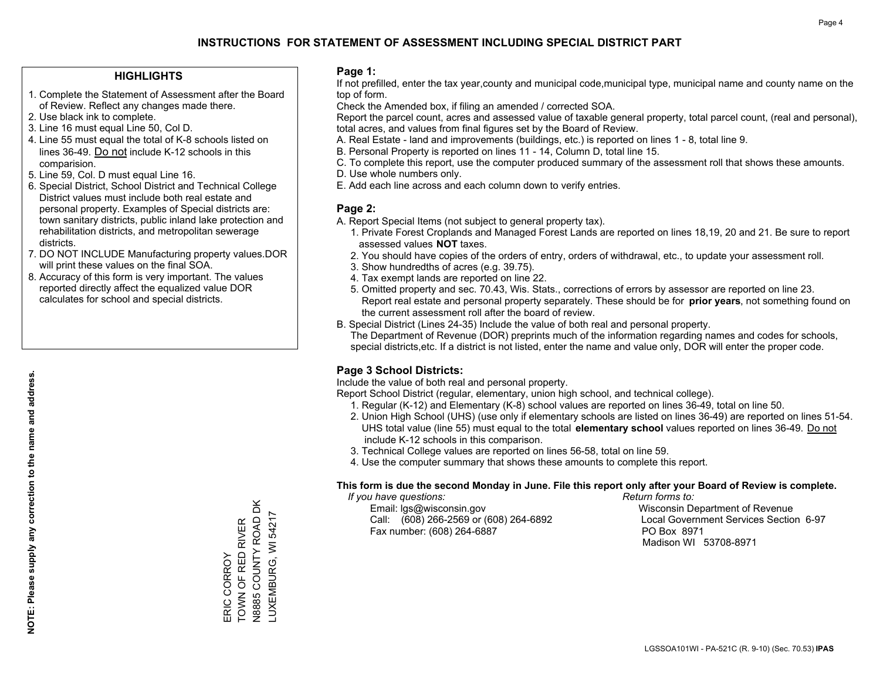### **HIGHLIGHTS**

- 1. Complete the Statement of Assessment after the Board of Review. Reflect any changes made there.
- 2. Use black ink to complete.

**NOTE: Please supply any correction to the name and address.**

NOTE: Please supply any correction to the name and address.

- 3. Line 16 must equal Line 50, Col D.
- 4. Line 55 must equal the total of K-8 schools listed on lines 36-49. Do not include K-12 schools in this comparision.
- 5. Line 59, Col. D must equal Line 16.
- 6. Special District, School District and Technical College District values must include both real estate and personal property. Examples of Special districts are: town sanitary districts, public inland lake protection and rehabilitation districts, and metropolitan sewerage districts.
- 7. DO NOT INCLUDE Manufacturing property values.DOR will print these values on the final SOA.
- 8. Accuracy of this form is very important. The values reported directly affect the equalized value DOR calculates for school and special districts.

#### **Page 1:**

 If not prefilled, enter the tax year,county and municipal code,municipal type, municipal name and county name on the top of form.

Check the Amended box, if filing an amended / corrected SOA.

 Report the parcel count, acres and assessed value of taxable general property, total parcel count, (real and personal), total acres, and values from final figures set by the Board of Review.

- A. Real Estate land and improvements (buildings, etc.) is reported on lines 1 8, total line 9.
- B. Personal Property is reported on lines 11 14, Column D, total line 15.
- C. To complete this report, use the computer produced summary of the assessment roll that shows these amounts.
- D. Use whole numbers only.
- E. Add each line across and each column down to verify entries.

### **Page 2:**

- A. Report Special Items (not subject to general property tax).
- 1. Private Forest Croplands and Managed Forest Lands are reported on lines 18,19, 20 and 21. Be sure to report assessed values **NOT** taxes.
- 2. You should have copies of the orders of entry, orders of withdrawal, etc., to update your assessment roll.
	- 3. Show hundredths of acres (e.g. 39.75).
- 4. Tax exempt lands are reported on line 22.
- 5. Omitted property and sec. 70.43, Wis. Stats., corrections of errors by assessor are reported on line 23. Report real estate and personal property separately. These should be for **prior years**, not something found on the current assessment roll after the board of review.
- B. Special District (Lines 24-35) Include the value of both real and personal property.

 The Department of Revenue (DOR) preprints much of the information regarding names and codes for schools, special districts,etc. If a district is not listed, enter the name and value only, DOR will enter the proper code.

## **Page 3 School Districts:**

Include the value of both real and personal property.

Report School District (regular, elementary, union high school, and technical college).

- 1. Regular (K-12) and Elementary (K-8) school values are reported on lines 36-49, total on line 50.
- 2. Union High School (UHS) (use only if elementary schools are listed on lines 36-49) are reported on lines 51-54. UHS total value (line 55) must equal to the total **elementary school** values reported on lines 36-49. Do notinclude K-12 schools in this comparison.
- 3. Technical College values are reported on lines 56-58, total on line 59.
- 4. Use the computer summary that shows these amounts to complete this report.

#### **This form is due the second Monday in June. File this report only after your Board of Review is complete.**

 *If you have questions: Return forms to:*

 Email: lgs@wisconsin.gov Wisconsin Department of RevenueCall:  $(608)$  266-2569 or  $(608)$  264-6892 Fax number: (608) 264-6887 PO Box 8971

Local Government Services Section 6-97 Madison WI 53708-8971

ERIC CORROY

TOWN OF RED RIVER N8885 COUNTY ROAD DK LUXEMBURG, WI 54217

LUXEMBURG, WI 54217

ERIC CORROY<br>TOWN OF RED RIVER<br>N8885 COUNTY ROAD DK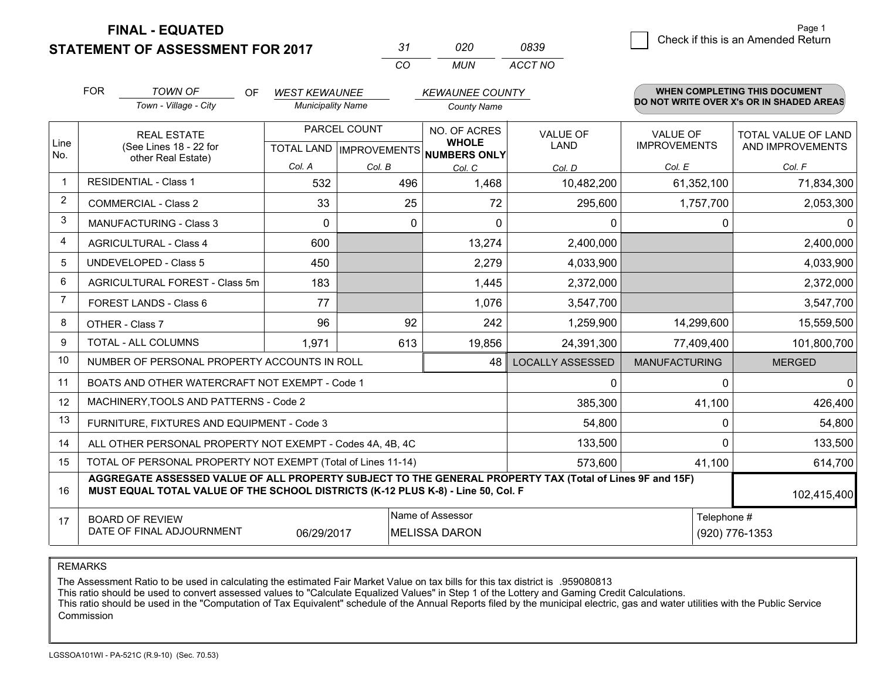## **STATEMENT OF ASSESSMENT FOR 2017**

| - 37     | กวก | 0839    |
|----------|-----|---------|
| $\cdots$ | MUN | ACCT NO |

|                | <b>FOR</b>                                                                                                                                                                                   | <b>TOWN OF</b><br>OF                                         | <b>WEST KEWAUNEE</b>     |                                                      | <b>KEWAUNEE COUNTY</b> |                         |                                        | WHEN COMPLETING THIS DOCUMENT            |
|----------------|----------------------------------------------------------------------------------------------------------------------------------------------------------------------------------------------|--------------------------------------------------------------|--------------------------|------------------------------------------------------|------------------------|-------------------------|----------------------------------------|------------------------------------------|
|                |                                                                                                                                                                                              | Town - Village - City                                        | <b>Municipality Name</b> |                                                      | <b>County Name</b>     |                         |                                        | DO NOT WRITE OVER X's OR IN SHADED AREAS |
| Line<br>No.    | <b>REAL ESTATE</b><br>(See Lines 18 - 22 for                                                                                                                                                 |                                                              |                          | PARCEL COUNT<br>TOTAL LAND IMPROVEMENTS NUMBERS ONLY |                        | VALUE OF<br><b>LAND</b> | <b>VALUE OF</b><br><b>IMPROVEMENTS</b> | TOTAL VALUE OF LAND<br>AND IMPROVEMENTS  |
|                |                                                                                                                                                                                              | other Real Estate)                                           | Col. A                   | Col. B                                               | Col. C                 | Col. D                  | Col. E                                 | Col. F                                   |
|                | <b>RESIDENTIAL - Class 1</b>                                                                                                                                                                 |                                                              | 532                      | 496                                                  | 1,468                  | 10,482,200              | 61,352,100                             | 71,834,300                               |
| $\overline{2}$ |                                                                                                                                                                                              | <b>COMMERCIAL - Class 2</b>                                  | 33                       | 25                                                   | 72                     | 295,600                 | 1,757,700                              | 2,053,300                                |
| 3              |                                                                                                                                                                                              | <b>MANUFACTURING - Class 3</b>                               | $\Omega$                 | 0                                                    | $\Omega$               | $\mathbf{0}$            | 0                                      | $\Omega$                                 |
| $\overline{4}$ |                                                                                                                                                                                              | <b>AGRICULTURAL - Class 4</b>                                | 600                      |                                                      | 13,274                 | 2,400,000               |                                        | 2,400,000                                |
| 5              |                                                                                                                                                                                              | <b>UNDEVELOPED - Class 5</b>                                 | 450                      |                                                      | 2,279                  | 4,033,900               |                                        | 4,033,900                                |
| 6              |                                                                                                                                                                                              | AGRICULTURAL FOREST - Class 5m                               | 183                      |                                                      | 1,445                  | 2,372,000               |                                        | 2,372,000                                |
| 7              |                                                                                                                                                                                              | FOREST LANDS - Class 6                                       | 77                       |                                                      | 1,076                  | 3,547,700               |                                        | 3,547,700                                |
| 8              |                                                                                                                                                                                              | OTHER - Class 7                                              | 96                       | 92                                                   | 242                    | 1,259,900               | 14,299,600                             | 15,559,500                               |
| $\mathbf{Q}$   |                                                                                                                                                                                              | TOTAL - ALL COLUMNS                                          | 1,971                    | 613                                                  | 19,856                 | 24,391,300              | 77,409,400                             | 101,800,700                              |
| 10             |                                                                                                                                                                                              | NUMBER OF PERSONAL PROPERTY ACCOUNTS IN ROLL                 |                          |                                                      | 48                     | <b>LOCALLY ASSESSED</b> | <b>MANUFACTURING</b>                   | <b>MERGED</b>                            |
| 11             |                                                                                                                                                                                              | BOATS AND OTHER WATERCRAFT NOT EXEMPT - Code 1               |                          |                                                      |                        | $\mathbf{0}$            | 0                                      | $\mathbf 0$                              |
| 12             |                                                                                                                                                                                              | MACHINERY, TOOLS AND PATTERNS - Code 2                       |                          |                                                      |                        | 385,300                 | 41,100                                 | 426,400                                  |
| 13             |                                                                                                                                                                                              | FURNITURE, FIXTURES AND EQUIPMENT - Code 3                   |                          |                                                      |                        | 54,800                  | 0                                      | 54,800                                   |
| 14             |                                                                                                                                                                                              | ALL OTHER PERSONAL PROPERTY NOT EXEMPT - Codes 4A, 4B, 4C    |                          |                                                      |                        | 133,500                 | 0                                      | 133,500                                  |
| 15             |                                                                                                                                                                                              | TOTAL OF PERSONAL PROPERTY NOT EXEMPT (Total of Lines 11-14) |                          |                                                      | 573,600                | 41,100                  | 614,700                                |                                          |
| 16             | AGGREGATE ASSESSED VALUE OF ALL PROPERTY SUBJECT TO THE GENERAL PROPERTY TAX (Total of Lines 9F and 15F)<br>MUST EQUAL TOTAL VALUE OF THE SCHOOL DISTRICTS (K-12 PLUS K-8) - Line 50, Col. F |                                                              |                          |                                                      |                        |                         |                                        | 102,415,400                              |
| 17             |                                                                                                                                                                                              | <b>BOARD OF REVIEW</b>                                       |                          |                                                      | Name of Assessor       |                         | Telephone #                            |                                          |
|                | DATE OF FINAL ADJOURNMENT<br>06/29/2017<br><b>MELISSA DARON</b>                                                                                                                              |                                                              |                          |                                                      |                        |                         | (920) 776-1353                         |                                          |

REMARKS

The Assessment Ratio to be used in calculating the estimated Fair Market Value on tax bills for this tax district is .959080813<br>This ratio should be used to convert assessed values to "Calculate Equalized Values" in Step 1 Commission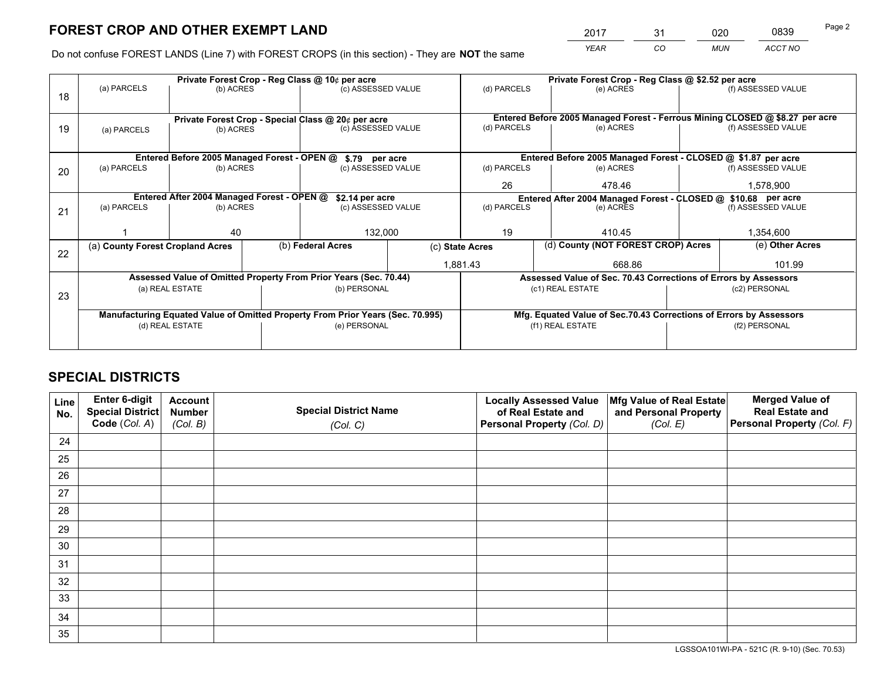*YEAR CO MUN ACCT NO* <sup>2017</sup> <sup>31</sup> <sup>020</sup> <sup>0839</sup>

Do not confuse FOREST LANDS (Line 7) with FOREST CROPS (in this section) - They are **NOT** the same

|    |                                                                                |                                                                 |  | Private Forest Crop - Reg Class @ 10¢ per acre                   |                 | Private Forest Crop - Reg Class @ \$2.52 per acre             |                                                                              |                                    |                    |  |
|----|--------------------------------------------------------------------------------|-----------------------------------------------------------------|--|------------------------------------------------------------------|-----------------|---------------------------------------------------------------|------------------------------------------------------------------------------|------------------------------------|--------------------|--|
| 18 | (a) PARCELS                                                                    | (b) ACRES                                                       |  | (c) ASSESSED VALUE                                               |                 | (d) PARCELS                                                   | (e) ACRES                                                                    |                                    | (f) ASSESSED VALUE |  |
|    |                                                                                |                                                                 |  |                                                                  |                 |                                                               | Entered Before 2005 Managed Forest - Ferrous Mining CLOSED @ \$8.27 per acre |                                    |                    |  |
| 19 | (a) PARCELS                                                                    | Private Forest Crop - Special Class @ 20¢ per acre<br>(b) ACRES |  | (c) ASSESSED VALUE                                               |                 | (d) PARCELS                                                   | (e) ACRES                                                                    |                                    | (f) ASSESSED VALUE |  |
|    |                                                                                |                                                                 |  |                                                                  |                 | Entered Before 2005 Managed Forest - CLOSED @ \$1.87 per acre |                                                                              |                                    |                    |  |
|    |                                                                                | Entered Before 2005 Managed Forest - OPEN @                     |  | \$.79 per acre                                                   |                 |                                                               |                                                                              |                                    |                    |  |
| 20 | (a) PARCELS                                                                    | (b) ACRES                                                       |  | (c) ASSESSED VALUE                                               |                 | (d) PARCELS                                                   | (e) ACRES                                                                    |                                    | (f) ASSESSED VALUE |  |
|    |                                                                                |                                                                 |  |                                                                  | 26              | 478.46                                                        |                                                                              | 1,578,900                          |                    |  |
|    | Entered After 2004 Managed Forest - OPEN @<br>\$2.14 per acre                  |                                                                 |  |                                                                  |                 | Entered After 2004 Managed Forest - CLOSED @ \$10.68 per acre |                                                                              |                                    |                    |  |
| 21 | (a) PARCELS                                                                    | (b) ACRES                                                       |  | (c) ASSESSED VALUE                                               |                 | (d) PARCELS<br>(e) ACRES                                      |                                                                              |                                    | (f) ASSESSED VALUE |  |
|    |                                                                                |                                                                 |  |                                                                  |                 |                                                               |                                                                              |                                    |                    |  |
|    |                                                                                | 40                                                              |  | 132,000                                                          |                 | 19<br>410.45                                                  |                                                                              | 1,354,600                          |                    |  |
| 22 | (a) County Forest Cropland Acres                                               |                                                                 |  | (b) Federal Acres                                                | (c) State Acres |                                                               |                                                                              | (d) County (NOT FOREST CROP) Acres |                    |  |
|    |                                                                                |                                                                 |  |                                                                  |                 | 1,881.43                                                      | 668.86                                                                       |                                    | 101.99             |  |
|    |                                                                                |                                                                 |  | Assessed Value of Omitted Property From Prior Years (Sec. 70.44) |                 |                                                               | Assessed Value of Sec. 70.43 Corrections of Errors by Assessors              |                                    |                    |  |
|    |                                                                                | (a) REAL ESTATE                                                 |  | (b) PERSONAL                                                     |                 |                                                               | (c1) REAL ESTATE                                                             |                                    | (c2) PERSONAL      |  |
| 23 |                                                                                |                                                                 |  |                                                                  |                 |                                                               |                                                                              |                                    |                    |  |
|    | Manufacturing Equated Value of Omitted Property From Prior Years (Sec. 70.995) |                                                                 |  |                                                                  |                 |                                                               | Mfg. Equated Value of Sec.70.43 Corrections of Errors by Assessors           |                                    |                    |  |
|    |                                                                                | (d) REAL ESTATE                                                 |  | (e) PERSONAL                                                     |                 | (f1) REAL ESTATE                                              |                                                                              |                                    | (f2) PERSONAL      |  |
|    |                                                                                |                                                                 |  |                                                                  |                 |                                                               |                                                                              |                                    |                    |  |
|    |                                                                                |                                                                 |  |                                                                  |                 |                                                               |                                                                              |                                    |                    |  |

## **SPECIAL DISTRICTS**

| Line<br>No. | Enter 6-digit<br><b>Special District</b> | <b>Account</b><br><b>Number</b> | <b>Special District Name</b> | <b>Locally Assessed Value</b><br>of Real Estate and | Mfg Value of Real Estate<br>and Personal Property | <b>Merged Value of</b><br><b>Real Estate and</b> |
|-------------|------------------------------------------|---------------------------------|------------------------------|-----------------------------------------------------|---------------------------------------------------|--------------------------------------------------|
|             | Code (Col. A)                            | (Col. B)                        | (Col. C)                     | Personal Property (Col. D)                          | (Col. E)                                          | Personal Property (Col. F)                       |
| 24          |                                          |                                 |                              |                                                     |                                                   |                                                  |
| 25          |                                          |                                 |                              |                                                     |                                                   |                                                  |
| 26          |                                          |                                 |                              |                                                     |                                                   |                                                  |
| 27          |                                          |                                 |                              |                                                     |                                                   |                                                  |
| 28          |                                          |                                 |                              |                                                     |                                                   |                                                  |
| 29          |                                          |                                 |                              |                                                     |                                                   |                                                  |
| 30          |                                          |                                 |                              |                                                     |                                                   |                                                  |
| 31          |                                          |                                 |                              |                                                     |                                                   |                                                  |
| 32          |                                          |                                 |                              |                                                     |                                                   |                                                  |
| 33          |                                          |                                 |                              |                                                     |                                                   |                                                  |
| 34          |                                          |                                 |                              |                                                     |                                                   |                                                  |
| 35          |                                          |                                 |                              |                                                     |                                                   |                                                  |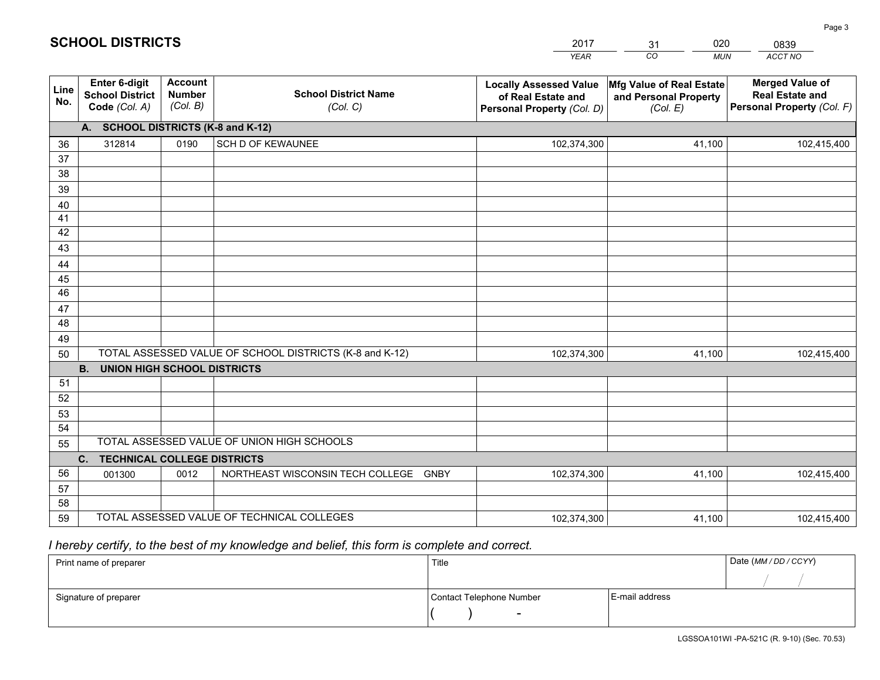|             |                                                          |                                             |                                                         | <b>YEAR</b>                                                                       | CO<br><b>MUN</b>                                              | ACCT NO                                                                        |
|-------------|----------------------------------------------------------|---------------------------------------------|---------------------------------------------------------|-----------------------------------------------------------------------------------|---------------------------------------------------------------|--------------------------------------------------------------------------------|
| Line<br>No. | Enter 6-digit<br><b>School District</b><br>Code (Col. A) | <b>Account</b><br><b>Number</b><br>(Col. B) | <b>School District Name</b><br>(Col. C)                 | <b>Locally Assessed Value</b><br>of Real Estate and<br>Personal Property (Col. D) | Mfg Value of Real Estate<br>and Personal Property<br>(Col. E) | <b>Merged Value of</b><br><b>Real Estate and</b><br>Personal Property (Col. F) |
|             | A. SCHOOL DISTRICTS (K-8 and K-12)                       |                                             |                                                         |                                                                                   |                                                               |                                                                                |
| 36          | 312814                                                   | 0190                                        | SCH D OF KEWAUNEE                                       | 102,374,300                                                                       | 41,100                                                        | 102,415,400                                                                    |
| 37          |                                                          |                                             |                                                         |                                                                                   |                                                               |                                                                                |
| 38          |                                                          |                                             |                                                         |                                                                                   |                                                               |                                                                                |
| 39          |                                                          |                                             |                                                         |                                                                                   |                                                               |                                                                                |
| 40          |                                                          |                                             |                                                         |                                                                                   |                                                               |                                                                                |
| 41<br>42    |                                                          |                                             |                                                         |                                                                                   |                                                               |                                                                                |
| 43          |                                                          |                                             |                                                         |                                                                                   |                                                               |                                                                                |
|             |                                                          |                                             |                                                         |                                                                                   |                                                               |                                                                                |
| 44<br>45    |                                                          |                                             |                                                         |                                                                                   |                                                               |                                                                                |
| 46          |                                                          |                                             |                                                         |                                                                                   |                                                               |                                                                                |
| 47          |                                                          |                                             |                                                         |                                                                                   |                                                               |                                                                                |
| 48          |                                                          |                                             |                                                         |                                                                                   |                                                               |                                                                                |
| 49          |                                                          |                                             |                                                         |                                                                                   |                                                               |                                                                                |
| 50          |                                                          |                                             | TOTAL ASSESSED VALUE OF SCHOOL DISTRICTS (K-8 and K-12) | 102,374,300                                                                       | 41,100                                                        | 102,415,400                                                                    |
|             | <b>B.</b><br>UNION HIGH SCHOOL DISTRICTS                 |                                             |                                                         |                                                                                   |                                                               |                                                                                |
| 51          |                                                          |                                             |                                                         |                                                                                   |                                                               |                                                                                |
| 52          |                                                          |                                             |                                                         |                                                                                   |                                                               |                                                                                |
| 53          |                                                          |                                             |                                                         |                                                                                   |                                                               |                                                                                |
| 54          |                                                          |                                             |                                                         |                                                                                   |                                                               |                                                                                |
| 55          |                                                          |                                             | TOTAL ASSESSED VALUE OF UNION HIGH SCHOOLS              |                                                                                   |                                                               |                                                                                |
|             | C.<br><b>TECHNICAL COLLEGE DISTRICTS</b>                 |                                             |                                                         |                                                                                   |                                                               |                                                                                |
| 56          | 001300                                                   | 0012                                        | NORTHEAST WISCONSIN TECH COLLEGE<br><b>GNBY</b>         | 102,374,300                                                                       | 41,100                                                        | 102,415,400                                                                    |
| 57          |                                                          |                                             |                                                         |                                                                                   |                                                               |                                                                                |
| 58<br>59    |                                                          |                                             | TOTAL ASSESSED VALUE OF TECHNICAL COLLEGES              |                                                                                   |                                                               |                                                                                |
|             |                                                          |                                             |                                                         | 102,374,300                                                                       | 41,100                                                        | 102,415,400                                                                    |

31

020

 *I hereby certify, to the best of my knowledge and belief, this form is complete and correct.*

**SCHOOL DISTRICTS**

| Print name of preparer | Title                    |                | Date (MM / DD / CCYY) |
|------------------------|--------------------------|----------------|-----------------------|
|                        |                          |                |                       |
| Signature of preparer  | Contact Telephone Number | E-mail address |                       |
|                        | $\sim$                   |                |                       |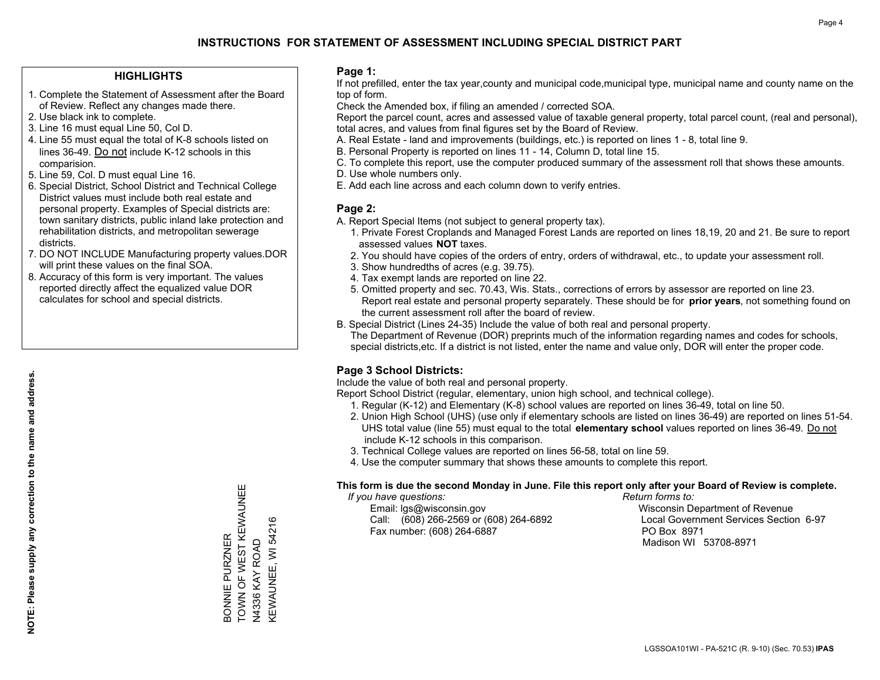### **HIGHLIGHTS**

- 1. Complete the Statement of Assessment after the Board of Review. Reflect any changes made there.
- 2. Use black ink to complete.
- 3. Line 16 must equal Line 50, Col D.
- 4. Line 55 must equal the total of K-8 schools listed on lines 36-49. Do not include K-12 schools in this comparision.
- 5. Line 59, Col. D must equal Line 16.
- 6. Special District, School District and Technical College District values must include both real estate and personal property. Examples of Special districts are: town sanitary districts, public inland lake protection and rehabilitation districts, and metropolitan sewerage districts.
- 7. DO NOT INCLUDE Manufacturing property values.DOR will print these values on the final SOA.
- 8. Accuracy of this form is very important. The values reported directly affect the equalized value DOR calculates for school and special districts.

#### **Page 1:**

 If not prefilled, enter the tax year,county and municipal code,municipal type, municipal name and county name on the top of form.

Check the Amended box, if filing an amended / corrected SOA.

 Report the parcel count, acres and assessed value of taxable general property, total parcel count, (real and personal), total acres, and values from final figures set by the Board of Review.

- A. Real Estate land and improvements (buildings, etc.) is reported on lines 1 8, total line 9.
- B. Personal Property is reported on lines 11 14, Column D, total line 15.
- C. To complete this report, use the computer produced summary of the assessment roll that shows these amounts.
- D. Use whole numbers only.
- E. Add each line across and each column down to verify entries.

## **Page 2:**

- A. Report Special Items (not subject to general property tax).
- 1. Private Forest Croplands and Managed Forest Lands are reported on lines 18,19, 20 and 21. Be sure to report assessed values **NOT** taxes.
- 2. You should have copies of the orders of entry, orders of withdrawal, etc., to update your assessment roll.
	- 3. Show hundredths of acres (e.g. 39.75).
- 4. Tax exempt lands are reported on line 22.
- 5. Omitted property and sec. 70.43, Wis. Stats., corrections of errors by assessor are reported on line 23. Report real estate and personal property separately. These should be for **prior years**, not something found on the current assessment roll after the board of review.
- B. Special District (Lines 24-35) Include the value of both real and personal property.
- The Department of Revenue (DOR) preprints much of the information regarding names and codes for schools, special districts,etc. If a district is not listed, enter the name and value only, DOR will enter the proper code.

## **Page 3 School Districts:**

Include the value of both real and personal property.

Report School District (regular, elementary, union high school, and technical college).

- 1. Regular (K-12) and Elementary (K-8) school values are reported on lines 36-49, total on line 50.
- 2. Union High School (UHS) (use only if elementary schools are listed on lines 36-49) are reported on lines 51-54. UHS total value (line 55) must equal to the total **elementary school** values reported on lines 36-49. Do notinclude K-12 schools in this comparison.
- 3. Technical College values are reported on lines 56-58, total on line 59.
- 4. Use the computer summary that shows these amounts to complete this report.

#### **This form is due the second Monday in June. File this report only after your Board of Review is complete.**

 *If you have questions: Return forms to:*

 Email: lgs@wisconsin.gov Wisconsin Department of RevenueCall:  $(608)$  266-2569 or  $(608)$  264-6892 Fax number: (608) 264-6887 PO Box 8971

Local Government Services Section 6-97 Madison WI 53708-8971

BONNIE PURZNER<br>TOWN OF WEST KEWAUNEE TOWN OF WEST KEWAUNEE N4336 KAY ROAD<br>KEWAUNEE, WI 54216 KEWAUNEE, WI 54216 BONNIE PURZNER N4336 KAY ROAD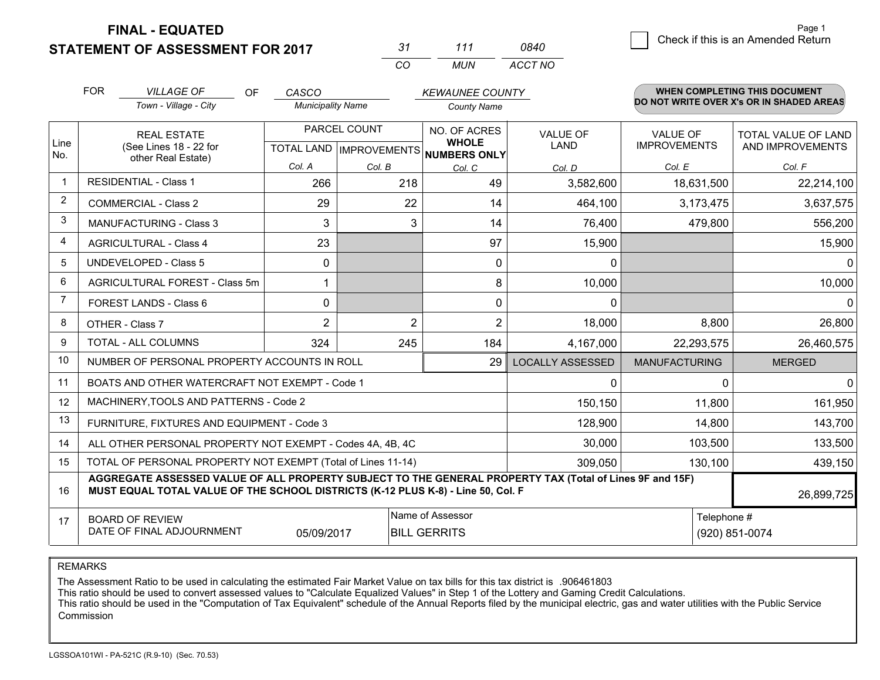## **STATEMENT OF ASSESSMENT FOR 2017**

*CO MUN <sup>31</sup> <sup>111</sup> ACCT NO0840*

|                | <b>FOR</b>         | <b>VILLAGE OF</b><br>OF                                                                                                                                                                      | CASCO                    |                | <b>KEWAUNEE COUNTY</b>                              |                         |                      | <b>WHEN COMPLETING THIS DOCUMENT</b>     |
|----------------|--------------------|----------------------------------------------------------------------------------------------------------------------------------------------------------------------------------------------|--------------------------|----------------|-----------------------------------------------------|-------------------------|----------------------|------------------------------------------|
|                |                    | Town - Village - City                                                                                                                                                                        | <b>Municipality Name</b> |                | <b>County Name</b>                                  |                         |                      | DO NOT WRITE OVER X's OR IN SHADED AREAS |
|                | <b>REAL ESTATE</b> |                                                                                                                                                                                              | PARCEL COUNT             |                | NO. OF ACRES                                        | <b>VALUE OF</b>         | <b>VALUE OF</b>      | <b>TOTAL VALUE OF LAND</b>               |
| Line<br>No.    |                    | (See Lines 18 - 22 for<br>other Real Estate)                                                                                                                                                 |                          |                | <b>WHOLE</b><br>TOTAL LAND MPROVEMENTS NUMBERS ONLY | <b>LAND</b>             | <b>IMPROVEMENTS</b>  | AND IMPROVEMENTS                         |
|                |                    |                                                                                                                                                                                              | Col. A                   | Col. B         | Col. C                                              | Col. D                  | Col. E               | Col. F                                   |
| $\mathbf 1$    |                    | <b>RESIDENTIAL - Class 1</b>                                                                                                                                                                 | 266                      | 218            | 49                                                  | 3,582,600               | 18,631,500           | 22,214,100                               |
| $\overline{2}$ |                    | <b>COMMERCIAL - Class 2</b>                                                                                                                                                                  | 29                       | 22             | 14                                                  | 464,100                 | 3,173,475            | 3,637,575                                |
| 3              |                    | <b>MANUFACTURING - Class 3</b>                                                                                                                                                               | 3                        | 3              | 14                                                  | 76,400                  | 479,800              | 556,200                                  |
| 4              |                    | <b>AGRICULTURAL - Class 4</b>                                                                                                                                                                | 23                       |                | 97                                                  | 15,900                  |                      | 15,900                                   |
| 5              |                    | <b>UNDEVELOPED - Class 5</b>                                                                                                                                                                 | $\Omega$                 |                | $\mathbf{0}$                                        | $\Omega$                |                      | <sup>0</sup>                             |
| 6              |                    | AGRICULTURAL FOREST - Class 5m                                                                                                                                                               | 1                        |                | 8                                                   | 10,000                  |                      | 10,000                                   |
| $\overline{7}$ |                    | FOREST LANDS - Class 6                                                                                                                                                                       | 0                        |                | $\mathbf{0}$                                        | $\Omega$                |                      | 0                                        |
| 8              |                    | OTHER - Class 7                                                                                                                                                                              | $\overline{2}$           | $\overline{2}$ | $\overline{2}$                                      | 18,000                  | 8,800                | 26,800                                   |
| 9              |                    | <b>TOTAL - ALL COLUMNS</b>                                                                                                                                                                   | 324                      | 245            | 184                                                 | 4,167,000               | 22,293,575           | 26,460,575                               |
| 10             |                    | NUMBER OF PERSONAL PROPERTY ACCOUNTS IN ROLL                                                                                                                                                 |                          |                | 29                                                  | <b>LOCALLY ASSESSED</b> | <b>MANUFACTURING</b> | <b>MERGED</b>                            |
| 11             |                    | BOATS AND OTHER WATERCRAFT NOT EXEMPT - Code 1                                                                                                                                               |                          |                |                                                     | 0                       | 0                    | 0                                        |
| 12             |                    | MACHINERY, TOOLS AND PATTERNS - Code 2                                                                                                                                                       |                          |                |                                                     | 150,150                 | 11,800               | 161,950                                  |
| 13             |                    | FURNITURE, FIXTURES AND EQUIPMENT - Code 3                                                                                                                                                   |                          |                |                                                     | 128,900                 | 14,800               | 143,700                                  |
| 14             |                    | ALL OTHER PERSONAL PROPERTY NOT EXEMPT - Codes 4A, 4B, 4C                                                                                                                                    |                          |                |                                                     | 30,000                  | 103,500              | 133,500                                  |
| 15             |                    | TOTAL OF PERSONAL PROPERTY NOT EXEMPT (Total of Lines 11-14)                                                                                                                                 |                          |                |                                                     | 309,050                 | 130,100              | 439,150                                  |
| 16             |                    | AGGREGATE ASSESSED VALUE OF ALL PROPERTY SUBJECT TO THE GENERAL PROPERTY TAX (Total of Lines 9F and 15F)<br>MUST EQUAL TOTAL VALUE OF THE SCHOOL DISTRICTS (K-12 PLUS K-8) - Line 50, Col. F |                          |                |                                                     | 26,899,725              |                      |                                          |
| 17             |                    | <b>BOARD OF REVIEW</b>                                                                                                                                                                       |                          |                | Name of Assessor                                    |                         | Telephone #          |                                          |
|                |                    | DATE OF FINAL ADJOURNMENT                                                                                                                                                                    | 05/09/2017               |                | <b>BILL GERRITS</b>                                 |                         |                      | (920) 851-0074                           |

REMARKS

The Assessment Ratio to be used in calculating the estimated Fair Market Value on tax bills for this tax district is .906461803<br>This ratio should be used to convert assessed values to "Calculate Equalized Values" in Step 1 Commission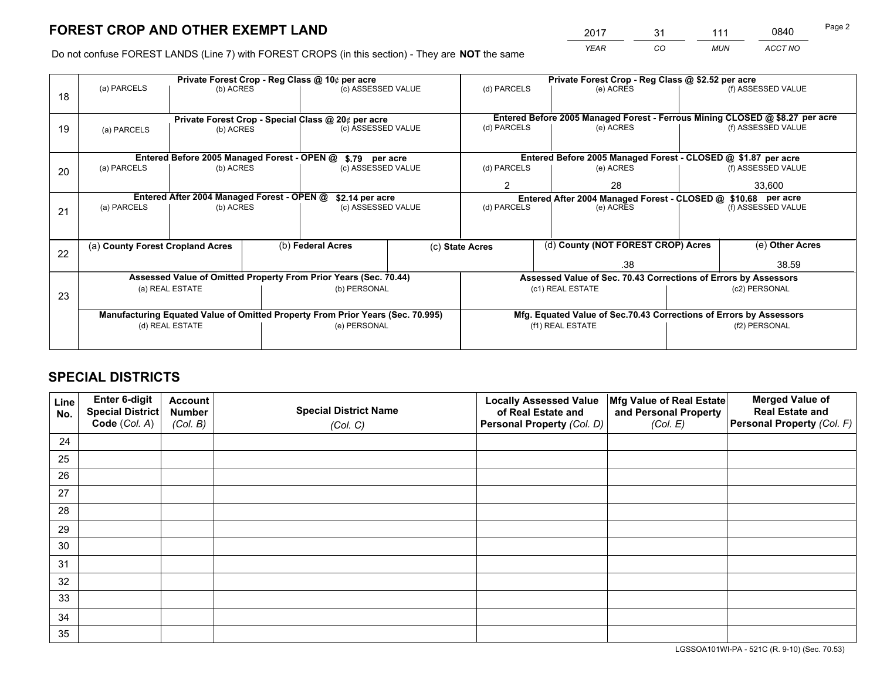*YEAR CO MUN ACCT NO* <sup>2017</sup> <sup>31</sup> <sup>111</sup> <sup>0840</sup>

Do not confuse FOREST LANDS (Line 7) with FOREST CROPS (in this section) - They are **NOT** the same

|    | Private Forest Crop - Reg Class @ 10¢ per acre                |                                                       |  |                                                                                |                                                               | Private Forest Crop - Reg Class @ \$2.52 per acre               |                                                                              |                 |                    |  |
|----|---------------------------------------------------------------|-------------------------------------------------------|--|--------------------------------------------------------------------------------|---------------------------------------------------------------|-----------------------------------------------------------------|------------------------------------------------------------------------------|-----------------|--------------------|--|
| 18 | (a) PARCELS                                                   | (b) ACRES                                             |  | (c) ASSESSED VALUE                                                             |                                                               | (d) PARCELS                                                     | (e) ACRES                                                                    |                 | (f) ASSESSED VALUE |  |
|    |                                                               |                                                       |  |                                                                                |                                                               |                                                                 |                                                                              |                 |                    |  |
|    |                                                               |                                                       |  | Private Forest Crop - Special Class @ 20¢ per acre                             |                                                               |                                                                 | Entered Before 2005 Managed Forest - Ferrous Mining CLOSED @ \$8.27 per acre |                 |                    |  |
| 19 | (a) PARCELS                                                   | (b) ACRES                                             |  | (c) ASSESSED VALUE                                                             |                                                               | (d) PARCELS                                                     | (e) ACRES                                                                    |                 | (f) ASSESSED VALUE |  |
|    |                                                               |                                                       |  |                                                                                |                                                               |                                                                 |                                                                              |                 |                    |  |
|    |                                                               | Entered Before 2005 Managed Forest - OPEN @           |  | \$.79 per acre                                                                 |                                                               |                                                                 | Entered Before 2005 Managed Forest - CLOSED @ \$1.87 per acre                |                 |                    |  |
| 20 | (a) PARCELS                                                   | (b) ACRES                                             |  | (c) ASSESSED VALUE                                                             |                                                               | (d) PARCELS                                                     | (e) ACRES                                                                    |                 | (f) ASSESSED VALUE |  |
|    |                                                               |                                                       |  |                                                                                |                                                               | $\overline{2}$                                                  | 28                                                                           |                 | 33,600             |  |
|    | Entered After 2004 Managed Forest - OPEN @<br>\$2.14 per acre |                                                       |  |                                                                                | Entered After 2004 Managed Forest - CLOSED @ \$10.68 per acre |                                                                 |                                                                              |                 |                    |  |
| 21 | (a) PARCELS                                                   | (b) ACRES                                             |  | (c) ASSESSED VALUE                                                             |                                                               | (d) PARCELS<br>(e) ACRES                                        |                                                                              |                 | (f) ASSESSED VALUE |  |
|    |                                                               |                                                       |  |                                                                                |                                                               |                                                                 |                                                                              |                 |                    |  |
|    |                                                               | (b) Federal Acres<br>(a) County Forest Cropland Acres |  |                                                                                | (c) State Acres                                               | (d) County (NOT FOREST CROP) Acres                              |                                                                              | (e) Other Acres |                    |  |
| 22 |                                                               |                                                       |  |                                                                                |                                                               |                                                                 |                                                                              |                 |                    |  |
|    |                                                               |                                                       |  |                                                                                |                                                               |                                                                 | .38                                                                          |                 | 38.59              |  |
|    |                                                               |                                                       |  | Assessed Value of Omitted Property From Prior Years (Sec. 70.44)               |                                                               | Assessed Value of Sec. 70.43 Corrections of Errors by Assessors |                                                                              |                 |                    |  |
| 23 |                                                               | (a) REAL ESTATE                                       |  | (b) PERSONAL                                                                   |                                                               |                                                                 | (c1) REAL ESTATE                                                             |                 | (c2) PERSONAL      |  |
|    |                                                               |                                                       |  |                                                                                |                                                               |                                                                 |                                                                              |                 |                    |  |
|    |                                                               |                                                       |  | Manufacturing Equated Value of Omitted Property From Prior Years (Sec. 70.995) |                                                               |                                                                 | Mfg. Equated Value of Sec.70.43 Corrections of Errors by Assessors           |                 |                    |  |
|    |                                                               | (d) REAL ESTATE                                       |  | (e) PERSONAL                                                                   |                                                               |                                                                 | (f1) REAL ESTATE                                                             |                 | (f2) PERSONAL      |  |
|    |                                                               |                                                       |  |                                                                                |                                                               |                                                                 |                                                                              |                 |                    |  |

## **SPECIAL DISTRICTS**

| Line<br>No. | Enter 6-digit<br><b>Special District</b> | <b>Account</b><br><b>Number</b> | <b>Special District Name</b> | <b>Locally Assessed Value</b><br>of Real Estate and | Mfg Value of Real Estate<br>and Personal Property | <b>Merged Value of</b><br><b>Real Estate and</b> |
|-------------|------------------------------------------|---------------------------------|------------------------------|-----------------------------------------------------|---------------------------------------------------|--------------------------------------------------|
|             | Code (Col. A)                            | (Col. B)                        | (Col. C)                     | Personal Property (Col. D)                          | (Col. E)                                          | Personal Property (Col. F)                       |
| 24          |                                          |                                 |                              |                                                     |                                                   |                                                  |
| 25          |                                          |                                 |                              |                                                     |                                                   |                                                  |
| 26          |                                          |                                 |                              |                                                     |                                                   |                                                  |
| 27          |                                          |                                 |                              |                                                     |                                                   |                                                  |
| 28          |                                          |                                 |                              |                                                     |                                                   |                                                  |
| 29          |                                          |                                 |                              |                                                     |                                                   |                                                  |
| 30          |                                          |                                 |                              |                                                     |                                                   |                                                  |
| 31          |                                          |                                 |                              |                                                     |                                                   |                                                  |
| 32          |                                          |                                 |                              |                                                     |                                                   |                                                  |
| 33          |                                          |                                 |                              |                                                     |                                                   |                                                  |
| 34          |                                          |                                 |                              |                                                     |                                                   |                                                  |
| 35          |                                          |                                 |                              |                                                     |                                                   |                                                  |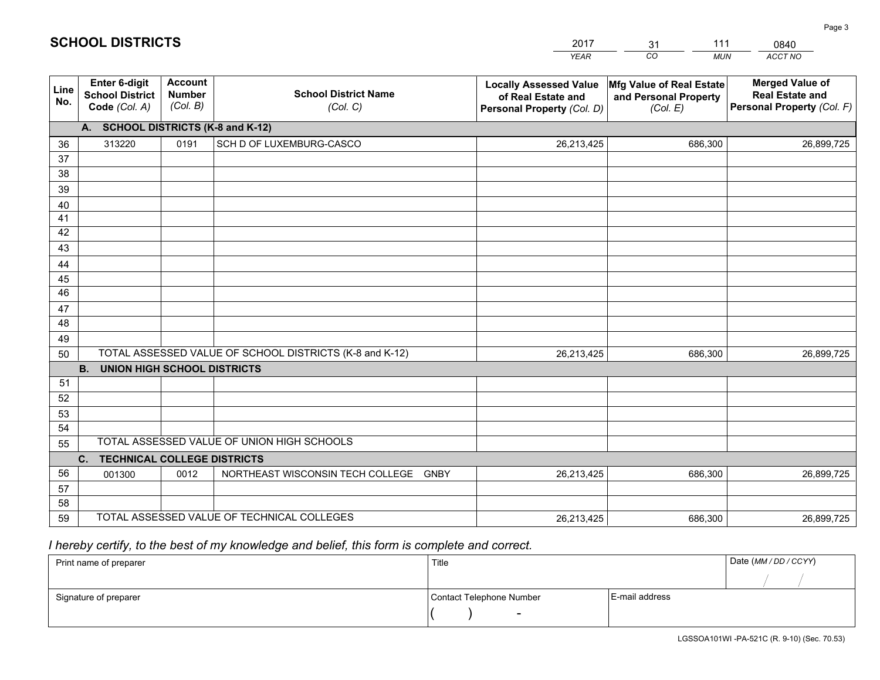|             |                                                          |                                             |                                                         | <b>YEAR</b>                                                                       | CO<br><b>MUN</b>                                              | ACCT NO                                                                        |
|-------------|----------------------------------------------------------|---------------------------------------------|---------------------------------------------------------|-----------------------------------------------------------------------------------|---------------------------------------------------------------|--------------------------------------------------------------------------------|
| Line<br>No. | Enter 6-digit<br><b>School District</b><br>Code (Col. A) | <b>Account</b><br><b>Number</b><br>(Col. B) | <b>School District Name</b><br>(Col. C)                 | <b>Locally Assessed Value</b><br>of Real Estate and<br>Personal Property (Col. D) | Mfg Value of Real Estate<br>and Personal Property<br>(Col. E) | <b>Merged Value of</b><br><b>Real Estate and</b><br>Personal Property (Col. F) |
|             | A. SCHOOL DISTRICTS (K-8 and K-12)                       |                                             |                                                         |                                                                                   |                                                               |                                                                                |
| 36          | 313220                                                   | 0191                                        | SCH D OF LUXEMBURG-CASCO                                | 26,213,425                                                                        | 686,300                                                       | 26,899,725                                                                     |
| 37          |                                                          |                                             |                                                         |                                                                                   |                                                               |                                                                                |
| 38          |                                                          |                                             |                                                         |                                                                                   |                                                               |                                                                                |
| 39          |                                                          |                                             |                                                         |                                                                                   |                                                               |                                                                                |
| 40          |                                                          |                                             |                                                         |                                                                                   |                                                               |                                                                                |
| 41          |                                                          |                                             |                                                         |                                                                                   |                                                               |                                                                                |
| 42          |                                                          |                                             |                                                         |                                                                                   |                                                               |                                                                                |
| 43          |                                                          |                                             |                                                         |                                                                                   |                                                               |                                                                                |
| 44          |                                                          |                                             |                                                         |                                                                                   |                                                               |                                                                                |
| 45<br>46    |                                                          |                                             |                                                         |                                                                                   |                                                               |                                                                                |
| 47          |                                                          |                                             |                                                         |                                                                                   |                                                               |                                                                                |
| 48          |                                                          |                                             |                                                         |                                                                                   |                                                               |                                                                                |
| 49          |                                                          |                                             |                                                         |                                                                                   |                                                               |                                                                                |
| 50          |                                                          |                                             | TOTAL ASSESSED VALUE OF SCHOOL DISTRICTS (K-8 and K-12) | 26,213,425                                                                        | 686,300                                                       | 26,899,725                                                                     |
|             | <b>B.</b><br><b>UNION HIGH SCHOOL DISTRICTS</b>          |                                             |                                                         |                                                                                   |                                                               |                                                                                |
| 51          |                                                          |                                             |                                                         |                                                                                   |                                                               |                                                                                |
| 52          |                                                          |                                             |                                                         |                                                                                   |                                                               |                                                                                |
| 53          |                                                          |                                             |                                                         |                                                                                   |                                                               |                                                                                |
| 54          |                                                          |                                             |                                                         |                                                                                   |                                                               |                                                                                |
| 55          |                                                          |                                             | TOTAL ASSESSED VALUE OF UNION HIGH SCHOOLS              |                                                                                   |                                                               |                                                                                |
|             | C.<br><b>TECHNICAL COLLEGE DISTRICTS</b>                 |                                             |                                                         |                                                                                   |                                                               |                                                                                |
| 56          | 001300                                                   | 0012                                        | NORTHEAST WISCONSIN TECH COLLEGE GNBY                   | 26,213,425                                                                        | 686,300                                                       | 26,899,725                                                                     |
| 57          |                                                          |                                             |                                                         |                                                                                   |                                                               |                                                                                |
| 58          |                                                          |                                             |                                                         |                                                                                   |                                                               |                                                                                |
| 59          |                                                          |                                             | TOTAL ASSESSED VALUE OF TECHNICAL COLLEGES              | 26,213,425                                                                        | 686,300                                                       | 26,899,725                                                                     |

31

111

## *I hereby certify, to the best of my knowledge and belief, this form is complete and correct.*

**SCHOOL DISTRICTS**

| Print name of preparer | Title                    |                | Date (MM / DD / CCYY) |
|------------------------|--------------------------|----------------|-----------------------|
|                        |                          |                |                       |
| Signature of preparer  | Contact Telephone Number | E-mail address |                       |
|                        | $\overline{\phantom{0}}$ |                |                       |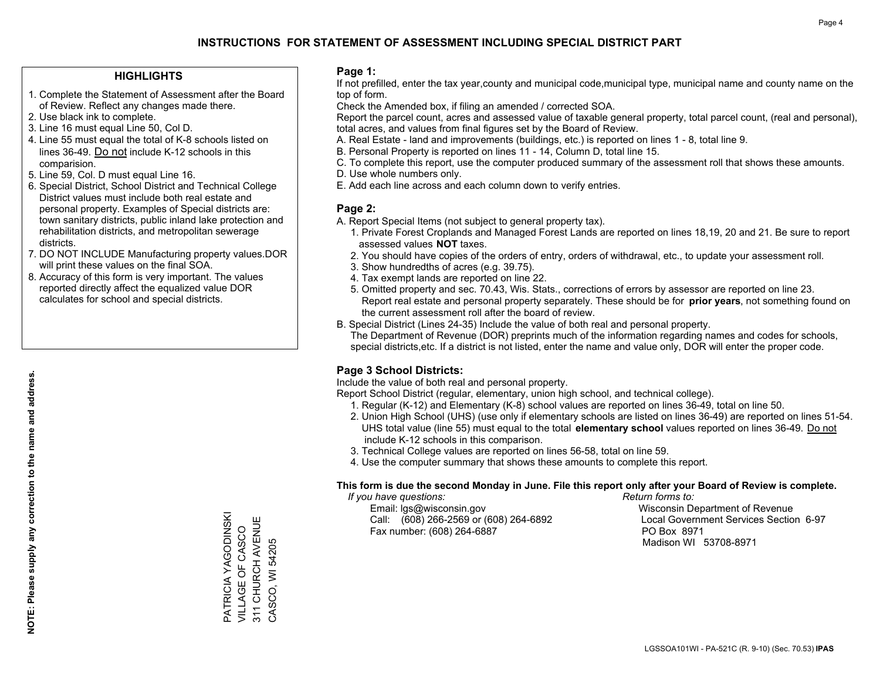### **HIGHLIGHTS**

- 1. Complete the Statement of Assessment after the Board of Review. Reflect any changes made there.
- 2. Use black ink to complete.
- 3. Line 16 must equal Line 50, Col D.
- 4. Line 55 must equal the total of K-8 schools listed on lines 36-49. Do not include K-12 schools in this comparision.
- 5. Line 59, Col. D must equal Line 16.
- 6. Special District, School District and Technical College District values must include both real estate and personal property. Examples of Special districts are: town sanitary districts, public inland lake protection and rehabilitation districts, and metropolitan sewerage districts.
- 7. DO NOT INCLUDE Manufacturing property values.DOR will print these values on the final SOA.

PATRICIA YAGODINSKI VILLAGE OF CASCO 311 CHURCH AVENUE CASCO, WI 54205

311 CHURCH AVENUE VILLAGE OF CASCO

CASCO, WI 54205

PATRICIA YAGODINSKI

 8. Accuracy of this form is very important. The values reported directly affect the equalized value DOR calculates for school and special districts.

#### **Page 1:**

 If not prefilled, enter the tax year,county and municipal code,municipal type, municipal name and county name on the top of form.

Check the Amended box, if filing an amended / corrected SOA.

 Report the parcel count, acres and assessed value of taxable general property, total parcel count, (real and personal), total acres, and values from final figures set by the Board of Review.

- A. Real Estate land and improvements (buildings, etc.) is reported on lines 1 8, total line 9.
- B. Personal Property is reported on lines 11 14, Column D, total line 15.
- C. To complete this report, use the computer produced summary of the assessment roll that shows these amounts.
- D. Use whole numbers only.
- E. Add each line across and each column down to verify entries.

### **Page 2:**

- A. Report Special Items (not subject to general property tax).
- 1. Private Forest Croplands and Managed Forest Lands are reported on lines 18,19, 20 and 21. Be sure to report assessed values **NOT** taxes.
- 2. You should have copies of the orders of entry, orders of withdrawal, etc., to update your assessment roll.
	- 3. Show hundredths of acres (e.g. 39.75).
- 4. Tax exempt lands are reported on line 22.
- 5. Omitted property and sec. 70.43, Wis. Stats., corrections of errors by assessor are reported on line 23. Report real estate and personal property separately. These should be for **prior years**, not something found on the current assessment roll after the board of review.
- B. Special District (Lines 24-35) Include the value of both real and personal property.

 The Department of Revenue (DOR) preprints much of the information regarding names and codes for schools, special districts,etc. If a district is not listed, enter the name and value only, DOR will enter the proper code.

## **Page 3 School Districts:**

Include the value of both real and personal property.

Report School District (regular, elementary, union high school, and technical college).

- 1. Regular (K-12) and Elementary (K-8) school values are reported on lines 36-49, total on line 50.
- 2. Union High School (UHS) (use only if elementary schools are listed on lines 36-49) are reported on lines 51-54. UHS total value (line 55) must equal to the total **elementary school** values reported on lines 36-49. Do notinclude K-12 schools in this comparison.
- 3. Technical College values are reported on lines 56-58, total on line 59.
- 4. Use the computer summary that shows these amounts to complete this report.

#### **This form is due the second Monday in June. File this report only after your Board of Review is complete.**

 *If you have questions: Return forms to:*

 Email: lgs@wisconsin.gov Wisconsin Department of RevenueCall:  $(608)$  266-2569 or  $(608)$  264-6892 Fax number: (608) 264-6887 PO Box 8971

Local Government Services Section 6-97

Madison WI 53708-8971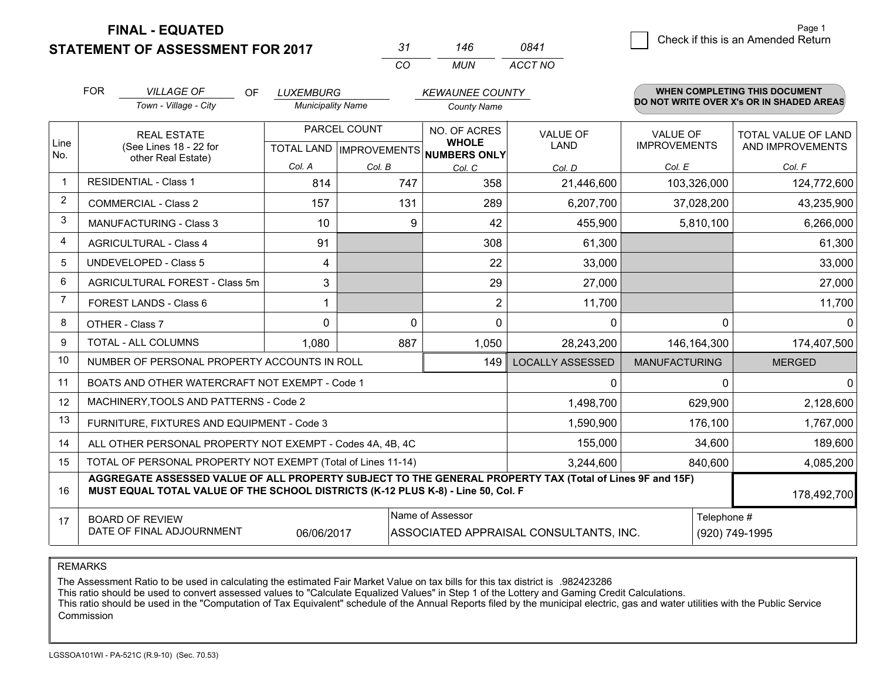**STATEMENT OF ASSESSMENT FOR 2017** 

| -31 | 146 | 0841    |
|-----|-----|---------|
| ΩO  | MUN | ACCT NO |

|                | <b>FOR</b><br><b>VILLAGE OF</b><br>OF.<br>Town - Village - City                                                                                                                              | <b>LUXEMBURG</b><br><b>Municipality Name</b> |                                           | <b>KEWAUNEE COUNTY</b><br><b>County Name</b>        |                                        |                                        | <b>WHEN COMPLETING THIS DOCUMENT</b><br>DO NOT WRITE OVER X's OR IN SHADED AREAS |
|----------------|----------------------------------------------------------------------------------------------------------------------------------------------------------------------------------------------|----------------------------------------------|-------------------------------------------|-----------------------------------------------------|----------------------------------------|----------------------------------------|----------------------------------------------------------------------------------|
| Line<br>No.    | <b>REAL ESTATE</b><br>(See Lines 18 - 22 for<br>other Real Estate)                                                                                                                           |                                              | PARCEL COUNT<br>TOTAL LAND   IMPROVEMENTS | NO. OF ACRES<br><b>WHOLE</b><br><b>NUMBERS ONLY</b> | <b>VALUE OF</b><br>LAND                | <b>VALUE OF</b><br><b>IMPROVEMENTS</b> | TOTAL VALUE OF LAND<br>AND IMPROVEMENTS                                          |
|                |                                                                                                                                                                                              | Col. A                                       | Col. B                                    | Col. C                                              | Col. D                                 | Col. E                                 | Col. F                                                                           |
| -1             | <b>RESIDENTIAL - Class 1</b>                                                                                                                                                                 | 814                                          | 747                                       | 358                                                 | 21,446,600                             | 103,326,000                            | 124,772,600                                                                      |
| 2              | <b>COMMERCIAL - Class 2</b>                                                                                                                                                                  | 157                                          | 131                                       | 289                                                 | 6,207,700                              | 37,028,200                             | 43,235,900                                                                       |
| 3              | <b>MANUFACTURING - Class 3</b>                                                                                                                                                               | 10                                           | 9                                         | 42                                                  | 455,900                                | 5,810,100                              | 6,266,000                                                                        |
| 4              | <b>AGRICULTURAL - Class 4</b>                                                                                                                                                                | 91                                           |                                           | 308                                                 | 61,300                                 |                                        | 61,300                                                                           |
| 5              | UNDEVELOPED - Class 5                                                                                                                                                                        | 4                                            |                                           | 22                                                  | 33,000                                 |                                        | 33,000                                                                           |
| 6              | AGRICULTURAL FOREST - Class 5m                                                                                                                                                               | 3                                            |                                           | 29                                                  | 27,000                                 |                                        | 27,000                                                                           |
| $\overline{7}$ | FOREST LANDS - Class 6                                                                                                                                                                       |                                              |                                           | 2                                                   | 11,700                                 |                                        | 11,700                                                                           |
| 8              | OTHER - Class 7                                                                                                                                                                              | $\Omega$                                     | $\Omega$                                  | $\Omega$                                            | 0                                      | $\Omega$                               | 0                                                                                |
| 9              | TOTAL - ALL COLUMNS                                                                                                                                                                          | 1,080                                        | 887                                       | 1,050                                               | 28,243,200                             | 146, 164, 300                          | 174,407,500                                                                      |
| 10             | NUMBER OF PERSONAL PROPERTY ACCOUNTS IN ROLL                                                                                                                                                 |                                              |                                           | 149                                                 | <b>LOCALLY ASSESSED</b>                | <b>MANUFACTURING</b>                   | <b>MERGED</b>                                                                    |
| 11             | BOATS AND OTHER WATERCRAFT NOT EXEMPT - Code 1                                                                                                                                               |                                              |                                           |                                                     | 0                                      | $\Omega$                               | $\Omega$                                                                         |
| 12             | MACHINERY, TOOLS AND PATTERNS - Code 2                                                                                                                                                       |                                              |                                           |                                                     | 1,498,700                              | 629,900                                | 2,128,600                                                                        |
| 13             | FURNITURE, FIXTURES AND EQUIPMENT - Code 3                                                                                                                                                   |                                              |                                           |                                                     | 1,590,900                              | 176,100                                | 1,767,000                                                                        |
| 14             | ALL OTHER PERSONAL PROPERTY NOT EXEMPT - Codes 4A, 4B, 4C                                                                                                                                    |                                              |                                           |                                                     | 155,000                                | 34,600                                 | 189,600                                                                          |
| 15             | TOTAL OF PERSONAL PROPERTY NOT EXEMPT (Total of Lines 11-14)                                                                                                                                 |                                              |                                           | 3,244,600                                           | 840,600                                | 4,085,200                              |                                                                                  |
| 16             | AGGREGATE ASSESSED VALUE OF ALL PROPERTY SUBJECT TO THE GENERAL PROPERTY TAX (Total of Lines 9F and 15F)<br>MUST EQUAL TOTAL VALUE OF THE SCHOOL DISTRICTS (K-12 PLUS K-8) - Line 50, Col. F |                                              |                                           |                                                     |                                        |                                        |                                                                                  |
| 17             | <b>BOARD OF REVIEW</b><br>DATE OF FINAL ADJOURNMENT                                                                                                                                          | 06/06/2017                                   |                                           | Name of Assessor                                    | ASSOCIATED APPRAISAL CONSULTANTS, INC. | Telephone #                            | (920) 749-1995                                                                   |

REMARKS

The Assessment Ratio to be used in calculating the estimated Fair Market Value on tax bills for this tax district is .982423286

This ratio should be used to convert assessed values to "Calculate Equalized Values" in Step 1 of the Lottery and Gaming Credit Calculations.<br>This ratio should be used in the "Computation of Tax Equivalent" schedule of the Commission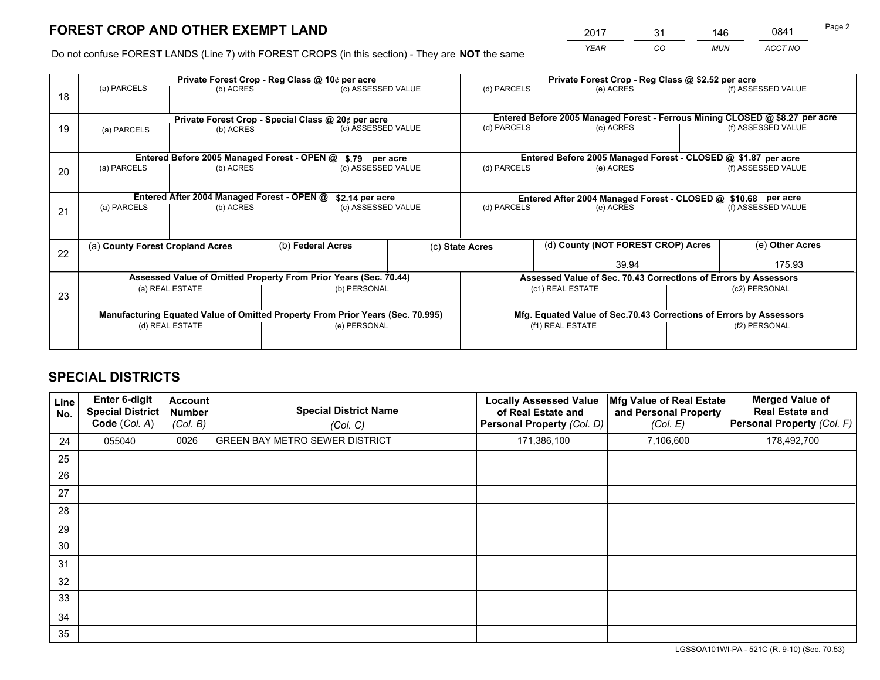*YEAR CO MUN ACCT NO* <sup>2017</sup> <sup>31</sup> <sup>146</sup> <sup>0841</sup>

Do not confuse FOREST LANDS (Line 7) with FOREST CROPS (in this section) - They are **NOT** the same

|    |                                                               |                                                          |                                                                          | Private Forest Crop - Reg Class @ 10¢ per acre                                 |                                                               | Private Forest Crop - Reg Class @ \$2.52 per acre                  |                                                                              |                    |                    |
|----|---------------------------------------------------------------|----------------------------------------------------------|--------------------------------------------------------------------------|--------------------------------------------------------------------------------|---------------------------------------------------------------|--------------------------------------------------------------------|------------------------------------------------------------------------------|--------------------|--------------------|
| 18 | (a) PARCELS                                                   | (b) ACRES                                                |                                                                          | (c) ASSESSED VALUE                                                             |                                                               | (d) PARCELS                                                        | (e) ACRES                                                                    |                    | (f) ASSESSED VALUE |
|    |                                                               |                                                          |                                                                          |                                                                                |                                                               |                                                                    | Entered Before 2005 Managed Forest - Ferrous Mining CLOSED @ \$8.27 per acre |                    |                    |
| 19 | (a) PARCELS                                                   | (b) ACRES                                                | Private Forest Crop - Special Class @ 20¢ per acre<br>(c) ASSESSED VALUE |                                                                                | (d) PARCELS<br>(e) ACRES                                      |                                                                    |                                                                              | (f) ASSESSED VALUE |                    |
|    |                                                               |                                                          |                                                                          |                                                                                |                                                               |                                                                    | Entered Before 2005 Managed Forest - CLOSED @ \$1.87 per acre                |                    |                    |
| 20 | (a) PARCELS                                                   | Entered Before 2005 Managed Forest - OPEN @<br>(b) ACRES |                                                                          | \$.79 per acre<br>(c) ASSESSED VALUE                                           |                                                               | (d) PARCELS                                                        | (e) ACRES                                                                    |                    | (f) ASSESSED VALUE |
|    | Entered After 2004 Managed Forest - OPEN @<br>\$2.14 per acre |                                                          |                                                                          |                                                                                | Entered After 2004 Managed Forest - CLOSED @ \$10.68 per acre |                                                                    |                                                                              |                    |                    |
| 21 | (a) PARCELS                                                   | (b) ACRES                                                |                                                                          | (c) ASSESSED VALUE                                                             |                                                               | (d) PARCELS                                                        | (e) ACRES                                                                    |                    | (f) ASSESSED VALUE |
|    |                                                               |                                                          |                                                                          |                                                                                |                                                               |                                                                    |                                                                              |                    |                    |
|    | (a) County Forest Cropland Acres                              |                                                          |                                                                          | (b) Federal Acres                                                              |                                                               | (c) State Acres                                                    | (d) County (NOT FOREST CROP) Acres                                           |                    | (e) Other Acres    |
| 22 |                                                               |                                                          |                                                                          |                                                                                | 39.94                                                         |                                                                    |                                                                              |                    | 175.93             |
|    |                                                               |                                                          |                                                                          | Assessed Value of Omitted Property From Prior Years (Sec. 70.44)               |                                                               | Assessed Value of Sec. 70.43 Corrections of Errors by Assessors    |                                                                              |                    |                    |
| 23 |                                                               | (a) REAL ESTATE                                          |                                                                          | (b) PERSONAL                                                                   |                                                               | (c1) REAL ESTATE                                                   |                                                                              | (c2) PERSONAL      |                    |
|    |                                                               |                                                          |                                                                          |                                                                                |                                                               |                                                                    |                                                                              |                    |                    |
|    |                                                               |                                                          |                                                                          | Manufacturing Equated Value of Omitted Property From Prior Years (Sec. 70.995) |                                                               | Mfg. Equated Value of Sec.70.43 Corrections of Errors by Assessors |                                                                              |                    |                    |
|    | (d) REAL ESTATE                                               |                                                          | (e) PERSONAL                                                             |                                                                                |                                                               | (f1) REAL ESTATE                                                   |                                                                              | (f2) PERSONAL      |                    |
|    |                                                               |                                                          |                                                                          |                                                                                |                                                               |                                                                    |                                                                              |                    |                    |

## **SPECIAL DISTRICTS**

| Line<br>No. | Enter 6-digit<br><b>Special District</b><br>Code (Col. A) | <b>Account</b><br><b>Number</b><br>(Col. B) | <b>Special District Name</b><br>(Col. C) | <b>Locally Assessed Value</b><br>of Real Estate and<br>Personal Property (Col. D) | Mfg Value of Real Estate<br>and Personal Property<br>(Col. E) | <b>Merged Value of</b><br><b>Real Estate and</b><br>Personal Property (Col. F) |
|-------------|-----------------------------------------------------------|---------------------------------------------|------------------------------------------|-----------------------------------------------------------------------------------|---------------------------------------------------------------|--------------------------------------------------------------------------------|
| 24          | 055040                                                    | 0026                                        | <b>GREEN BAY METRO SEWER DISTRICT</b>    | 171,386,100                                                                       | 7,106,600                                                     | 178,492,700                                                                    |
| 25          |                                                           |                                             |                                          |                                                                                   |                                                               |                                                                                |
| 26          |                                                           |                                             |                                          |                                                                                   |                                                               |                                                                                |
| 27          |                                                           |                                             |                                          |                                                                                   |                                                               |                                                                                |
| 28          |                                                           |                                             |                                          |                                                                                   |                                                               |                                                                                |
| 29          |                                                           |                                             |                                          |                                                                                   |                                                               |                                                                                |
| 30          |                                                           |                                             |                                          |                                                                                   |                                                               |                                                                                |
| 31          |                                                           |                                             |                                          |                                                                                   |                                                               |                                                                                |
| 32          |                                                           |                                             |                                          |                                                                                   |                                                               |                                                                                |
| 33          |                                                           |                                             |                                          |                                                                                   |                                                               |                                                                                |
| 34          |                                                           |                                             |                                          |                                                                                   |                                                               |                                                                                |
| 35          |                                                           |                                             |                                          |                                                                                   |                                                               |                                                                                |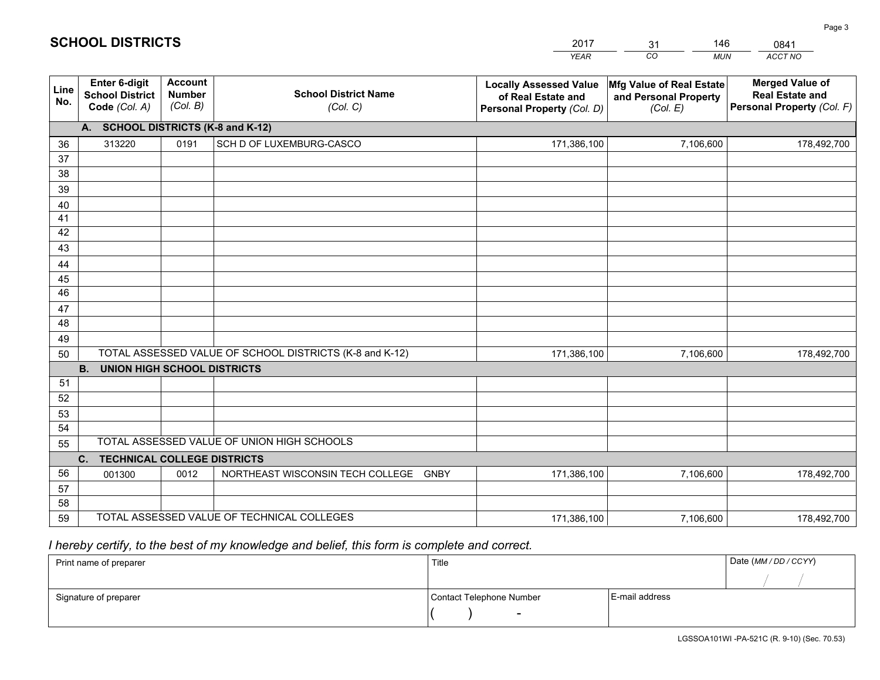|             |                                                                 |                                             |                                                         | <b>YEAR</b>                                                                       | CO<br><b>MUN</b>                                              | ACCT NO                                                                        |
|-------------|-----------------------------------------------------------------|---------------------------------------------|---------------------------------------------------------|-----------------------------------------------------------------------------------|---------------------------------------------------------------|--------------------------------------------------------------------------------|
| Line<br>No. | <b>Enter 6-digit</b><br><b>School District</b><br>Code (Col. A) | <b>Account</b><br><b>Number</b><br>(Col. B) | <b>School District Name</b><br>(Col. C)                 | <b>Locally Assessed Value</b><br>of Real Estate and<br>Personal Property (Col. D) | Mfg Value of Real Estate<br>and Personal Property<br>(Col. E) | <b>Merged Value of</b><br><b>Real Estate and</b><br>Personal Property (Col. F) |
|             | <b>SCHOOL DISTRICTS (K-8 and K-12)</b><br>A.                    |                                             |                                                         |                                                                                   |                                                               |                                                                                |
| 36          | 313220                                                          | 0191                                        | SCH D OF LUXEMBURG-CASCO                                | 171,386,100                                                                       | 7,106,600                                                     | 178,492,700                                                                    |
| 37          |                                                                 |                                             |                                                         |                                                                                   |                                                               |                                                                                |
| 38          |                                                                 |                                             |                                                         |                                                                                   |                                                               |                                                                                |
| 39          |                                                                 |                                             |                                                         |                                                                                   |                                                               |                                                                                |
| 40          |                                                                 |                                             |                                                         |                                                                                   |                                                               |                                                                                |
| 41<br>42    |                                                                 |                                             |                                                         |                                                                                   |                                                               |                                                                                |
| 43          |                                                                 |                                             |                                                         |                                                                                   |                                                               |                                                                                |
| 44          |                                                                 |                                             |                                                         |                                                                                   |                                                               |                                                                                |
| 45          |                                                                 |                                             |                                                         |                                                                                   |                                                               |                                                                                |
| 46          |                                                                 |                                             |                                                         |                                                                                   |                                                               |                                                                                |
| 47          |                                                                 |                                             |                                                         |                                                                                   |                                                               |                                                                                |
| 48          |                                                                 |                                             |                                                         |                                                                                   |                                                               |                                                                                |
| 49          |                                                                 |                                             |                                                         |                                                                                   |                                                               |                                                                                |
| 50          |                                                                 |                                             | TOTAL ASSESSED VALUE OF SCHOOL DISTRICTS (K-8 and K-12) | 171,386,100                                                                       | 7,106,600                                                     | 178,492,700                                                                    |
|             | <b>B.</b><br><b>UNION HIGH SCHOOL DISTRICTS</b>                 |                                             |                                                         |                                                                                   |                                                               |                                                                                |
| 51          |                                                                 |                                             |                                                         |                                                                                   |                                                               |                                                                                |
| 52          |                                                                 |                                             |                                                         |                                                                                   |                                                               |                                                                                |
| 53          |                                                                 |                                             |                                                         |                                                                                   |                                                               |                                                                                |
| 54          |                                                                 |                                             | TOTAL ASSESSED VALUE OF UNION HIGH SCHOOLS              |                                                                                   |                                                               |                                                                                |
| 55          | $C_{1}$                                                         |                                             |                                                         |                                                                                   |                                                               |                                                                                |
| 56          | <b>TECHNICAL COLLEGE DISTRICTS</b><br>001300                    | 0012                                        | NORTHEAST WISCONSIN TECH COLLEGE GNBY                   | 171,386,100                                                                       | 7,106,600                                                     | 178,492,700                                                                    |
| 57          |                                                                 |                                             |                                                         |                                                                                   |                                                               |                                                                                |
| 58          |                                                                 |                                             |                                                         |                                                                                   |                                                               |                                                                                |
| 59          |                                                                 |                                             | TOTAL ASSESSED VALUE OF TECHNICAL COLLEGES              | 171,386,100                                                                       | 7,106,600                                                     | 178,492,700                                                                    |

31

146

 *I hereby certify, to the best of my knowledge and belief, this form is complete and correct.*

**SCHOOL DISTRICTS**

| Print name of preparer | Title                    |                | Date (MM / DD / CCYY) |
|------------------------|--------------------------|----------------|-----------------------|
|                        |                          |                |                       |
| Signature of preparer  | Contact Telephone Number | E-mail address |                       |
|                        |                          |                |                       |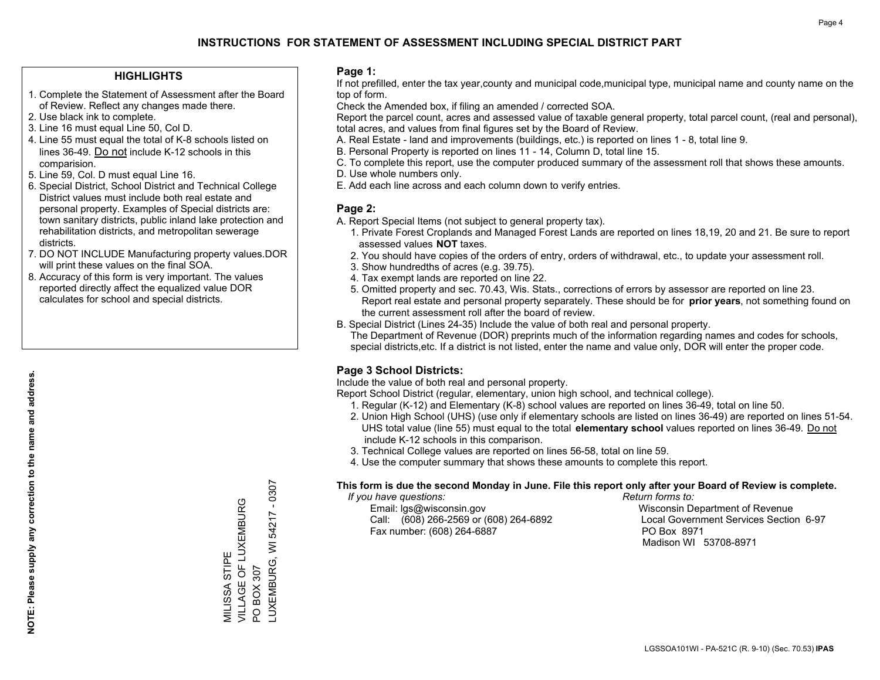### **HIGHLIGHTS**

- 1. Complete the Statement of Assessment after the Board of Review. Reflect any changes made there.
- 2. Use black ink to complete.
- 3. Line 16 must equal Line 50, Col D.
- 4. Line 55 must equal the total of K-8 schools listed on lines 36-49. Do not include K-12 schools in this comparision.
- 5. Line 59, Col. D must equal Line 16.
- 6. Special District, School District and Technical College District values must include both real estate and personal property. Examples of Special districts are: town sanitary districts, public inland lake protection and rehabilitation districts, and metropolitan sewerage districts.
- 7. DO NOT INCLUDE Manufacturing property values.DOR will print these values on the final SOA.
- 8. Accuracy of this form is very important. The values reported directly affect the equalized value DOR calculates for school and special districts.

#### **Page 1:**

 If not prefilled, enter the tax year,county and municipal code,municipal type, municipal name and county name on the top of form.

Check the Amended box, if filing an amended / corrected SOA.

 Report the parcel count, acres and assessed value of taxable general property, total parcel count, (real and personal), total acres, and values from final figures set by the Board of Review.

- A. Real Estate land and improvements (buildings, etc.) is reported on lines 1 8, total line 9.
- B. Personal Property is reported on lines 11 14, Column D, total line 15.
- C. To complete this report, use the computer produced summary of the assessment roll that shows these amounts.
- D. Use whole numbers only.
- E. Add each line across and each column down to verify entries.

### **Page 2:**

- A. Report Special Items (not subject to general property tax).
- 1. Private Forest Croplands and Managed Forest Lands are reported on lines 18,19, 20 and 21. Be sure to report assessed values **NOT** taxes.
- 2. You should have copies of the orders of entry, orders of withdrawal, etc., to update your assessment roll.
	- 3. Show hundredths of acres (e.g. 39.75).
- 4. Tax exempt lands are reported on line 22.
- 5. Omitted property and sec. 70.43, Wis. Stats., corrections of errors by assessor are reported on line 23. Report real estate and personal property separately. These should be for **prior years**, not something found on the current assessment roll after the board of review.
- B. Special District (Lines 24-35) Include the value of both real and personal property.
- The Department of Revenue (DOR) preprints much of the information regarding names and codes for schools, special districts,etc. If a district is not listed, enter the name and value only, DOR will enter the proper code.

## **Page 3 School Districts:**

Include the value of both real and personal property.

Report School District (regular, elementary, union high school, and technical college).

- 1. Regular (K-12) and Elementary (K-8) school values are reported on lines 36-49, total on line 50.
- 2. Union High School (UHS) (use only if elementary schools are listed on lines 36-49) are reported on lines 51-54. UHS total value (line 55) must equal to the total **elementary school** values reported on lines 36-49. Do notinclude K-12 schools in this comparison.
- 3. Technical College values are reported on lines 56-58, total on line 59.
- 4. Use the computer summary that shows these amounts to complete this report.

#### **This form is due the second Monday in June. File this report only after your Board of Review is complete.**

 *If you have questions: Return forms to:*

 Email: lgs@wisconsin.gov Wisconsin Department of RevenueCall:  $(608)$  266-2569 or  $(608)$  264-6892 Fax number: (608) 264-6887 PO Box 8971

Local Government Services Section 6-97 Madison WI 53708-8971

LUXEMBURG, WI 54217 - 0307 LUXEMBURG, WI 54217 - 0307 VILLAGE OF LUXEMBURG MILISSA STIPE<br>VILLAGE OF LUXEMBURG MILISSA STIPE BOX 307 PO BOX 307  $\overline{S}$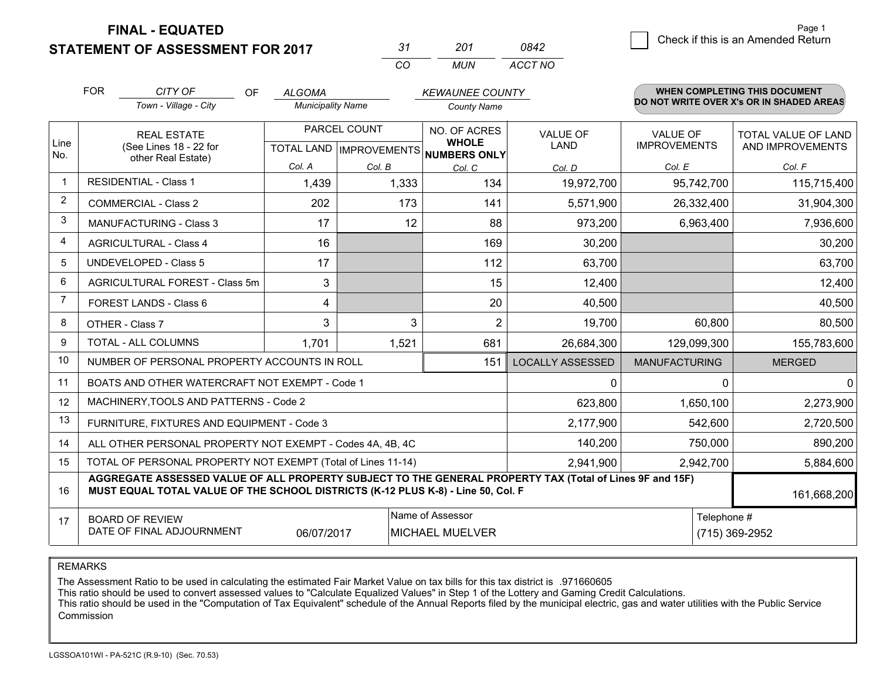**STATEMENT OF ASSESSMENT FOR 2017** 

| -31 | 201  | กล42    |
|-----|------|---------|
| CO. | MUN. | ACCT NO |

|                | <b>FOR</b><br>CITY OF<br>OF.<br><b>ALGOMA</b>                                                                                                                                                |                                                           |                          | <b>KEWAUNEE COUNTY</b> |                                      |                         | <b>WHEN COMPLETING THIS DOCUMENT</b>   |                                          |  |
|----------------|----------------------------------------------------------------------------------------------------------------------------------------------------------------------------------------------|-----------------------------------------------------------|--------------------------|------------------------|--------------------------------------|-------------------------|----------------------------------------|------------------------------------------|--|
|                |                                                                                                                                                                                              | Town - Village - City                                     | <b>Municipality Name</b> |                        | <b>County Name</b>                   |                         |                                        | DO NOT WRITE OVER X's OR IN SHADED AREAS |  |
| Line           |                                                                                                                                                                                              | <b>REAL ESTATE</b>                                        |                          | PARCEL COUNT           | NO. OF ACRES<br><b>WHOLE</b>         | VALUE OF<br>LAND        | <b>VALUE OF</b><br><b>IMPROVEMENTS</b> | TOTAL VALUE OF LAND                      |  |
| No.            |                                                                                                                                                                                              | (See Lines 18 - 22 for<br>other Real Estate)              |                          |                        | TOTAL LAND IMPROVEMENTS NUMBERS ONLY |                         |                                        | AND IMPROVEMENTS                         |  |
|                |                                                                                                                                                                                              |                                                           | Col. A                   | Col. B                 | Col. C                               | Col. D                  | Col. E                                 | Col. F                                   |  |
| $\mathbf 1$    |                                                                                                                                                                                              | <b>RESIDENTIAL - Class 1</b>                              | 1,439                    | 1,333                  | 134                                  | 19,972,700              | 95,742,700                             | 115,715,400                              |  |
| $\overline{2}$ |                                                                                                                                                                                              | <b>COMMERCIAL - Class 2</b>                               | 202                      | 173                    | 141                                  | 5,571,900               | 26,332,400                             | 31,904,300                               |  |
| 3              |                                                                                                                                                                                              | MANUFACTURING - Class 3                                   | 17                       | 12                     | 88                                   | 973,200                 | 6,963,400                              | 7,936,600                                |  |
| 4              |                                                                                                                                                                                              | <b>AGRICULTURAL - Class 4</b>                             | 16                       |                        | 169                                  | 30,200                  |                                        | 30,200                                   |  |
| 5              |                                                                                                                                                                                              | UNDEVELOPED - Class 5                                     | 17                       |                        | 112                                  | 63,700                  |                                        | 63,700                                   |  |
| 6              | AGRICULTURAL FOREST - Class 5m                                                                                                                                                               |                                                           | 3                        |                        | 15                                   | 12,400                  |                                        | 12,400                                   |  |
| $\overline{7}$ | FOREST LANDS - Class 6                                                                                                                                                                       |                                                           | 4                        |                        | 20                                   | 40,500                  |                                        | 40,500                                   |  |
| 8              |                                                                                                                                                                                              | OTHER - Class 7                                           | 3                        | 3                      | $\overline{2}$                       | 19,700                  | 60,800                                 | 80,500                                   |  |
| 9              |                                                                                                                                                                                              | TOTAL - ALL COLUMNS                                       | 1,701                    | 1,521                  | 681                                  | 26,684,300              | 129,099,300                            | 155,783,600                              |  |
| 10             |                                                                                                                                                                                              | NUMBER OF PERSONAL PROPERTY ACCOUNTS IN ROLL              |                          |                        | 151                                  | <b>LOCALLY ASSESSED</b> | <b>MANUFACTURING</b>                   | <b>MERGED</b>                            |  |
| 11             |                                                                                                                                                                                              | BOATS AND OTHER WATERCRAFT NOT EXEMPT - Code 1            |                          |                        |                                      | 0                       |                                        | 0<br>0                                   |  |
| 12             |                                                                                                                                                                                              | MACHINERY, TOOLS AND PATTERNS - Code 2                    |                          |                        |                                      | 623,800                 | 1,650,100                              | 2,273,900                                |  |
| 13             |                                                                                                                                                                                              | FURNITURE, FIXTURES AND EQUIPMENT - Code 3                |                          |                        |                                      | 2,177,900               | 542,600                                | 2,720,500                                |  |
| 14             |                                                                                                                                                                                              | ALL OTHER PERSONAL PROPERTY NOT EXEMPT - Codes 4A, 4B, 4C |                          | 140,200                | 750,000                              | 890,200                 |                                        |                                          |  |
| 15             | TOTAL OF PERSONAL PROPERTY NOT EXEMPT (Total of Lines 11-14)<br>2,941,900                                                                                                                    |                                                           |                          |                        |                                      |                         | 2,942,700                              | 5,884,600                                |  |
| 16             | AGGREGATE ASSESSED VALUE OF ALL PROPERTY SUBJECT TO THE GENERAL PROPERTY TAX (Total of Lines 9F and 15F)<br>MUST EQUAL TOTAL VALUE OF THE SCHOOL DISTRICTS (K-12 PLUS K-8) - Line 50, Col. F |                                                           |                          |                        |                                      |                         |                                        | 161,668,200                              |  |
| 17             |                                                                                                                                                                                              | <b>BOARD OF REVIEW</b>                                    |                          |                        | Name of Assessor                     |                         |                                        | Telephone #                              |  |
|                | DATE OF FINAL ADJOURNMENT<br><b>MICHAEL MUELVER</b><br>06/07/2017                                                                                                                            |                                                           |                          |                        |                                      |                         |                                        | (715) 369-2952                           |  |

REMARKS

The Assessment Ratio to be used in calculating the estimated Fair Market Value on tax bills for this tax district is .971660605

This ratio should be used to convert assessed values to "Calculate Equalized Values" in Step 1 of the Lottery and Gaming Credit Calculations.<br>This ratio should be used in the "Computation of Tax Equivalent" schedule of the Commission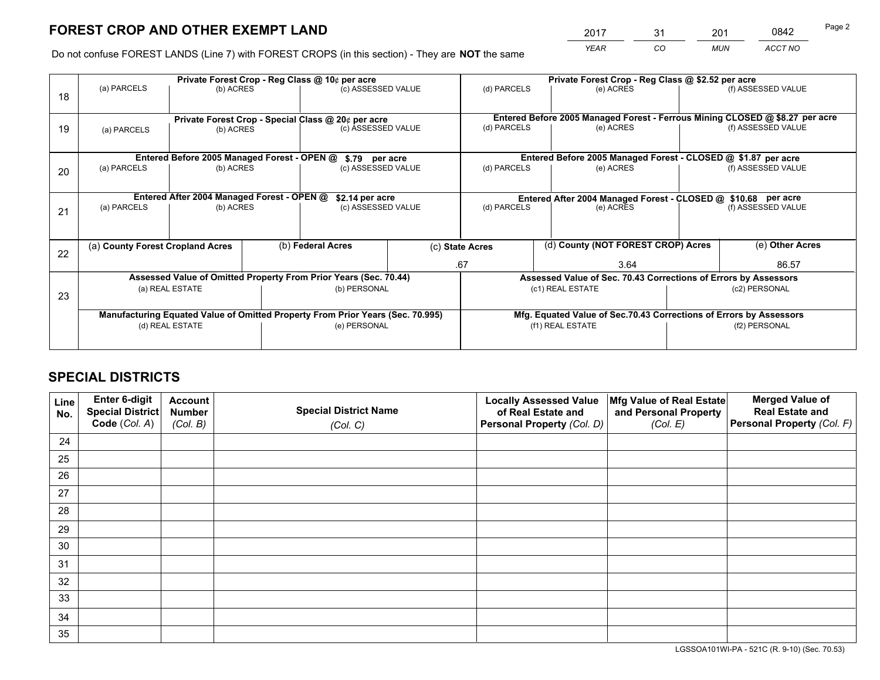*YEAR CO MUN ACCT NO* 2017 31 201 0842

Do not confuse FOREST LANDS (Line 7) with FOREST CROPS (in this section) - They are **NOT** the same

|    |                                                                                |                                                                 | Private Forest Crop - Reg Class @ 10¢ per acre |                                                                  | Private Forest Crop - Reg Class @ \$2.52 per acre |                                                                              |                                                                    |                 |                    |                    |
|----|--------------------------------------------------------------------------------|-----------------------------------------------------------------|------------------------------------------------|------------------------------------------------------------------|---------------------------------------------------|------------------------------------------------------------------------------|--------------------------------------------------------------------|-----------------|--------------------|--------------------|
| 18 | (a) PARCELS                                                                    | (b) ACRES                                                       |                                                | (c) ASSESSED VALUE                                               |                                                   | (d) PARCELS                                                                  | (e) ACRES                                                          |                 |                    | (f) ASSESSED VALUE |
|    |                                                                                |                                                                 |                                                |                                                                  |                                                   | Entered Before 2005 Managed Forest - Ferrous Mining CLOSED @ \$8.27 per acre |                                                                    |                 |                    |                    |
| 19 | (a) PARCELS                                                                    | Private Forest Crop - Special Class @ 20¢ per acre<br>(b) ACRES |                                                | (c) ASSESSED VALUE                                               |                                                   | (d) PARCELS                                                                  | (e) ACRES                                                          |                 |                    | (f) ASSESSED VALUE |
|    |                                                                                | Entered Before 2005 Managed Forest - OPEN @                     |                                                | \$.79 per acre                                                   |                                                   |                                                                              | Entered Before 2005 Managed Forest - CLOSED @ \$1.87 per acre      |                 |                    |                    |
|    | (a) PARCELS                                                                    | (b) ACRES                                                       |                                                | (c) ASSESSED VALUE                                               |                                                   | (d) PARCELS                                                                  | (e) ACRES                                                          |                 |                    | (f) ASSESSED VALUE |
| 20 |                                                                                |                                                                 |                                                |                                                                  |                                                   |                                                                              |                                                                    |                 |                    |                    |
|    |                                                                                | Entered After 2004 Managed Forest - OPEN @                      |                                                | \$2.14 per acre                                                  |                                                   | Entered After 2004 Managed Forest - CLOSED @ \$10.68 per acre                |                                                                    |                 |                    |                    |
| 21 | (a) PARCELS                                                                    | (b) ACRES                                                       |                                                | (c) ASSESSED VALUE                                               |                                                   | (d) PARCELS<br>(e) ACRES                                                     |                                                                    |                 | (f) ASSESSED VALUE |                    |
|    |                                                                                |                                                                 |                                                |                                                                  |                                                   |                                                                              |                                                                    |                 |                    |                    |
|    |                                                                                | (b) Federal Acres<br>(a) County Forest Cropland Acres           |                                                | (c) State Acres                                                  | (d) County (NOT FOREST CROP) Acres                |                                                                              |                                                                    | (e) Other Acres |                    |                    |
| 22 |                                                                                |                                                                 |                                                |                                                                  |                                                   | .67<br>3.64                                                                  |                                                                    |                 | 86.57              |                    |
|    |                                                                                |                                                                 |                                                | Assessed Value of Omitted Property From Prior Years (Sec. 70.44) |                                                   |                                                                              | Assessed Value of Sec. 70.43 Corrections of Errors by Assessors    |                 |                    |                    |
|    |                                                                                | (a) REAL ESTATE                                                 |                                                |                                                                  | (b) PERSONAL                                      | (c1) REAL ESTATE                                                             |                                                                    |                 | (c2) PERSONAL      |                    |
| 23 |                                                                                |                                                                 |                                                |                                                                  |                                                   |                                                                              |                                                                    |                 |                    |                    |
|    | Manufacturing Equated Value of Omitted Property From Prior Years (Sec. 70.995) |                                                                 |                                                |                                                                  |                                                   |                                                                              | Mfg. Equated Value of Sec.70.43 Corrections of Errors by Assessors |                 |                    |                    |
|    | (d) REAL ESTATE                                                                |                                                                 |                                                | (e) PERSONAL                                                     |                                                   | (f1) REAL ESTATE                                                             |                                                                    |                 | (f2) PERSONAL      |                    |
|    |                                                                                |                                                                 |                                                |                                                                  |                                                   |                                                                              |                                                                    |                 |                    |                    |

## **SPECIAL DISTRICTS**

| Line<br>No. | Enter 6-digit<br><b>Special District</b> | <b>Account</b><br><b>Number</b> | <b>Special District Name</b> | <b>Locally Assessed Value</b><br>of Real Estate and | Mfg Value of Real Estate<br>and Personal Property | <b>Merged Value of</b><br><b>Real Estate and</b> |
|-------------|------------------------------------------|---------------------------------|------------------------------|-----------------------------------------------------|---------------------------------------------------|--------------------------------------------------|
|             | Code (Col. A)                            | (Col. B)                        | (Col. C)                     | Personal Property (Col. D)                          | (Col. E)                                          | Personal Property (Col. F)                       |
| 24          |                                          |                                 |                              |                                                     |                                                   |                                                  |
| 25          |                                          |                                 |                              |                                                     |                                                   |                                                  |
| 26          |                                          |                                 |                              |                                                     |                                                   |                                                  |
| 27          |                                          |                                 |                              |                                                     |                                                   |                                                  |
| 28          |                                          |                                 |                              |                                                     |                                                   |                                                  |
| 29          |                                          |                                 |                              |                                                     |                                                   |                                                  |
| 30          |                                          |                                 |                              |                                                     |                                                   |                                                  |
| 31          |                                          |                                 |                              |                                                     |                                                   |                                                  |
| 32          |                                          |                                 |                              |                                                     |                                                   |                                                  |
| 33          |                                          |                                 |                              |                                                     |                                                   |                                                  |
| 34          |                                          |                                 |                              |                                                     |                                                   |                                                  |
| 35          |                                          |                                 |                              |                                                     |                                                   |                                                  |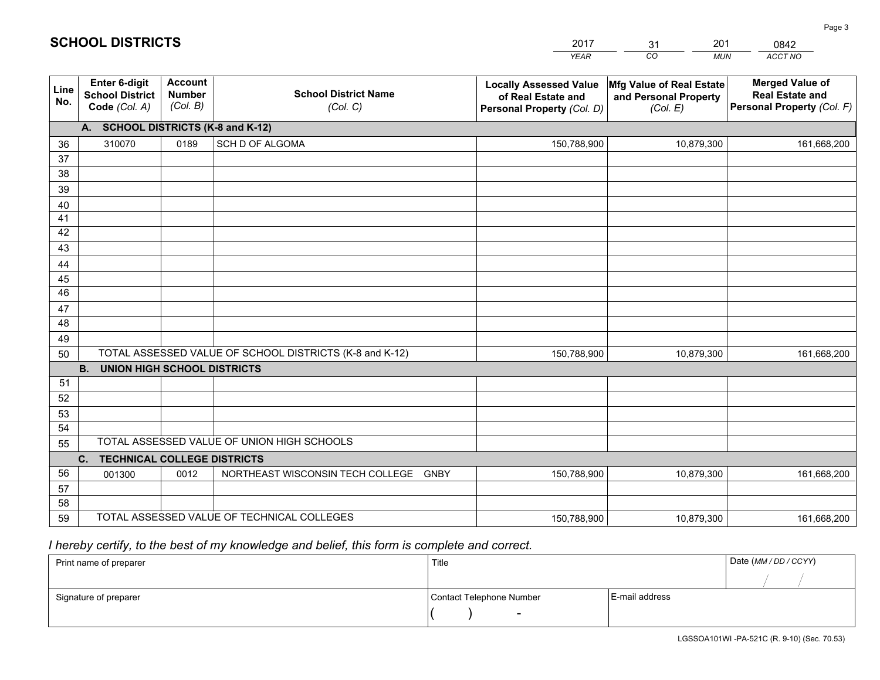|             |                                                                 |                                             |                                                         | <b>YEAR</b>                                                                       | CO<br><b>MUN</b>                                              | ACCT NO                                                                        |
|-------------|-----------------------------------------------------------------|---------------------------------------------|---------------------------------------------------------|-----------------------------------------------------------------------------------|---------------------------------------------------------------|--------------------------------------------------------------------------------|
| Line<br>No. | <b>Enter 6-digit</b><br><b>School District</b><br>Code (Col. A) | <b>Account</b><br><b>Number</b><br>(Col. B) | <b>School District Name</b><br>(Col. C)                 | <b>Locally Assessed Value</b><br>of Real Estate and<br>Personal Property (Col. D) | Mfg Value of Real Estate<br>and Personal Property<br>(Col. E) | <b>Merged Value of</b><br><b>Real Estate and</b><br>Personal Property (Col. F) |
|             | A. SCHOOL DISTRICTS (K-8 and K-12)                              |                                             |                                                         |                                                                                   |                                                               |                                                                                |
| 36          | 310070                                                          | 0189                                        | SCH D OF ALGOMA                                         | 150,788,900                                                                       | 10,879,300                                                    | 161,668,200                                                                    |
| 37          |                                                                 |                                             |                                                         |                                                                                   |                                                               |                                                                                |
| 38          |                                                                 |                                             |                                                         |                                                                                   |                                                               |                                                                                |
| 39          |                                                                 |                                             |                                                         |                                                                                   |                                                               |                                                                                |
| 40          |                                                                 |                                             |                                                         |                                                                                   |                                                               |                                                                                |
| 41          |                                                                 |                                             |                                                         |                                                                                   |                                                               |                                                                                |
| 42          |                                                                 |                                             |                                                         |                                                                                   |                                                               |                                                                                |
| 43          |                                                                 |                                             |                                                         |                                                                                   |                                                               |                                                                                |
| 44<br>45    |                                                                 |                                             |                                                         |                                                                                   |                                                               |                                                                                |
| 46          |                                                                 |                                             |                                                         |                                                                                   |                                                               |                                                                                |
| 47          |                                                                 |                                             |                                                         |                                                                                   |                                                               |                                                                                |
| 48          |                                                                 |                                             |                                                         |                                                                                   |                                                               |                                                                                |
| 49          |                                                                 |                                             |                                                         |                                                                                   |                                                               |                                                                                |
| 50          |                                                                 |                                             | TOTAL ASSESSED VALUE OF SCHOOL DISTRICTS (K-8 and K-12) | 150,788,900                                                                       | 10,879,300                                                    | 161,668,200                                                                    |
|             | <b>B. UNION HIGH SCHOOL DISTRICTS</b>                           |                                             |                                                         |                                                                                   |                                                               |                                                                                |
| 51          |                                                                 |                                             |                                                         |                                                                                   |                                                               |                                                                                |
| 52          |                                                                 |                                             |                                                         |                                                                                   |                                                               |                                                                                |
| 53          |                                                                 |                                             |                                                         |                                                                                   |                                                               |                                                                                |
| 54          |                                                                 |                                             |                                                         |                                                                                   |                                                               |                                                                                |
| 55          |                                                                 |                                             | TOTAL ASSESSED VALUE OF UNION HIGH SCHOOLS              |                                                                                   |                                                               |                                                                                |
|             | C.<br><b>TECHNICAL COLLEGE DISTRICTS</b>                        |                                             |                                                         |                                                                                   |                                                               |                                                                                |
| 56          | 001300                                                          | 0012                                        | NORTHEAST WISCONSIN TECH COLLEGE<br>GNBY                | 150,788,900                                                                       | 10,879,300                                                    | 161,668,200                                                                    |
| 57<br>58    |                                                                 |                                             |                                                         |                                                                                   |                                                               |                                                                                |
| 59          |                                                                 |                                             | TOTAL ASSESSED VALUE OF TECHNICAL COLLEGES              | 150,788,900                                                                       | 10,879,300                                                    | 161,668,200                                                                    |
|             |                                                                 |                                             |                                                         |                                                                                   |                                                               |                                                                                |

31

201

 *I hereby certify, to the best of my knowledge and belief, this form is complete and correct.*

**SCHOOL DISTRICTS**

| Print name of preparer | Title                    |                | Date (MM / DD / CCYY) |
|------------------------|--------------------------|----------------|-----------------------|
|                        |                          |                |                       |
| Signature of preparer  | Contact Telephone Number | E-mail address |                       |
|                        | $\overline{\phantom{0}}$ |                |                       |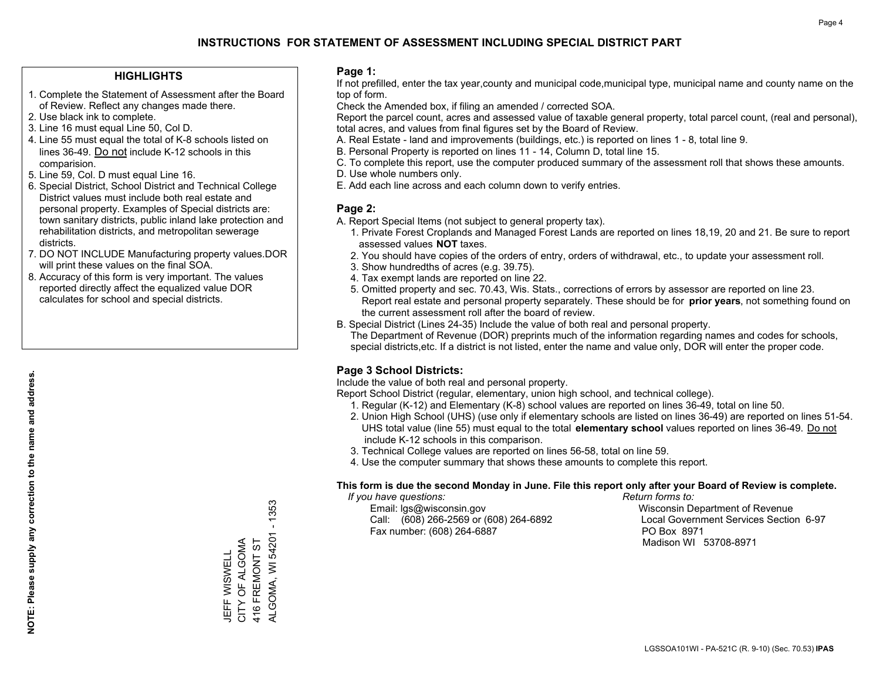### **HIGHLIGHTS**

- 1. Complete the Statement of Assessment after the Board of Review. Reflect any changes made there.
- 2. Use black ink to complete.
- 3. Line 16 must equal Line 50, Col D.
- 4. Line 55 must equal the total of K-8 schools listed on lines 36-49. Do not include K-12 schools in this comparision.
- 5. Line 59, Col. D must equal Line 16.
- 6. Special District, School District and Technical College District values must include both real estate and personal property. Examples of Special districts are: town sanitary districts, public inland lake protection and rehabilitation districts, and metropolitan sewerage districts.
- 7. DO NOT INCLUDE Manufacturing property values.DOR will print these values on the final SOA.
- 8. Accuracy of this form is very important. The values reported directly affect the equalized value DOR calculates for school and special districts.

#### **Page 1:**

 If not prefilled, enter the tax year,county and municipal code,municipal type, municipal name and county name on the top of form.

Check the Amended box, if filing an amended / corrected SOA.

 Report the parcel count, acres and assessed value of taxable general property, total parcel count, (real and personal), total acres, and values from final figures set by the Board of Review.

- A. Real Estate land and improvements (buildings, etc.) is reported on lines 1 8, total line 9.
- B. Personal Property is reported on lines 11 14, Column D, total line 15.
- C. To complete this report, use the computer produced summary of the assessment roll that shows these amounts.
- D. Use whole numbers only.
- E. Add each line across and each column down to verify entries.

### **Page 2:**

- A. Report Special Items (not subject to general property tax).
- 1. Private Forest Croplands and Managed Forest Lands are reported on lines 18,19, 20 and 21. Be sure to report assessed values **NOT** taxes.
- 2. You should have copies of the orders of entry, orders of withdrawal, etc., to update your assessment roll.
	- 3. Show hundredths of acres (e.g. 39.75).
- 4. Tax exempt lands are reported on line 22.
- 5. Omitted property and sec. 70.43, Wis. Stats., corrections of errors by assessor are reported on line 23. Report real estate and personal property separately. These should be for **prior years**, not something found on the current assessment roll after the board of review.
- B. Special District (Lines 24-35) Include the value of both real and personal property.

 The Department of Revenue (DOR) preprints much of the information regarding names and codes for schools, special districts,etc. If a district is not listed, enter the name and value only, DOR will enter the proper code.

## **Page 3 School Districts:**

Include the value of both real and personal property.

Report School District (regular, elementary, union high school, and technical college).

- 1. Regular (K-12) and Elementary (K-8) school values are reported on lines 36-49, total on line 50.
- 2. Union High School (UHS) (use only if elementary schools are listed on lines 36-49) are reported on lines 51-54. UHS total value (line 55) must equal to the total **elementary school** values reported on lines 36-49. Do notinclude K-12 schools in this comparison.
- 3. Technical College values are reported on lines 56-58, total on line 59.
- 4. Use the computer summary that shows these amounts to complete this report.

#### **This form is due the second Monday in June. File this report only after your Board of Review is complete.**

 *If you have questions: Return forms to:*

 Email: lgs@wisconsin.gov Wisconsin Department of RevenueCall:  $(608)$  266-2569 or  $(608)$  264-6892 Fax number: (608) 264-6887 PO Box 8971

Local Government Services Section 6-97 Madison WI 53708-8971

 $-1353$ ALGOMA, WI 54201 - 1353 ALGOMA, WI 54201 CITY OF ALGOMA JEFF WISWELL<br>CITY OF ALGOMA 416 FREMONT ST 416 FREMONT ST JEFF WISWELL

**NOTE: Please supply any correction to the name and address.**

NOTE: Please supply any correction to the name and address.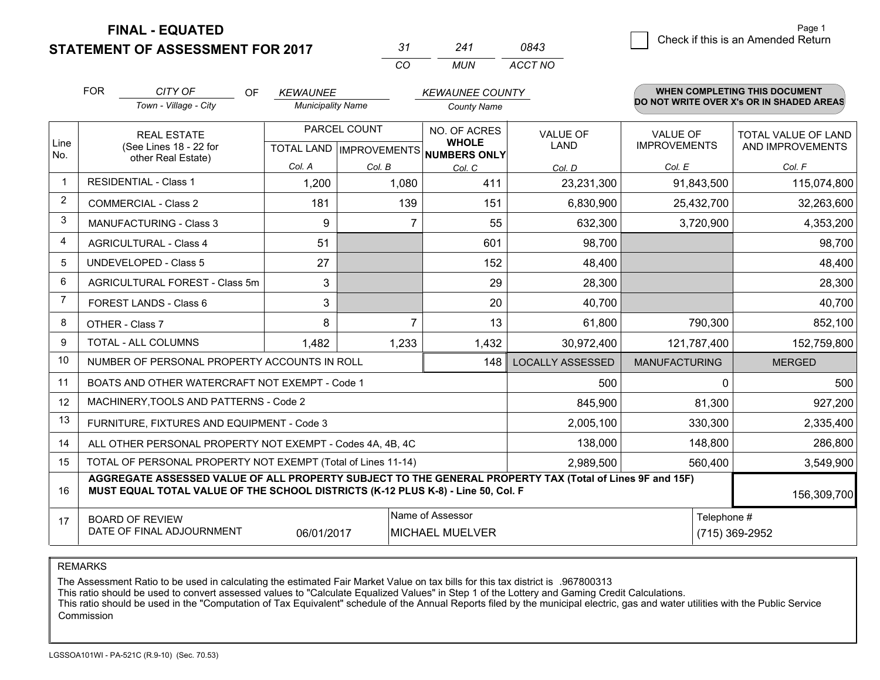**STATEMENT OF ASSESSMENT FOR 2017** 

| -31 | 241 | 0843    |
|-----|-----|---------|
| CO. | MUN | ACCT NO |

|                | <b>FOR</b><br>CITY OF<br><b>OF</b><br><b>KEWAUNEE</b><br>Town - Village - City<br><b>Municipality Name</b>                                                                                   |                                                           | <b>KEWAUNEE COUNTY</b> |                | WHEN COMPLETING THIS DOCUMENT<br>DO NOT WRITE OVER X's OR IN SHADED AREAS |                         |                      |                            |  |
|----------------|----------------------------------------------------------------------------------------------------------------------------------------------------------------------------------------------|-----------------------------------------------------------|------------------------|----------------|---------------------------------------------------------------------------|-------------------------|----------------------|----------------------------|--|
|                |                                                                                                                                                                                              |                                                           |                        |                | <b>County Name</b>                                                        |                         |                      |                            |  |
|                | <b>REAL ESTATE</b>                                                                                                                                                                           |                                                           |                        | PARCEL COUNT   | NO. OF ACRES                                                              | <b>VALUE OF</b>         | <b>VALUE OF</b>      | <b>TOTAL VALUE OF LAND</b> |  |
| Line<br>No.    |                                                                                                                                                                                              | (See Lines 18 - 22 for<br>other Real Estate)              |                        |                | <b>WHOLE</b><br>TOTAL LAND MPROVEMENTS NUMBERS ONLY                       | LAND                    | <b>IMPROVEMENTS</b>  | AND IMPROVEMENTS           |  |
|                |                                                                                                                                                                                              |                                                           | Col. A                 | Col. B         | Col. C                                                                    | Col. D                  | Col. E               | Col. F                     |  |
| $\mathbf{1}$   |                                                                                                                                                                                              | <b>RESIDENTIAL - Class 1</b>                              | 1,200                  | 1,080          | 411                                                                       | 23,231,300              | 91,843,500           | 115,074,800                |  |
| 2              |                                                                                                                                                                                              | <b>COMMERCIAL - Class 2</b>                               | 181                    | 139            | 151                                                                       | 6,830,900               | 25,432,700           | 32,263,600                 |  |
| 3              |                                                                                                                                                                                              | <b>MANUFACTURING - Class 3</b>                            | 9                      | 7              | 55                                                                        | 632,300                 | 3,720,900            | 4,353,200                  |  |
| 4              |                                                                                                                                                                                              | <b>AGRICULTURAL - Class 4</b>                             | 51                     |                | 601                                                                       | 98,700                  |                      | 98,700                     |  |
| 5              |                                                                                                                                                                                              | <b>UNDEVELOPED - Class 5</b>                              | 27                     |                | 152                                                                       | 48,400                  |                      | 48,400                     |  |
| 6              |                                                                                                                                                                                              | AGRICULTURAL FOREST - Class 5m                            | 3                      |                | 29                                                                        | 28,300                  |                      | 28,300                     |  |
| $\overline{7}$ | FOREST LANDS - Class 6                                                                                                                                                                       |                                                           | 3                      |                | 20                                                                        | 40,700                  |                      | 40,700                     |  |
| 8              | OTHER - Class 7                                                                                                                                                                              |                                                           | 8                      | $\overline{7}$ | 13                                                                        | 61,800                  | 790,300              | 852,100                    |  |
| 9              |                                                                                                                                                                                              | TOTAL - ALL COLUMNS                                       | 1,482                  | 1,233          | 1,432                                                                     | 30,972,400              | 121,787,400          | 152,759,800                |  |
| 10             |                                                                                                                                                                                              | NUMBER OF PERSONAL PROPERTY ACCOUNTS IN ROLL              |                        |                | 148                                                                       | <b>LOCALLY ASSESSED</b> | <b>MANUFACTURING</b> | <b>MERGED</b>              |  |
| 11             |                                                                                                                                                                                              | BOATS AND OTHER WATERCRAFT NOT EXEMPT - Code 1            |                        |                |                                                                           | 500                     | 0                    | 500                        |  |
| 12             |                                                                                                                                                                                              | MACHINERY, TOOLS AND PATTERNS - Code 2                    |                        |                |                                                                           | 845,900                 | 81,300               | 927,200                    |  |
| 13             |                                                                                                                                                                                              | FURNITURE, FIXTURES AND EQUIPMENT - Code 3                |                        |                |                                                                           | 2,005,100               | 330,300              | 2,335,400                  |  |
| 14             |                                                                                                                                                                                              | ALL OTHER PERSONAL PROPERTY NOT EXEMPT - Codes 4A, 4B, 4C |                        | 138,000        | 148,800                                                                   | 286,800                 |                      |                            |  |
| 15             | TOTAL OF PERSONAL PROPERTY NOT EXEMPT (Total of Lines 11-14)                                                                                                                                 |                                                           |                        |                |                                                                           |                         | 560,400              | 3,549,900                  |  |
| 16             | AGGREGATE ASSESSED VALUE OF ALL PROPERTY SUBJECT TO THE GENERAL PROPERTY TAX (Total of Lines 9F and 15F)<br>MUST EQUAL TOTAL VALUE OF THE SCHOOL DISTRICTS (K-12 PLUS K-8) - Line 50, Col. F |                                                           |                        |                |                                                                           |                         |                      | 156,309,700                |  |
| 17             |                                                                                                                                                                                              | <b>BOARD OF REVIEW</b>                                    |                        |                | Name of Assessor                                                          |                         |                      | Telephone #                |  |
|                |                                                                                                                                                                                              | DATE OF FINAL ADJOURNMENT                                 | 06/01/2017             |                | <b>MICHAEL MUELVER</b>                                                    |                         |                      | (715) 369-2952             |  |

REMARKS

The Assessment Ratio to be used in calculating the estimated Fair Market Value on tax bills for this tax district is .967800313

This ratio should be used to convert assessed values to "Calculate Equalized Values" in Step 1 of the Lottery and Gaming Credit Calculations.<br>This ratio should be used in the "Computation of Tax Equivalent" schedule of the Commission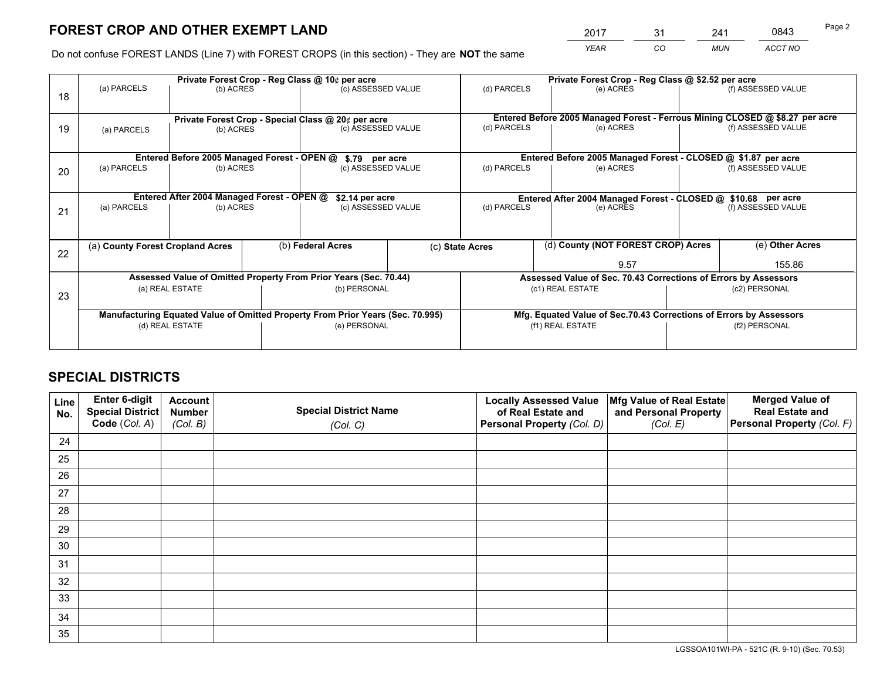*YEAR CO MUN ACCT NO* <sup>2017</sup> <sup>31</sup> <sup>241</sup> <sup>0843</sup>

Do not confuse FOREST LANDS (Line 7) with FOREST CROPS (in this section) - They are **NOT** the same

|    |                                                                                | Private Forest Crop - Reg Class @ 10¢ per acre                   |  |                    |                 | Private Forest Crop - Reg Class @ \$2.52 per acre                            |                                                                    |                                                               |                    |  |
|----|--------------------------------------------------------------------------------|------------------------------------------------------------------|--|--------------------|-----------------|------------------------------------------------------------------------------|--------------------------------------------------------------------|---------------------------------------------------------------|--------------------|--|
| 18 | (a) PARCELS                                                                    | (c) ASSESSED VALUE<br>(b) ACRES                                  |  |                    | (d) PARCELS     | (e) ACRES                                                                    |                                                                    | (f) ASSESSED VALUE                                            |                    |  |
|    | Private Forest Crop - Special Class @ 20¢ per acre                             |                                                                  |  |                    |                 | Entered Before 2005 Managed Forest - Ferrous Mining CLOSED @ \$8.27 per acre |                                                                    |                                                               |                    |  |
| 19 | (b) ACRES<br>(a) PARCELS                                                       |                                                                  |  | (c) ASSESSED VALUE |                 | (d) PARCELS                                                                  | (e) ACRES                                                          |                                                               | (f) ASSESSED VALUE |  |
|    |                                                                                | Entered Before 2005 Managed Forest - OPEN @                      |  | \$.79 per acre     |                 |                                                                              | Entered Before 2005 Managed Forest - CLOSED @ \$1.87 per acre      |                                                               |                    |  |
| 20 | (a) PARCELS<br>(b) ACRES                                                       |                                                                  |  | (c) ASSESSED VALUE |                 | (d) PARCELS                                                                  | (e) ACRES                                                          |                                                               | (f) ASSESSED VALUE |  |
|    | Entered After 2004 Managed Forest - OPEN @                                     |                                                                  |  |                    | \$2.14 per acre |                                                                              |                                                                    | Entered After 2004 Managed Forest - CLOSED @ \$10.68 per acre |                    |  |
| 21 | (a) PARCELS                                                                    | (b) ACRES                                                        |  | (c) ASSESSED VALUE |                 | (d) PARCELS                                                                  | (e) ACRES                                                          |                                                               | (f) ASSESSED VALUE |  |
| 22 | (a) County Forest Cropland Acres                                               |                                                                  |  | (b) Federal Acres  |                 | (c) State Acres                                                              | (d) County (NOT FOREST CROP) Acres                                 |                                                               | (e) Other Acres    |  |
|    |                                                                                |                                                                  |  |                    |                 | 9.57                                                                         |                                                                    | 155.86                                                        |                    |  |
|    |                                                                                | Assessed Value of Omitted Property From Prior Years (Sec. 70.44) |  |                    |                 |                                                                              | Assessed Value of Sec. 70.43 Corrections of Errors by Assessors    |                                                               |                    |  |
| 23 | (a) REAL ESTATE                                                                |                                                                  |  | (b) PERSONAL       |                 | (c1) REAL ESTATE                                                             |                                                                    |                                                               | (c2) PERSONAL      |  |
|    | Manufacturing Equated Value of Omitted Property From Prior Years (Sec. 70.995) |                                                                  |  |                    |                 |                                                                              | Mfg. Equated Value of Sec.70.43 Corrections of Errors by Assessors |                                                               |                    |  |
|    | (d) REAL ESTATE                                                                |                                                                  |  | (e) PERSONAL       |                 |                                                                              | (f1) REAL ESTATE                                                   |                                                               | (f2) PERSONAL      |  |
|    |                                                                                |                                                                  |  |                    |                 |                                                                              |                                                                    |                                                               |                    |  |

## **SPECIAL DISTRICTS**

| Line<br>No. | Enter 6-digit<br>Special District<br>Code (Col. A) | <b>Account</b><br><b>Number</b> | <b>Special District Name</b> | <b>Locally Assessed Value</b><br>of Real Estate and | Mfg Value of Real Estate<br>and Personal Property | <b>Merged Value of</b><br><b>Real Estate and</b><br>Personal Property (Col. F) |
|-------------|----------------------------------------------------|---------------------------------|------------------------------|-----------------------------------------------------|---------------------------------------------------|--------------------------------------------------------------------------------|
|             |                                                    | (Col. B)                        | (Col. C)                     | Personal Property (Col. D)                          | (Col. E)                                          |                                                                                |
| 24          |                                                    |                                 |                              |                                                     |                                                   |                                                                                |
| 25          |                                                    |                                 |                              |                                                     |                                                   |                                                                                |
| 26          |                                                    |                                 |                              |                                                     |                                                   |                                                                                |
| 27          |                                                    |                                 |                              |                                                     |                                                   |                                                                                |
| 28          |                                                    |                                 |                              |                                                     |                                                   |                                                                                |
| 29          |                                                    |                                 |                              |                                                     |                                                   |                                                                                |
| 30          |                                                    |                                 |                              |                                                     |                                                   |                                                                                |
| 31          |                                                    |                                 |                              |                                                     |                                                   |                                                                                |
| 32          |                                                    |                                 |                              |                                                     |                                                   |                                                                                |
| 33          |                                                    |                                 |                              |                                                     |                                                   |                                                                                |
| 34          |                                                    |                                 |                              |                                                     |                                                   |                                                                                |
| 35          |                                                    |                                 |                              |                                                     |                                                   |                                                                                |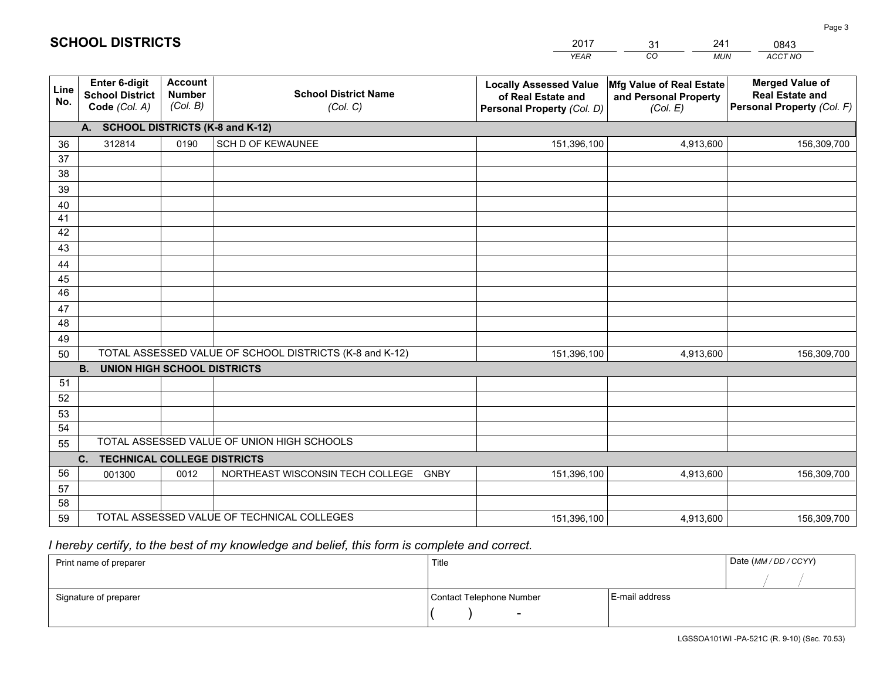|             |                                                          |                                             |                                                         | <b>YEAR</b>                                                                       | CO<br><b>MUN</b>                                              | ACCT NO                                                                        |
|-------------|----------------------------------------------------------|---------------------------------------------|---------------------------------------------------------|-----------------------------------------------------------------------------------|---------------------------------------------------------------|--------------------------------------------------------------------------------|
| Line<br>No. | Enter 6-digit<br><b>School District</b><br>Code (Col. A) | <b>Account</b><br><b>Number</b><br>(Col. B) | <b>School District Name</b><br>(Col. C)                 | <b>Locally Assessed Value</b><br>of Real Estate and<br>Personal Property (Col. D) | Mfg Value of Real Estate<br>and Personal Property<br>(Col. E) | <b>Merged Value of</b><br><b>Real Estate and</b><br>Personal Property (Col. F) |
|             | A. SCHOOL DISTRICTS (K-8 and K-12)                       |                                             |                                                         |                                                                                   |                                                               |                                                                                |
| 36          | 312814                                                   | 0190                                        | SCH D OF KEWAUNEE                                       | 151,396,100                                                                       | 4,913,600                                                     | 156,309,700                                                                    |
| 37          |                                                          |                                             |                                                         |                                                                                   |                                                               |                                                                                |
| 38          |                                                          |                                             |                                                         |                                                                                   |                                                               |                                                                                |
| 39          |                                                          |                                             |                                                         |                                                                                   |                                                               |                                                                                |
| 40          |                                                          |                                             |                                                         |                                                                                   |                                                               |                                                                                |
| 41<br>42    |                                                          |                                             |                                                         |                                                                                   |                                                               |                                                                                |
| 43          |                                                          |                                             |                                                         |                                                                                   |                                                               |                                                                                |
|             |                                                          |                                             |                                                         |                                                                                   |                                                               |                                                                                |
| 44<br>45    |                                                          |                                             |                                                         |                                                                                   |                                                               |                                                                                |
| 46          |                                                          |                                             |                                                         |                                                                                   |                                                               |                                                                                |
| 47          |                                                          |                                             |                                                         |                                                                                   |                                                               |                                                                                |
| 48          |                                                          |                                             |                                                         |                                                                                   |                                                               |                                                                                |
| 49          |                                                          |                                             |                                                         |                                                                                   |                                                               |                                                                                |
| 50          |                                                          |                                             | TOTAL ASSESSED VALUE OF SCHOOL DISTRICTS (K-8 and K-12) | 151,396,100                                                                       | 4,913,600                                                     | 156,309,700                                                                    |
|             | <b>B.</b><br><b>UNION HIGH SCHOOL DISTRICTS</b>          |                                             |                                                         |                                                                                   |                                                               |                                                                                |
| 51          |                                                          |                                             |                                                         |                                                                                   |                                                               |                                                                                |
| 52          |                                                          |                                             |                                                         |                                                                                   |                                                               |                                                                                |
| 53          |                                                          |                                             |                                                         |                                                                                   |                                                               |                                                                                |
| 54          |                                                          |                                             |                                                         |                                                                                   |                                                               |                                                                                |
| 55          |                                                          |                                             | TOTAL ASSESSED VALUE OF UNION HIGH SCHOOLS              |                                                                                   |                                                               |                                                                                |
|             | C.<br><b>TECHNICAL COLLEGE DISTRICTS</b>                 |                                             |                                                         |                                                                                   |                                                               |                                                                                |
| 56          | 001300                                                   | 0012                                        | NORTHEAST WISCONSIN TECH COLLEGE<br><b>GNBY</b>         | 151,396,100                                                                       | 4,913,600                                                     | 156,309,700                                                                    |
| 57<br>58    |                                                          |                                             |                                                         |                                                                                   |                                                               |                                                                                |
| 59          |                                                          |                                             | TOTAL ASSESSED VALUE OF TECHNICAL COLLEGES              | 151,396,100                                                                       | 4,913,600                                                     | 156,309,700                                                                    |
|             |                                                          |                                             |                                                         |                                                                                   |                                                               |                                                                                |

31

241

 *I hereby certify, to the best of my knowledge and belief, this form is complete and correct.*

**SCHOOL DISTRICTS**

| Print name of preparer | Title                    |                | Date (MM / DD / CCYY) |
|------------------------|--------------------------|----------------|-----------------------|
|                        |                          |                |                       |
| Signature of preparer  | Contact Telephone Number | E-mail address |                       |
|                        | $\sim$                   |                |                       |